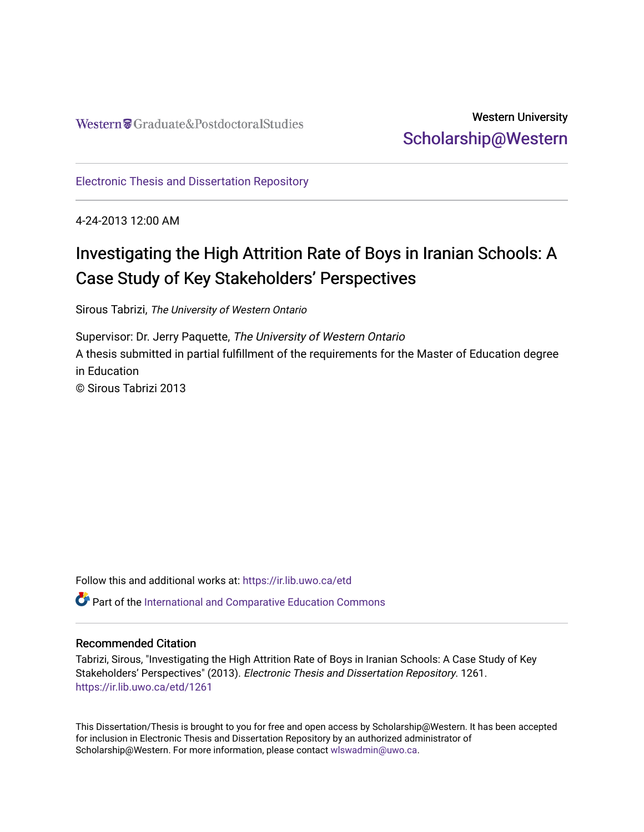# Western University [Scholarship@Western](https://ir.lib.uwo.ca/)

[Electronic Thesis and Dissertation Repository](https://ir.lib.uwo.ca/etd)

4-24-2013 12:00 AM

# Investigating the High Attrition Rate of Boys in Iranian Schools: A Case Study of Key Stakeholders' Perspectives

Sirous Tabrizi, The University of Western Ontario

Supervisor: Dr. Jerry Paquette, The University of Western Ontario A thesis submitted in partial fulfillment of the requirements for the Master of Education degree in Education © Sirous Tabrizi 2013

Follow this and additional works at: [https://ir.lib.uwo.ca/etd](https://ir.lib.uwo.ca/etd?utm_source=ir.lib.uwo.ca%2Fetd%2F1261&utm_medium=PDF&utm_campaign=PDFCoverPages) 

Part of the [International and Comparative Education Commons](http://network.bepress.com/hgg/discipline/797?utm_source=ir.lib.uwo.ca%2Fetd%2F1261&utm_medium=PDF&utm_campaign=PDFCoverPages) 

#### Recommended Citation

Tabrizi, Sirous, "Investigating the High Attrition Rate of Boys in Iranian Schools: A Case Study of Key Stakeholders' Perspectives" (2013). Electronic Thesis and Dissertation Repository. 1261. [https://ir.lib.uwo.ca/etd/1261](https://ir.lib.uwo.ca/etd/1261?utm_source=ir.lib.uwo.ca%2Fetd%2F1261&utm_medium=PDF&utm_campaign=PDFCoverPages)

This Dissertation/Thesis is brought to you for free and open access by Scholarship@Western. It has been accepted for inclusion in Electronic Thesis and Dissertation Repository by an authorized administrator of Scholarship@Western. For more information, please contact [wlswadmin@uwo.ca.](mailto:wlswadmin@uwo.ca)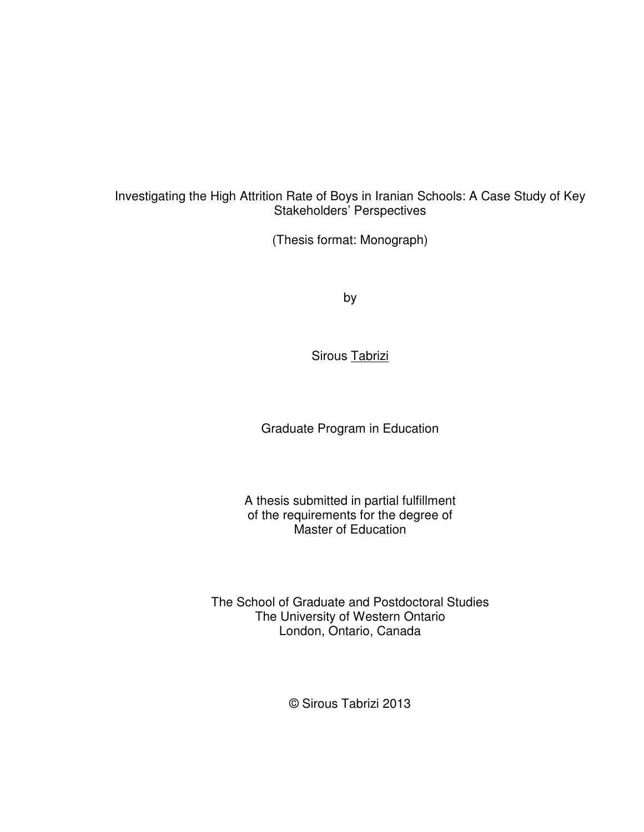#### Investigating the High Attrition Rate of Boys in Iranian Schools: A Case Study of Key Stakeholders' Perspectives

(Thesis format: Monograph)

by

Sirous Tabrizi

Graduate Program in Education

A thesis submitted in partial fulfillment of the requirements for the degree of Master of Education

The School of Graduate and Postdoctoral Studies The University of Western Ontario London, Ontario, Canada

© Sirous Tabrizi 2013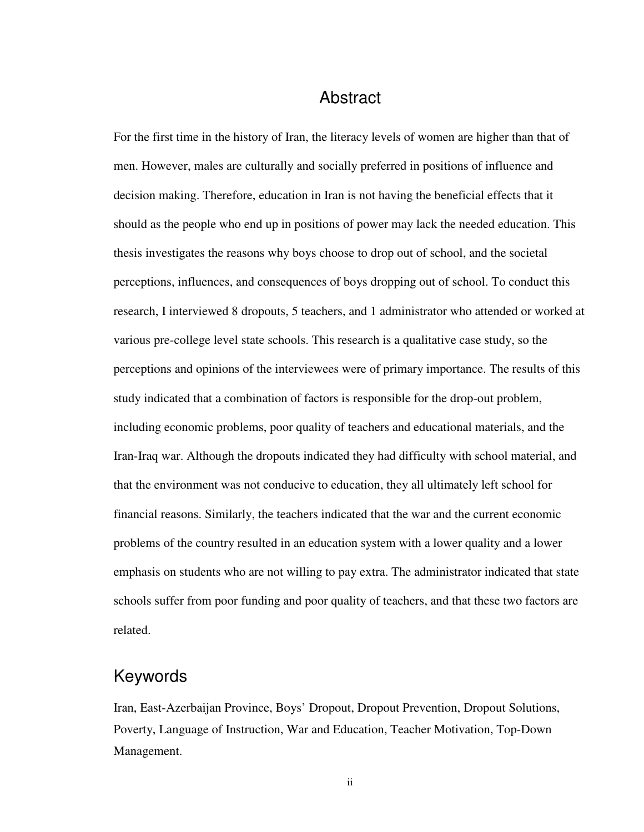## Abstract

For the first time in the history of Iran, the literacy levels of women are higher than that of men. However, males are culturally and socially preferred in positions of influence and decision making. Therefore, education in Iran is not having the beneficial effects that it should as the people who end up in positions of power may lack the needed education. This thesis investigates the reasons why boys choose to drop out of school, and the societal perceptions, influences, and consequences of boys dropping out of school. To conduct this research, I interviewed 8 dropouts, 5 teachers, and 1 administrator who attended or worked at various pre-college level state schools. This research is a qualitative case study, so the perceptions and opinions of the interviewees were of primary importance. The results of this study indicated that a combination of factors is responsible for the drop-out problem, including economic problems, poor quality of teachers and educational materials, and the Iran-Iraq war. Although the dropouts indicated they had difficulty with school material, and that the environment was not conducive to education, they all ultimately left school for financial reasons. Similarly, the teachers indicated that the war and the current economic problems of the country resulted in an education system with a lower quality and a lower emphasis on students who are not willing to pay extra. The administrator indicated that state schools suffer from poor funding and poor quality of teachers, and that these two factors are related.

## Keywords

Iran, East-Azerbaijan Province, Boys' Dropout, Dropout Prevention, Dropout Solutions, Poverty, Language of Instruction, War and Education, Teacher Motivation, Top-Down Management.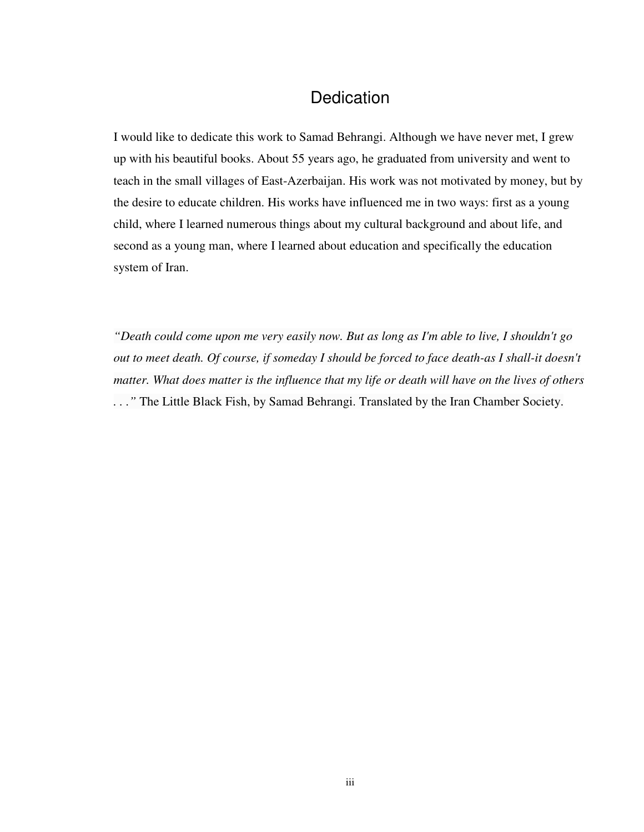# **Dedication**

I would like to dedicate this work to Samad Behrangi. Although we have never met, I grew up with his beautiful books. About 55 years ago, he graduated from university and went to teach in the small villages of East-Azerbaijan. His work was not motivated by money, but by the desire to educate children. His works have influenced me in two ways: first as a young child, where I learned numerous things about my cultural background and about life, and second as a young man, where I learned about education and specifically the education system of Iran.

*"Death could come upon me very easily now. But as long as I'm able to live, I shouldn't go out to meet death. Of course, if someday I should be forced to face death-as I shall-it doesn't matter. What does matter is the influence that my life or death will have on the lives of others . . ."* The Little Black Fish, by Samad Behrangi. Translated by the Iran Chamber Society.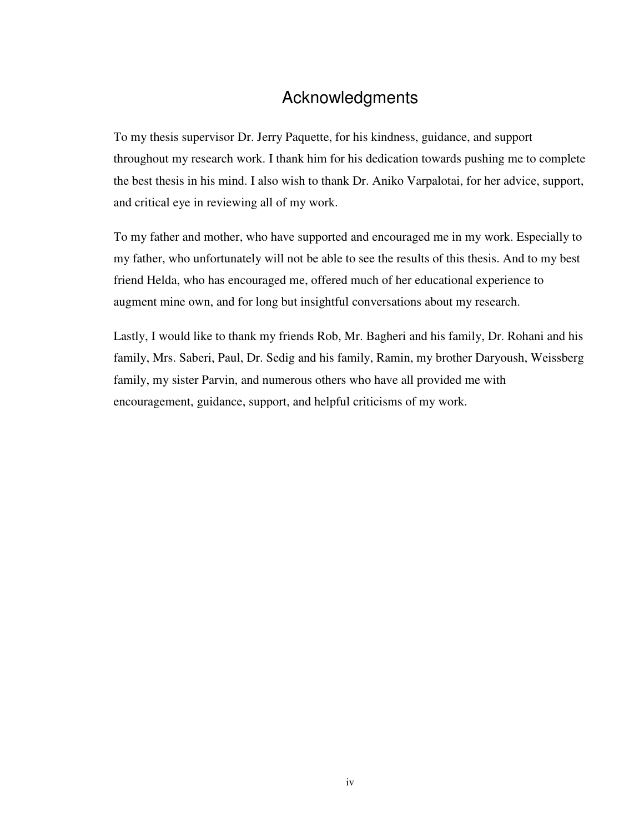# Acknowledgments

To my thesis supervisor Dr. Jerry Paquette, for his kindness, guidance, and support throughout my research work. I thank him for his dedication towards pushing me to complete the best thesis in his mind. I also wish to thank Dr. Aniko Varpalotai, for her advice, support, and critical eye in reviewing all of my work.

To my father and mother, who have supported and encouraged me in my work. Especially to my father, who unfortunately will not be able to see the results of this thesis. And to my best friend Helda, who has encouraged me, offered much of her educational experience to augment mine own, and for long but insightful conversations about my research.

Lastly, I would like to thank my friends Rob, Mr. Bagheri and his family, Dr. Rohani and his family, Mrs. Saberi, Paul, Dr. Sedig and his family, Ramin, my brother Daryoush, Weissberg family, my sister Parvin, and numerous others who have all provided me with encouragement, guidance, support, and helpful criticisms of my work.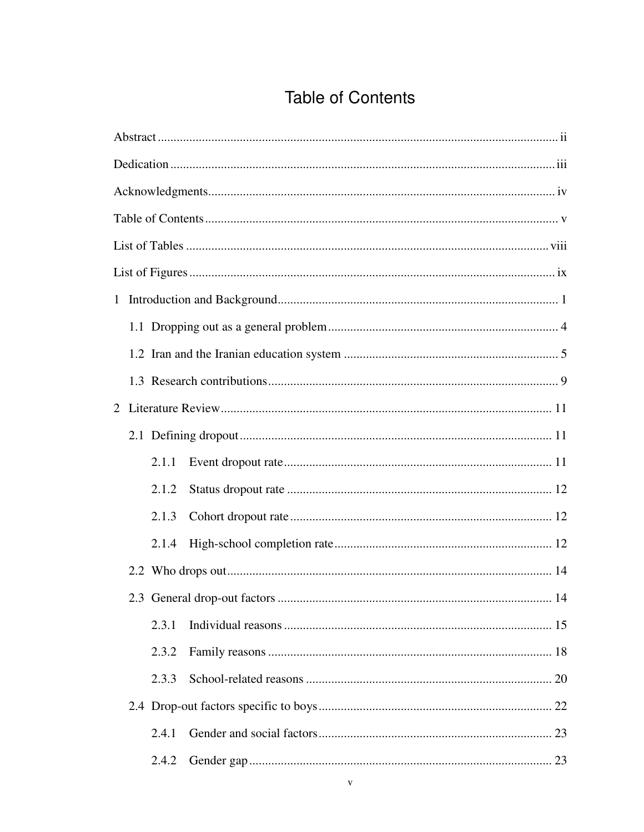# **Table of Contents**

|  | 2.1.1 |  |    |
|--|-------|--|----|
|  | 2.1.2 |  |    |
|  | 2.1.3 |  |    |
|  | 2.1.4 |  |    |
|  |       |  |    |
|  |       |  | 14 |
|  | 2.3.1 |  |    |
|  | 2.3.2 |  |    |
|  | 2.3.3 |  |    |
|  |       |  |    |
|  | 2.4.1 |  |    |
|  | 2.4.2 |  |    |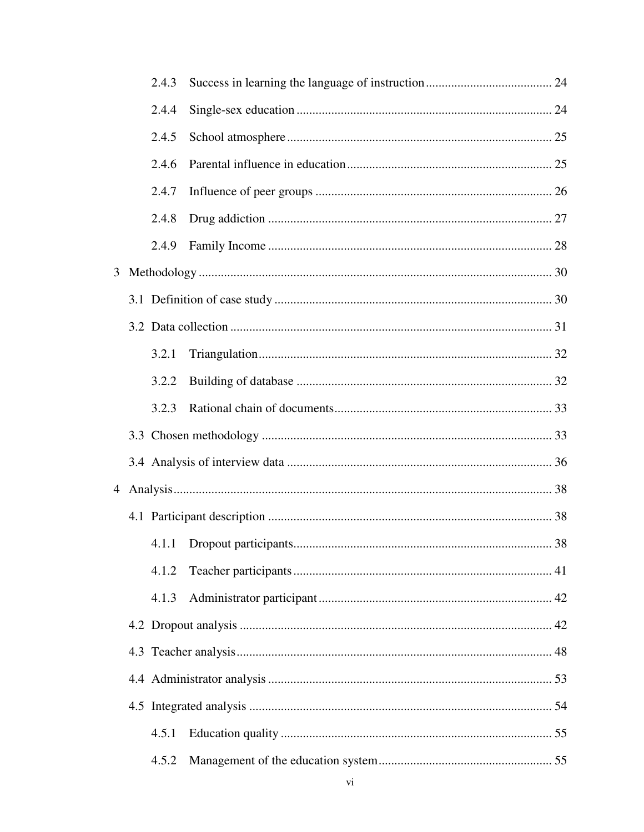|   | 2.4.3 |  |
|---|-------|--|
|   | 2.4.4 |  |
|   | 2.4.5 |  |
|   | 2.4.6 |  |
|   | 2.4.7 |  |
|   | 2.4.8 |  |
|   | 2.4.9 |  |
| 3 |       |  |
|   |       |  |
|   |       |  |
|   | 3.2.1 |  |
|   | 3.2.2 |  |
|   | 3.2.3 |  |
|   |       |  |
|   |       |  |
|   |       |  |
|   |       |  |
|   |       |  |
|   | 4.1.2 |  |
|   | 4.1.3 |  |
|   |       |  |
|   |       |  |
|   |       |  |
|   |       |  |
|   | 4.5.1 |  |
|   | 4.5.2 |  |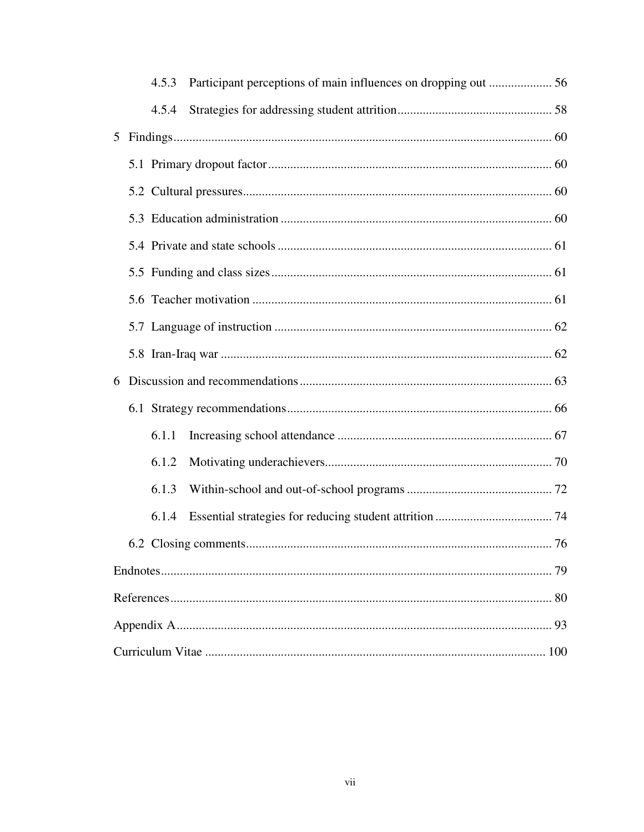|   |  | 4.5.3 |  |    |
|---|--|-------|--|----|
|   |  | 4.5.4 |  |    |
|   |  |       |  |    |
|   |  |       |  |    |
|   |  |       |  |    |
|   |  |       |  |    |
|   |  |       |  |    |
|   |  |       |  |    |
|   |  |       |  |    |
|   |  |       |  |    |
|   |  |       |  |    |
| 6 |  |       |  |    |
|   |  |       |  |    |
|   |  | 6.1.1 |  |    |
|   |  | 6.1.2 |  |    |
|   |  | 6.1.3 |  |    |
|   |  | 6.1.4 |  |    |
|   |  |       |  | 76 |
|   |  |       |  |    |
|   |  |       |  |    |
|   |  |       |  |    |
|   |  |       |  |    |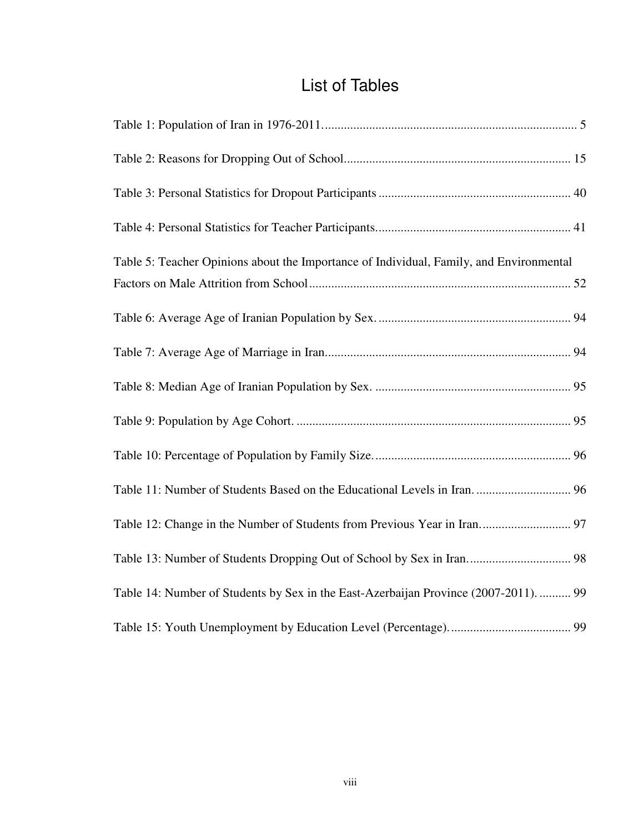# List of Tables

| Table 5: Teacher Opinions about the Importance of Individual, Family, and Environmental |
|-----------------------------------------------------------------------------------------|
|                                                                                         |
|                                                                                         |
|                                                                                         |
|                                                                                         |
|                                                                                         |
|                                                                                         |
|                                                                                         |
| Table 12: Change in the Number of Students from Previous Year in Iran 97                |
| Table 13: Number of Students Dropping Out of School by Sex in Iran 98                   |
| Table 14: Number of Students by Sex in the East-Azerbaijan Province (2007-2011).  99    |
|                                                                                         |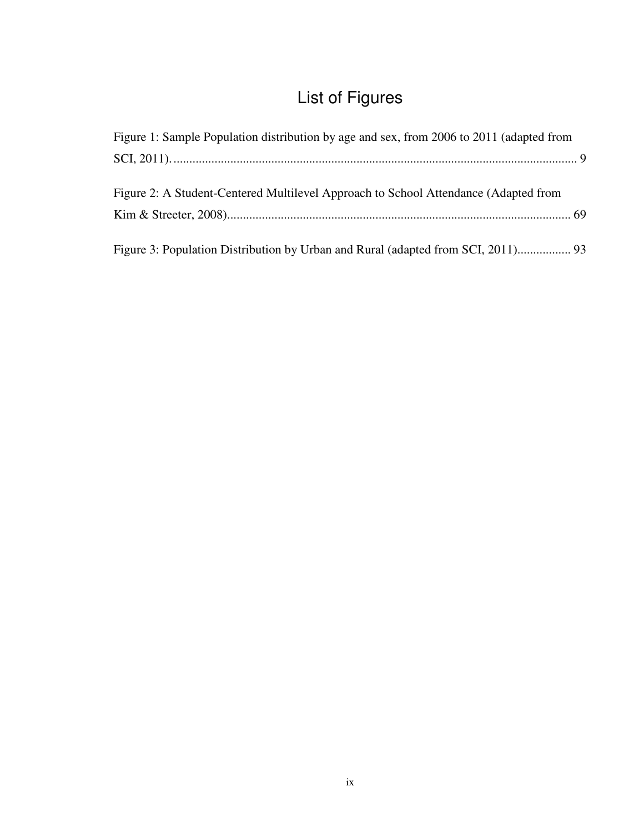# List of Figures

| Figure 1: Sample Population distribution by age and sex, from 2006 to 2011 (adapted from |  |
|------------------------------------------------------------------------------------------|--|
|                                                                                          |  |
|                                                                                          |  |
| Figure 2: A Student-Centered Multilevel Approach to School Attendance (Adapted from      |  |
|                                                                                          |  |
|                                                                                          |  |
|                                                                                          |  |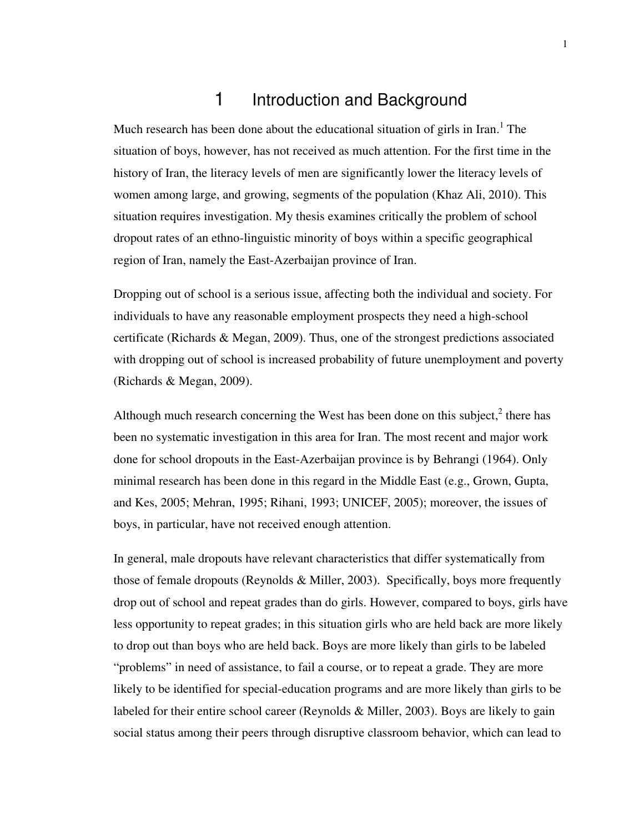## 1 Introduction and Background

Much research has been done about the educational situation of girls in Iran.<sup>1</sup> The situation of boys, however, has not received as much attention. For the first time in the history of Iran, the literacy levels of men are significantly lower the literacy levels of women among large, and growing, segments of the population (Khaz Ali, 2010). This situation requires investigation. My thesis examines critically the problem of school dropout rates of an ethno-linguistic minority of boys within a specific geographical region of Iran, namely the East-Azerbaijan province of Iran.

Dropping out of school is a serious issue, affecting both the individual and society. For individuals to have any reasonable employment prospects they need a high-school certificate (Richards & Megan, 2009). Thus, one of the strongest predictions associated with dropping out of school is increased probability of future unemployment and poverty (Richards & Megan, 2009).

Although much research concerning the West has been done on this subject, $2$  there has been no systematic investigation in this area for Iran. The most recent and major work done for school dropouts in the East-Azerbaijan province is by Behrangi (1964). Only minimal research has been done in this regard in the Middle East (e.g., Grown, Gupta, and Kes, 2005; Mehran, 1995; Rihani, 1993; UNICEF, 2005); moreover, the issues of boys, in particular, have not received enough attention.

In general, male dropouts have relevant characteristics that differ systematically from those of female dropouts (Reynolds & Miller, 2003). Specifically, boys more frequently drop out of school and repeat grades than do girls. However, compared to boys, girls have less opportunity to repeat grades; in this situation girls who are held back are more likely to drop out than boys who are held back. Boys are more likely than girls to be labeled "problems" in need of assistance, to fail a course, or to repeat a grade. They are more likely to be identified for special-education programs and are more likely than girls to be labeled for their entire school career (Reynolds  $\&$  Miller, 2003). Boys are likely to gain social status among their peers through disruptive classroom behavior, which can lead to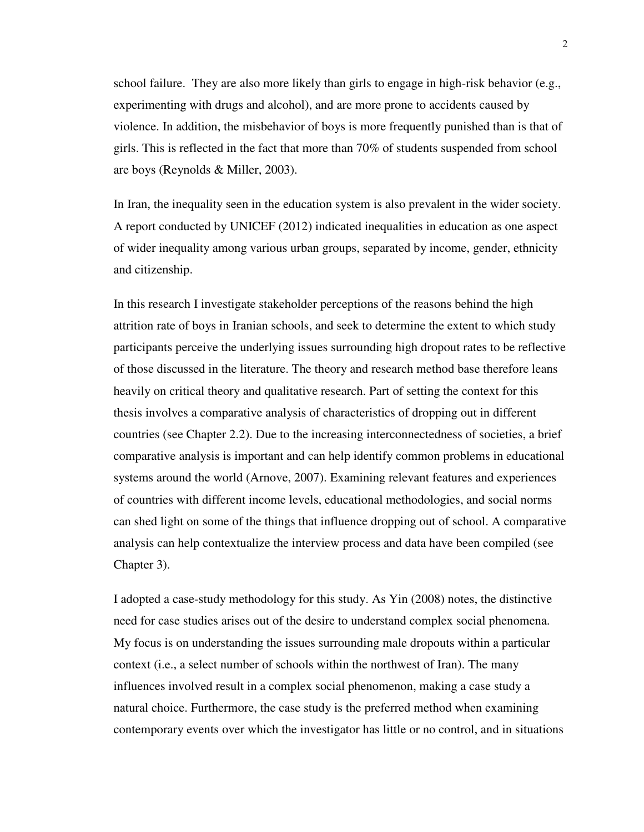school failure. They are also more likely than girls to engage in high-risk behavior (e.g., experimenting with drugs and alcohol), and are more prone to accidents caused by violence. In addition, the misbehavior of boys is more frequently punished than is that of girls. This is reflected in the fact that more than 70% of students suspended from school are boys (Reynolds & Miller, 2003).

In Iran, the inequality seen in the education system is also prevalent in the wider society. A report conducted by UNICEF (2012) indicated inequalities in education as one aspect of wider inequality among various urban groups, separated by income, gender, ethnicity and citizenship.

In this research I investigate stakeholder perceptions of the reasons behind the high attrition rate of boys in Iranian schools, and seek to determine the extent to which study participants perceive the underlying issues surrounding high dropout rates to be reflective of those discussed in the literature. The theory and research method base therefore leans heavily on critical theory and qualitative research. Part of setting the context for this thesis involves a comparative analysis of characteristics of dropping out in different countries (see Chapter 2.2). Due to the increasing interconnectedness of societies, a brief comparative analysis is important and can help identify common problems in educational systems around the world (Arnove, 2007). Examining relevant features and experiences of countries with different income levels, educational methodologies, and social norms can shed light on some of the things that influence dropping out of school. A comparative analysis can help contextualize the interview process and data have been compiled (see Chapter 3).

I adopted a case-study methodology for this study. As Yin (2008) notes, the distinctive need for case studies arises out of the desire to understand complex social phenomena. My focus is on understanding the issues surrounding male dropouts within a particular context (i.e., a select number of schools within the northwest of Iran). The many influences involved result in a complex social phenomenon, making a case study a natural choice. Furthermore, the case study is the preferred method when examining contemporary events over which the investigator has little or no control, and in situations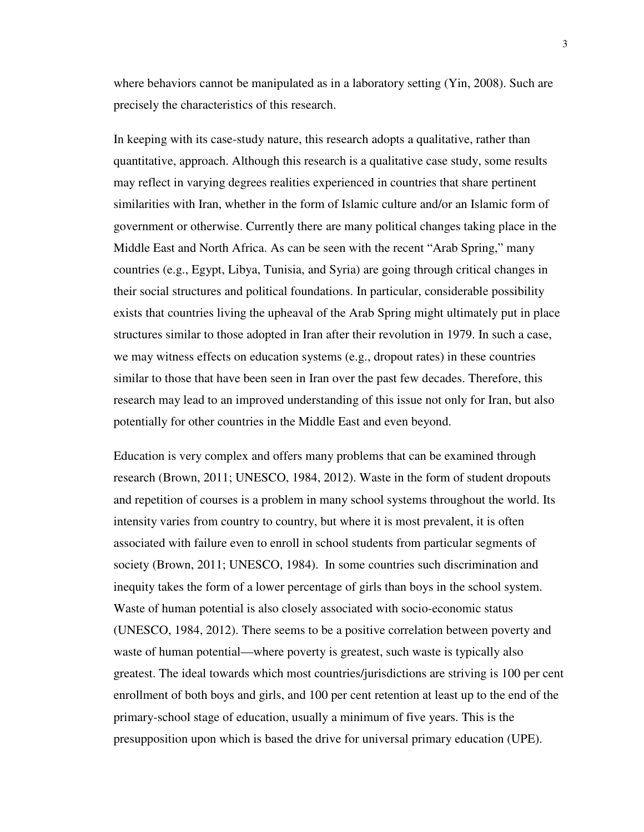where behaviors cannot be manipulated as in a laboratory setting (Yin, 2008). Such are precisely the characteristics of this research.

In keeping with its case-study nature, this research adopts a qualitative, rather than quantitative, approach. Although this research is a qualitative case study, some results may reflect in varying degrees realities experienced in countries that share pertinent similarities with Iran, whether in the form of Islamic culture and/or an Islamic form of government or otherwise. Currently there are many political changes taking place in the Middle East and North Africa. As can be seen with the recent "Arab Spring," many countries (e.g., Egypt, Libya, Tunisia, and Syria) are going through critical changes in their social structures and political foundations. In particular, considerable possibility exists that countries living the upheaval of the Arab Spring might ultimately put in place structures similar to those adopted in Iran after their revolution in 1979. In such a case, we may witness effects on education systems (e.g., dropout rates) in these countries similar to those that have been seen in Iran over the past few decades. Therefore, this research may lead to an improved understanding of this issue not only for Iran, but also potentially for other countries in the Middle East and even beyond.

Education is very complex and offers many problems that can be examined through research (Brown, 2011; UNESCO, 1984, 2012). Waste in the form of student dropouts and repetition of courses is a problem in many school systems throughout the world. Its intensity varies from country to country, but where it is most prevalent, it is often associated with failure even to enroll in school students from particular segments of society (Brown, 2011; UNESCO, 1984). In some countries such discrimination and inequity takes the form of a lower percentage of girls than boys in the school system. Waste of human potential is also closely associated with socio-economic status (UNESCO, 1984, 2012). There seems to be a positive correlation between poverty and waste of human potential—where poverty is greatest, such waste is typically also greatest. The ideal towards which most countries/jurisdictions are striving is 100 per cent enrollment of both boys and girls, and 100 per cent retention at least up to the end of the primary-school stage of education, usually a minimum of five years. This is the presupposition upon which is based the drive for universal primary education (UPE).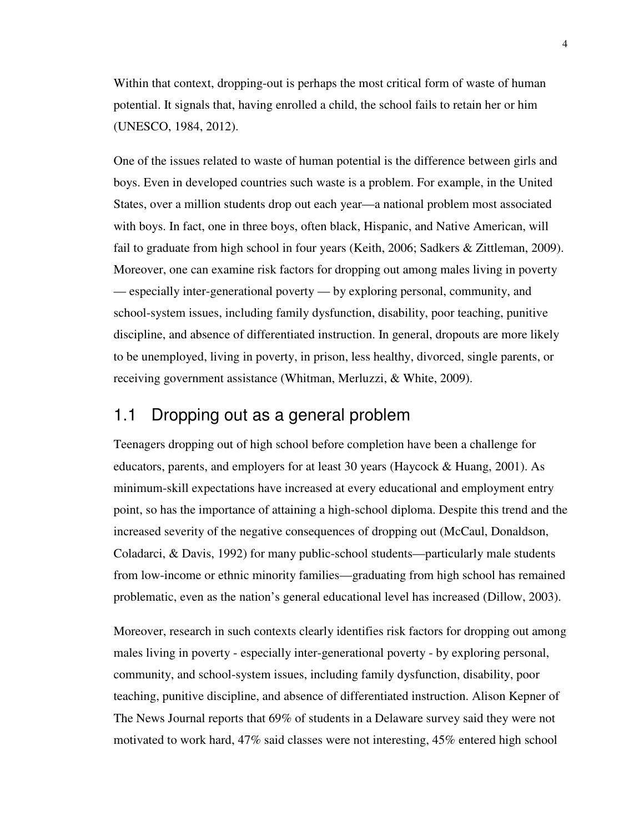Within that context, dropping-out is perhaps the most critical form of waste of human potential. It signals that, having enrolled a child, the school fails to retain her or him (UNESCO, 1984, 2012).

One of the issues related to waste of human potential is the difference between girls and boys. Even in developed countries such waste is a problem. For example, in the United States, over a million students drop out each year—a national problem most associated with boys. In fact, one in three boys, often black, Hispanic, and Native American, will fail to graduate from high school in four years (Keith, 2006; Sadkers & Zittleman, 2009). Moreover, one can examine risk factors for dropping out among males living in poverty — especially inter-generational poverty — by exploring personal, community, and school-system issues, including family dysfunction, disability, poor teaching, punitive discipline, and absence of differentiated instruction. In general, dropouts are more likely to be unemployed, living in poverty, in prison, less healthy, divorced, single parents, or receiving government assistance (Whitman, Merluzzi, & White, 2009).

## 1.1 Dropping out as a general problem

Teenagers dropping out of high school before completion have been a challenge for educators, parents, and employers for at least 30 years (Haycock & Huang, 2001). As minimum-skill expectations have increased at every educational and employment entry point, so has the importance of attaining a high-school diploma. Despite this trend and the increased severity of the negative consequences of dropping out (McCaul, Donaldson, Coladarci, & Davis, 1992) for many public-school students—particularly male students from low-income or ethnic minority families—graduating from high school has remained problematic, even as the nation's general educational level has increased (Dillow, 2003).

Moreover, research in such contexts clearly identifies risk factors for dropping out among males living in poverty - especially inter-generational poverty - by exploring personal, community, and school-system issues, including family dysfunction, disability, poor teaching, punitive discipline, and absence of differentiated instruction. Alison Kepner of The News Journal reports that 69% of students in a Delaware survey said they were not motivated to work hard, 47% said classes were not interesting, 45% entered high school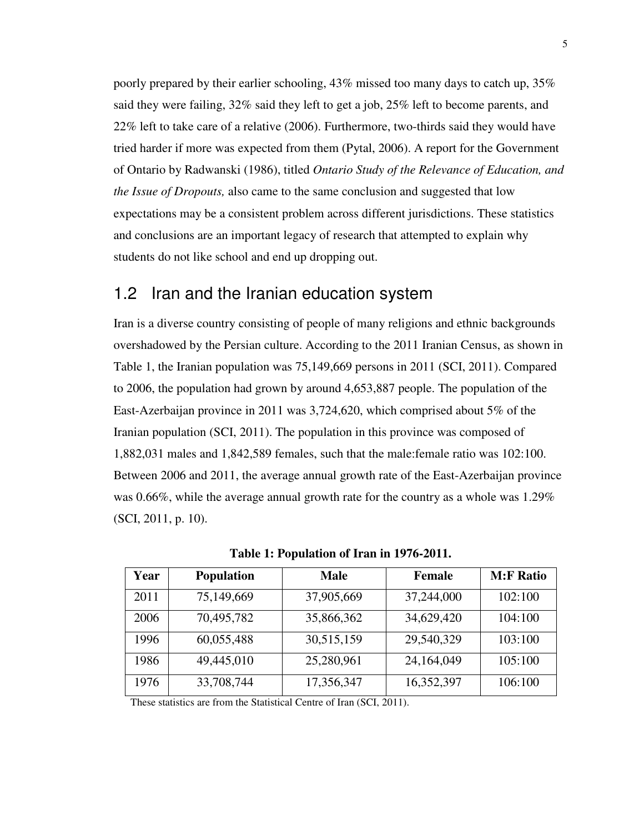poorly prepared by their earlier schooling, 43% missed too many days to catch up, 35% said they were failing, 32% said they left to get a job, 25% left to become parents, and 22% left to take care of a relative (2006). Furthermore, two-thirds said they would have tried harder if more was expected from them (Pytal, 2006). A report for the Government of Ontario by Radwanski (1986), titled *Ontario Study of the Relevance of Education, and the Issue of Dropouts,* also came to the same conclusion and suggested that low expectations may be a consistent problem across different jurisdictions. These statistics and conclusions are an important legacy of research that attempted to explain why students do not like school and end up dropping out.

### 1.2 Iran and the Iranian education system

Iran is a diverse country consisting of people of many religions and ethnic backgrounds overshadowed by the Persian culture. According to the 2011 Iranian Census, as shown in Table 1, the Iranian population was 75,149,669 persons in 2011 (SCI, 2011). Compared to 2006, the population had grown by around 4,653,887 people. The population of the East-Azerbaijan province in 2011 was 3,724,620, which comprised about 5% of the Iranian population (SCI, 2011). The population in this province was composed of 1,882,031 males and 1,842,589 females, such that the male:female ratio was 102:100. Between 2006 and 2011, the average annual growth rate of the East-Azerbaijan province was 0.66%, while the average annual growth rate for the country as a whole was 1.29% (SCI, 2011, p. 10).

| Year | <b>Population</b> | <b>Male</b> | <b>Female</b> | <b>M:F Ratio</b> |
|------|-------------------|-------------|---------------|------------------|
| 2011 | 75,149,669        | 37,905,669  | 37,244,000    | 102:100          |
| 2006 | 70,495,782        | 35,866,362  | 34,629,420    | 104:100          |
| 1996 | 60,055,488        | 30,515,159  | 29,540,329    | 103:100          |
| 1986 | 49,445,010        | 25,280,961  | 24,164,049    | 105:100          |
| 1976 | 33,708,744        | 17,356,347  | 16,352,397    | 106:100          |

**Table 1: Population of Iran in 1976-2011.** 

These statistics are from the Statistical Centre of Iran (SCI, 2011).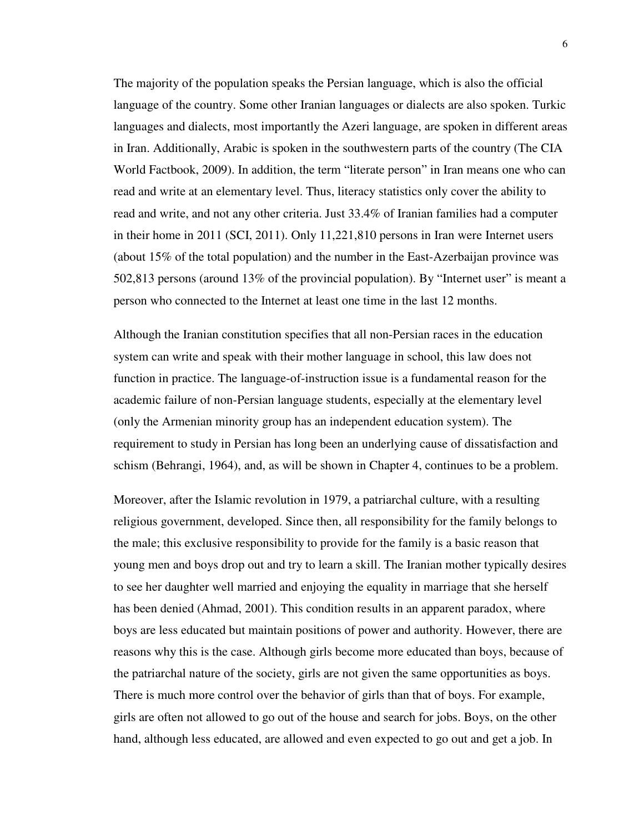The majority of the population speaks the Persian language, which is also the official language of the country. Some other Iranian languages or dialects are also spoken. Turkic languages and dialects, most importantly the Azeri language, are spoken in different areas in Iran. Additionally, Arabic is spoken in the southwestern parts of the country (The CIA World Factbook, 2009). In addition, the term "literate person" in Iran means one who can read and write at an elementary level. Thus, literacy statistics only cover the ability to read and write, and not any other criteria. Just 33.4% of Iranian families had a computer in their home in 2011 (SCI, 2011). Only 11,221,810 persons in Iran were Internet users (about 15% of the total population) and the number in the East-Azerbaijan province was 502,813 persons (around 13% of the provincial population). By "Internet user" is meant a person who connected to the Internet at least one time in the last 12 months.

Although the Iranian constitution specifies that all non-Persian races in the education system can write and speak with their mother language in school, this law does not function in practice. The language-of-instruction issue is a fundamental reason for the academic failure of non-Persian language students, especially at the elementary level (only the Armenian minority group has an independent education system). The requirement to study in Persian has long been an underlying cause of dissatisfaction and schism (Behrangi, 1964), and, as will be shown in Chapter 4, continues to be a problem.

Moreover, after the Islamic revolution in 1979, a patriarchal culture, with a resulting religious government, developed. Since then, all responsibility for the family belongs to the male; this exclusive responsibility to provide for the family is a basic reason that young men and boys drop out and try to learn a skill. The Iranian mother typically desires to see her daughter well married and enjoying the equality in marriage that she herself has been denied (Ahmad, 2001). This condition results in an apparent paradox, where boys are less educated but maintain positions of power and authority. However, there are reasons why this is the case. Although girls become more educated than boys, because of the patriarchal nature of the society, girls are not given the same opportunities as boys. There is much more control over the behavior of girls than that of boys. For example, girls are often not allowed to go out of the house and search for jobs. Boys, on the other hand, although less educated, are allowed and even expected to go out and get a job. In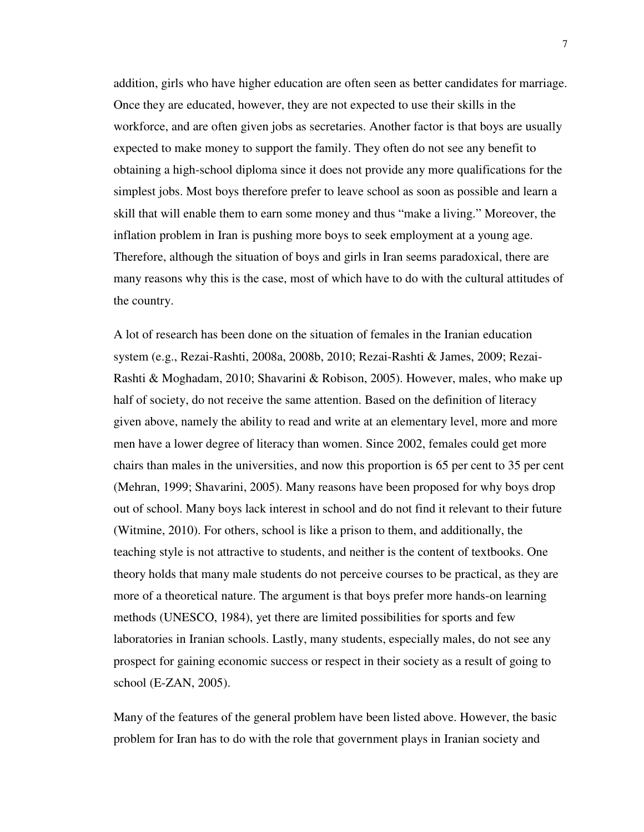addition, girls who have higher education are often seen as better candidates for marriage. Once they are educated, however, they are not expected to use their skills in the workforce, and are often given jobs as secretaries. Another factor is that boys are usually expected to make money to support the family. They often do not see any benefit to obtaining a high-school diploma since it does not provide any more qualifications for the simplest jobs. Most boys therefore prefer to leave school as soon as possible and learn a skill that will enable them to earn some money and thus "make a living." Moreover, the inflation problem in Iran is pushing more boys to seek employment at a young age. Therefore, although the situation of boys and girls in Iran seems paradoxical, there are many reasons why this is the case, most of which have to do with the cultural attitudes of the country.

A lot of research has been done on the situation of females in the Iranian education system (e.g., Rezai-Rashti, 2008a, 2008b, 2010; Rezai-Rashti & James, 2009; Rezai-Rashti & Moghadam, 2010; Shavarini & Robison, 2005). However, males, who make up half of society, do not receive the same attention. Based on the definition of literacy given above, namely the ability to read and write at an elementary level, more and more men have a lower degree of literacy than women. Since 2002, females could get more chairs than males in the universities, and now this proportion is 65 per cent to 35 per cent (Mehran, 1999; Shavarini, 2005). Many reasons have been proposed for why boys drop out of school. Many boys lack interest in school and do not find it relevant to their future (Witmine, 2010). For others, school is like a prison to them, and additionally, the teaching style is not attractive to students, and neither is the content of textbooks. One theory holds that many male students do not perceive courses to be practical, as they are more of a theoretical nature. The argument is that boys prefer more hands-on learning methods (UNESCO, 1984), yet there are limited possibilities for sports and few laboratories in Iranian schools. Lastly, many students, especially males, do not see any prospect for gaining economic success or respect in their society as a result of going to school (E-ZAN, 2005).

Many of the features of the general problem have been listed above. However, the basic problem for Iran has to do with the role that government plays in Iranian society and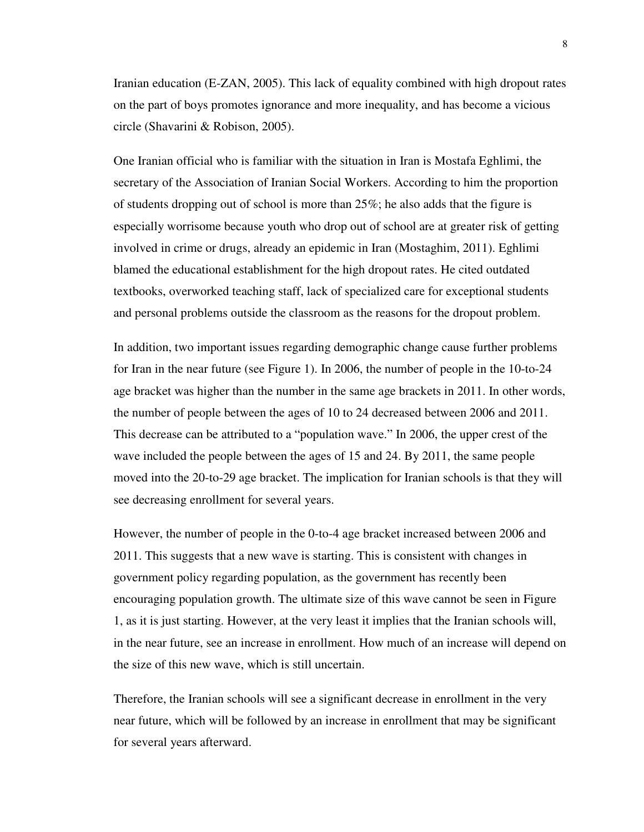Iranian education (E-ZAN, 2005). This lack of equality combined with high dropout rates on the part of boys promotes ignorance and more inequality, and has become a vicious circle (Shavarini & Robison, 2005).

One Iranian official who is familiar with the situation in Iran is Mostafa Eghlimi, the secretary of the Association of Iranian Social Workers. According to him the proportion of students dropping out of school is more than 25%; he also adds that the figure is especially worrisome because youth who drop out of school are at greater risk of getting involved in crime or drugs, already an epidemic in Iran (Mostaghim, 2011). Eghlimi blamed the educational establishment for the high dropout rates. He cited outdated textbooks, overworked teaching staff, lack of specialized care for exceptional students and personal problems outside the classroom as the reasons for the dropout problem.

In addition, two important issues regarding demographic change cause further problems for Iran in the near future (see Figure 1). In 2006, the number of people in the 10-to-24 age bracket was higher than the number in the same age brackets in 2011. In other words, the number of people between the ages of 10 to 24 decreased between 2006 and 2011. This decrease can be attributed to a "population wave." In 2006, the upper crest of the wave included the people between the ages of 15 and 24. By 2011, the same people moved into the 20-to-29 age bracket. The implication for Iranian schools is that they will see decreasing enrollment for several years.

However, the number of people in the 0-to-4 age bracket increased between 2006 and 2011. This suggests that a new wave is starting. This is consistent with changes in government policy regarding population, as the government has recently been encouraging population growth. The ultimate size of this wave cannot be seen in Figure 1, as it is just starting. However, at the very least it implies that the Iranian schools will, in the near future, see an increase in enrollment. How much of an increase will depend on the size of this new wave, which is still uncertain.

Therefore, the Iranian schools will see a significant decrease in enrollment in the very near future, which will be followed by an increase in enrollment that may be significant for several years afterward.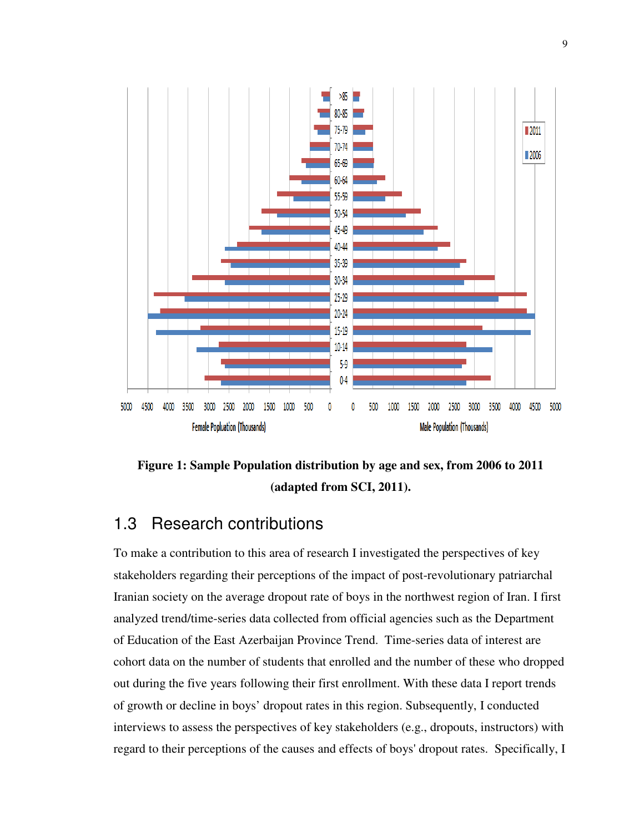



## 1.3 Research contributions

To make a contribution to this area of research I investigated the perspectives of key stakeholders regarding their perceptions of the impact of post-revolutionary patriarchal Iranian society on the average dropout rate of boys in the northwest region of Iran. I first analyzed trend/time-series data collected from official agencies such as the Department of Education of the East Azerbaijan Province Trend. Time-series data of interest are cohort data on the number of students that enrolled and the number of these who dropped out during the five years following their first enrollment. With these data I report trends of growth or decline in boys' dropout rates in this region. Subsequently, I conducted interviews to assess the perspectives of key stakeholders (e.g., dropouts, instructors) with regard to their perceptions of the causes and effects of boys' dropout rates. Specifically, I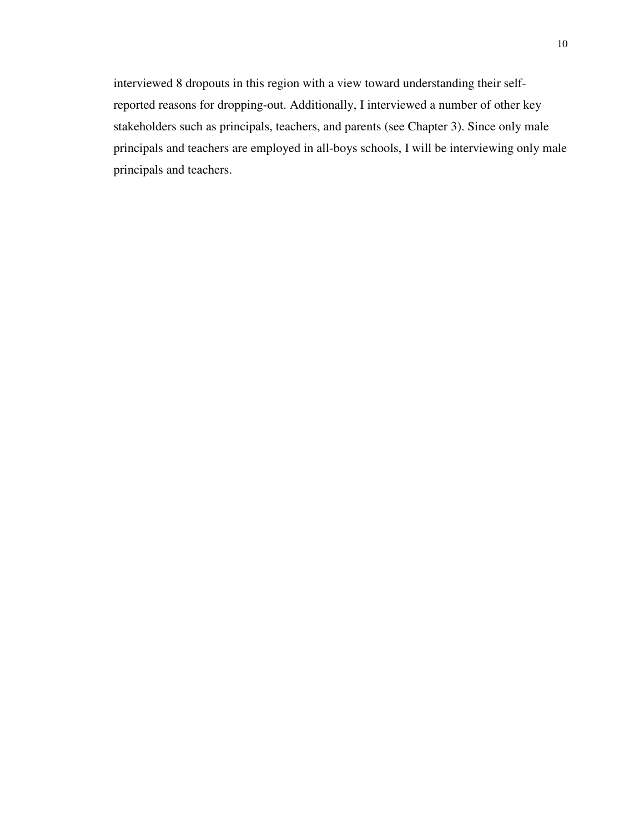interviewed 8 dropouts in this region with a view toward understanding their selfreported reasons for dropping-out. Additionally, I interviewed a number of other key stakeholders such as principals, teachers, and parents (see Chapter 3). Since only male principals and teachers are employed in all-boys schools, I will be interviewing only male principals and teachers.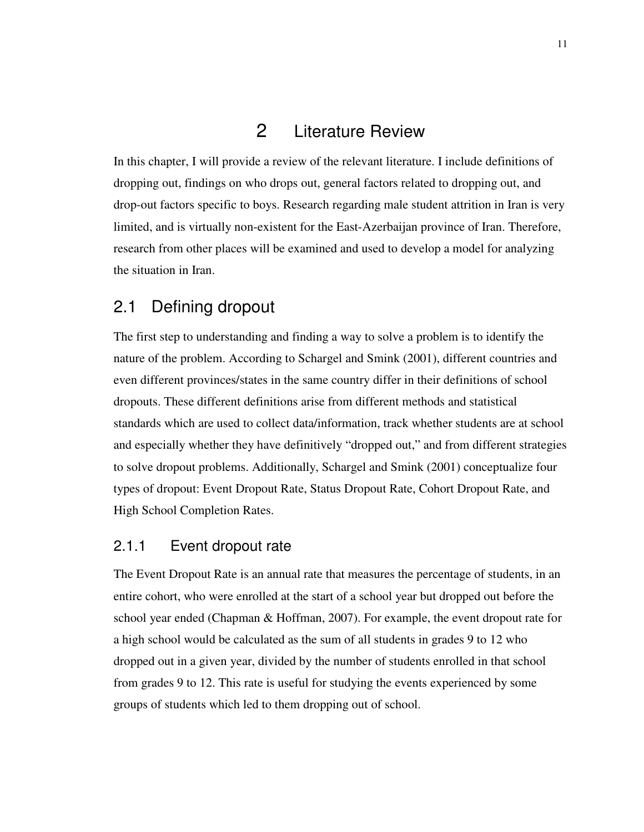## 2 Literature Review

In this chapter, I will provide a review of the relevant literature. I include definitions of dropping out, findings on who drops out, general factors related to dropping out, and drop-out factors specific to boys. Research regarding male student attrition in Iran is very limited, and is virtually non-existent for the East-Azerbaijan province of Iran. Therefore, research from other places will be examined and used to develop a model for analyzing the situation in Iran.

## 2.1 Defining dropout

The first step to understanding and finding a way to solve a problem is to identify the nature of the problem. According to Schargel and Smink (2001), different countries and even different provinces/states in the same country differ in their definitions of school dropouts. These different definitions arise from different methods and statistical standards which are used to collect data/information, track whether students are at school and especially whether they have definitively "dropped out," and from different strategies to solve dropout problems. Additionally, Schargel and Smink (2001) conceptualize four types of dropout: Event Dropout Rate, Status Dropout Rate, Cohort Dropout Rate, and High School Completion Rates.

## 2.1.1 Event dropout rate

The Event Dropout Rate is an annual rate that measures the percentage of students, in an entire cohort, who were enrolled at the start of a school year but dropped out before the school year ended (Chapman & Hoffman, 2007). For example, the event dropout rate for a high school would be calculated as the sum of all students in grades 9 to 12 who dropped out in a given year, divided by the number of students enrolled in that school from grades 9 to 12. This rate is useful for studying the events experienced by some groups of students which led to them dropping out of school.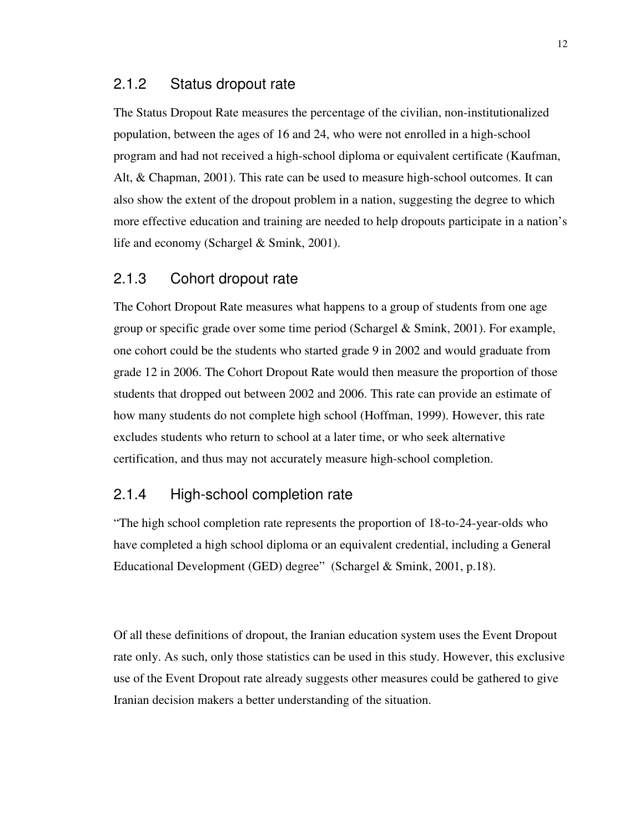#### 2.1.2 Status dropout rate

The Status Dropout Rate measures the percentage of the civilian, non-institutionalized population, between the ages of 16 and 24, who were not enrolled in a high-school program and had not received a high-school diploma or equivalent certificate (Kaufman, Alt, & Chapman, 2001). This rate can be used to measure high-school outcomes. It can also show the extent of the dropout problem in a nation, suggesting the degree to which more effective education and training are needed to help dropouts participate in a nation's life and economy (Schargel & Smink, 2001).

#### 2.1.3 Cohort dropout rate

The Cohort Dropout Rate measures what happens to a group of students from one age group or specific grade over some time period (Schargel & Smink, 2001). For example, one cohort could be the students who started grade 9 in 2002 and would graduate from grade 12 in 2006. The Cohort Dropout Rate would then measure the proportion of those students that dropped out between 2002 and 2006. This rate can provide an estimate of how many students do not complete high school (Hoffman, 1999). However, this rate excludes students who return to school at a later time, or who seek alternative certification, and thus may not accurately measure high-school completion.

#### 2.1.4 High-school completion rate

"The high school completion rate represents the proportion of 18-to-24-year-olds who have completed a high school diploma or an equivalent credential, including a General Educational Development (GED) degree" (Schargel & Smink, 2001, p.18).

Of all these definitions of dropout, the Iranian education system uses the Event Dropout rate only. As such, only those statistics can be used in this study. However, this exclusive use of the Event Dropout rate already suggests other measures could be gathered to give Iranian decision makers a better understanding of the situation.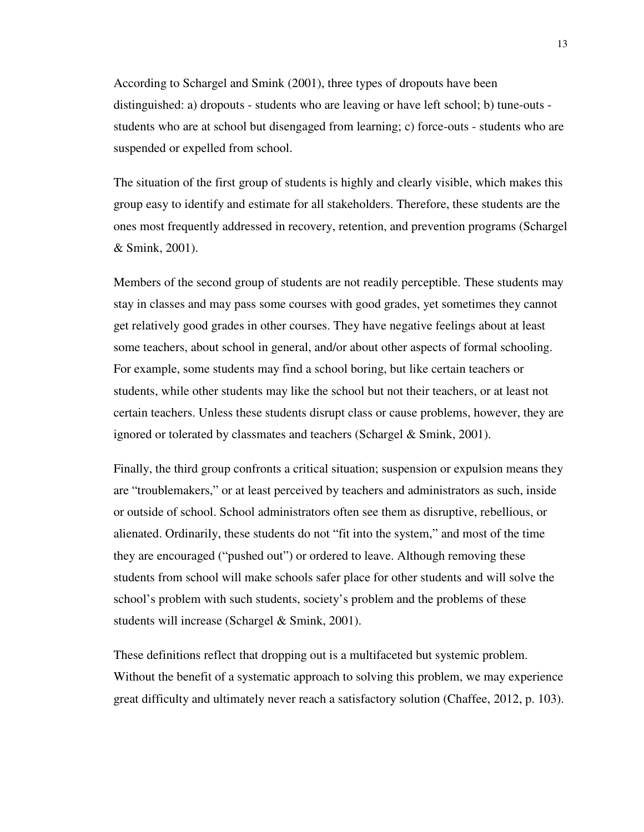According to Schargel and Smink (2001), three types of dropouts have been distinguished: a) dropouts - students who are leaving or have left school; b) tune-outs students who are at school but disengaged from learning; c) force-outs - students who are suspended or expelled from school.

The situation of the first group of students is highly and clearly visible, which makes this group easy to identify and estimate for all stakeholders. Therefore, these students are the ones most frequently addressed in recovery, retention, and prevention programs (Schargel & Smink, 2001).

Members of the second group of students are not readily perceptible. These students may stay in classes and may pass some courses with good grades, yet sometimes they cannot get relatively good grades in other courses. They have negative feelings about at least some teachers, about school in general, and/or about other aspects of formal schooling. For example, some students may find a school boring, but like certain teachers or students, while other students may like the school but not their teachers, or at least not certain teachers. Unless these students disrupt class or cause problems, however, they are ignored or tolerated by classmates and teachers (Schargel & Smink, 2001).

Finally, the third group confronts a critical situation; suspension or expulsion means they are "troublemakers," or at least perceived by teachers and administrators as such, inside or outside of school. School administrators often see them as disruptive, rebellious, or alienated. Ordinarily, these students do not "fit into the system," and most of the time they are encouraged ("pushed out") or ordered to leave. Although removing these students from school will make schools safer place for other students and will solve the school's problem with such students, society's problem and the problems of these students will increase (Schargel & Smink, 2001).

These definitions reflect that dropping out is a multifaceted but systemic problem. Without the benefit of a systematic approach to solving this problem, we may experience great difficulty and ultimately never reach a satisfactory solution (Chaffee, 2012, p. 103).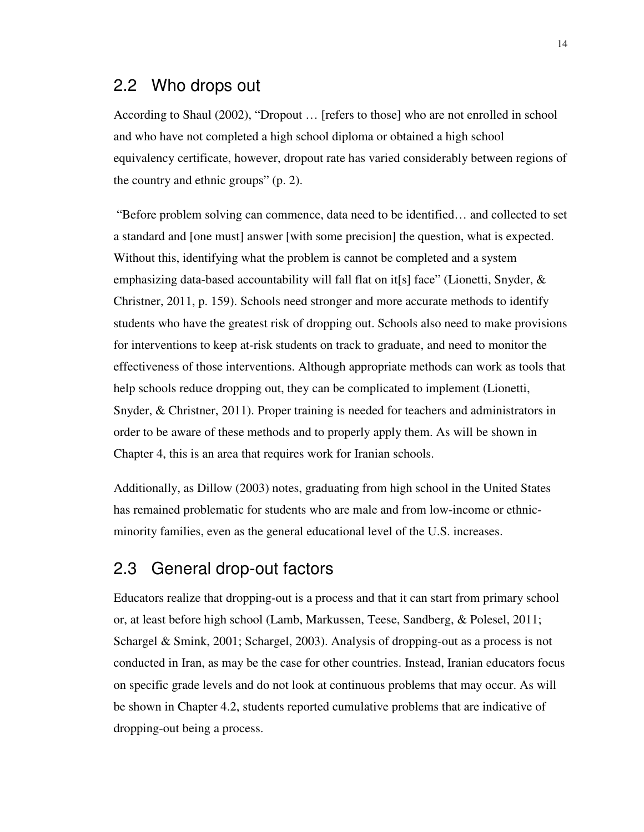## 2.2 Who drops out

According to Shaul (2002), "Dropout … [refers to those] who are not enrolled in school and who have not completed a high school diploma or obtained a high school equivalency certificate, however, dropout rate has varied considerably between regions of the country and ethnic groups" (p. 2).

 "Before problem solving can commence, data need to be identified… and collected to set a standard and [one must] answer [with some precision] the question, what is expected. Without this, identifying what the problem is cannot be completed and a system emphasizing data-based accountability will fall flat on it[s] face" (Lionetti, Snyder,  $\&$ Christner, 2011, p. 159). Schools need stronger and more accurate methods to identify students who have the greatest risk of dropping out. Schools also need to make provisions for interventions to keep at-risk students on track to graduate, and need to monitor the effectiveness of those interventions. Although appropriate methods can work as tools that help schools reduce dropping out, they can be complicated to implement (Lionetti, Snyder, & Christner, 2011). Proper training is needed for teachers and administrators in order to be aware of these methods and to properly apply them. As will be shown in Chapter 4, this is an area that requires work for Iranian schools.

Additionally, as Dillow (2003) notes, graduating from high school in the United States has remained problematic for students who are male and from low-income or ethnicminority families, even as the general educational level of the U.S. increases.

## 2.3 General drop-out factors

Educators realize that dropping-out is a process and that it can start from primary school or, at least before high school (Lamb, Markussen, Teese, Sandberg, & Polesel, 2011; Schargel & Smink, 2001; Schargel, 2003). Analysis of dropping-out as a process is not conducted in Iran, as may be the case for other countries. Instead, Iranian educators focus on specific grade levels and do not look at continuous problems that may occur. As will be shown in Chapter 4.2, students reported cumulative problems that are indicative of dropping-out being a process.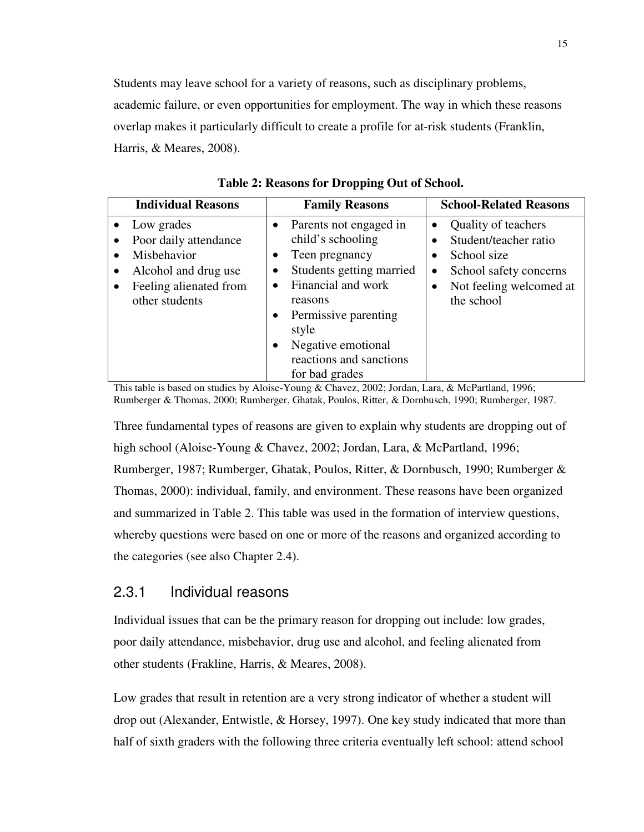Students may leave school for a variety of reasons, such as disciplinary problems, academic failure, or even opportunities for employment. The way in which these reasons overlap makes it particularly difficult to create a profile for at-risk students (Franklin, Harris, & Meares, 2008).

| <b>Individual Reasons</b>                                                                                                                                                  | <b>Family Reasons</b>                                                                                                                                                                                                                                                              | <b>School-Related Reasons</b>                                                                                                               |
|----------------------------------------------------------------------------------------------------------------------------------------------------------------------------|------------------------------------------------------------------------------------------------------------------------------------------------------------------------------------------------------------------------------------------------------------------------------------|---------------------------------------------------------------------------------------------------------------------------------------------|
| Low grades<br>$\bullet$<br>Poor daily attendance<br>$\bullet$<br>Misbehavior<br>Alcohol and drug use<br>$\bullet$<br>Feeling alienated from<br>$\bullet$<br>other students | Parents not engaged in<br>child's schooling<br>Teen pregnancy<br>$\bullet$<br>Students getting married<br>$\bullet$<br>Financial and work<br>reasons<br>Permissive parenting<br>$\bullet$<br>style<br>Negative emotional<br>$\bullet$<br>reactions and sanctions<br>for bad grades | Quality of teachers<br>Student/teacher ratio<br>School size<br>School safety concerns<br>$\bullet$<br>Not feeling welcomed at<br>the school |

**Table 2: Reasons for Dropping Out of School.** 

This table is based on studies by Aloise-Young & Chavez, 2002; Jordan, Lara, & McPartland, 1996; Rumberger & Thomas, 2000; Rumberger, Ghatak, Poulos, Ritter, & Dornbusch, 1990; Rumberger, 1987.

Three fundamental types of reasons are given to explain why students are dropping out of high school (Aloise-Young & Chavez, 2002; Jordan, Lara, & McPartland, 1996; Rumberger, 1987; Rumberger, Ghatak, Poulos, Ritter, & Dornbusch, 1990; Rumberger & Thomas, 2000): individual, family, and environment. These reasons have been organized and summarized in Table 2. This table was used in the formation of interview questions, whereby questions were based on one or more of the reasons and organized according to the categories (see also Chapter 2.4).

## 2.3.1 Individual reasons

Individual issues that can be the primary reason for dropping out include: low grades, poor daily attendance, misbehavior, drug use and alcohol, and feeling alienated from other students (Frakline, Harris, & Meares, 2008).

Low grades that result in retention are a very strong indicator of whether a student will drop out (Alexander, Entwistle, & Horsey, 1997). One key study indicated that more than half of sixth graders with the following three criteria eventually left school: attend school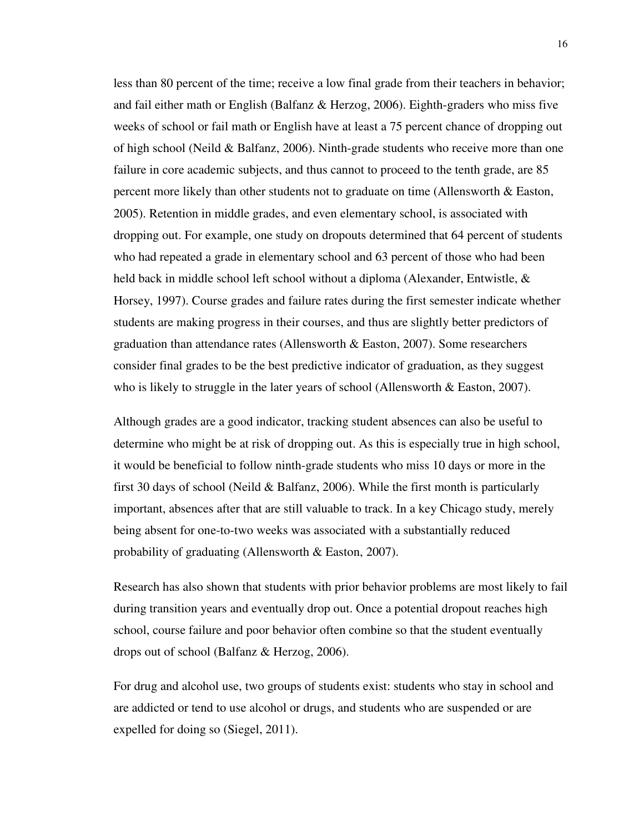less than 80 percent of the time; receive a low final grade from their teachers in behavior; and fail either math or English (Balfanz & Herzog, 2006). Eighth-graders who miss five weeks of school or fail math or English have at least a 75 percent chance of dropping out of high school (Neild  $&$  Balfanz, 2006). Ninth-grade students who receive more than one failure in core academic subjects, and thus cannot to proceed to the tenth grade, are 85 percent more likely than other students not to graduate on time (Allensworth & Easton, 2005). Retention in middle grades, and even elementary school, is associated with dropping out. For example, one study on dropouts determined that 64 percent of students who had repeated a grade in elementary school and 63 percent of those who had been held back in middle school left school without a diploma (Alexander, Entwistle, & Horsey, 1997). Course grades and failure rates during the first semester indicate whether students are making progress in their courses, and thus are slightly better predictors of graduation than attendance rates (Allensworth & Easton, 2007). Some researchers consider final grades to be the best predictive indicator of graduation, as they suggest who is likely to struggle in the later years of school (Allensworth  $& Easton, 2007$ ).

Although grades are a good indicator, tracking student absences can also be useful to determine who might be at risk of dropping out. As this is especially true in high school, it would be beneficial to follow ninth-grade students who miss 10 days or more in the first 30 days of school (Neild & Balfanz, 2006). While the first month is particularly important, absences after that are still valuable to track. In a key Chicago study, merely being absent for one-to-two weeks was associated with a substantially reduced probability of graduating (Allensworth & Easton, 2007).

Research has also shown that students with prior behavior problems are most likely to fail during transition years and eventually drop out. Once a potential dropout reaches high school, course failure and poor behavior often combine so that the student eventually drops out of school (Balfanz & Herzog, 2006).

For drug and alcohol use, two groups of students exist: students who stay in school and are addicted or tend to use alcohol or drugs, and students who are suspended or are expelled for doing so (Siegel, 2011).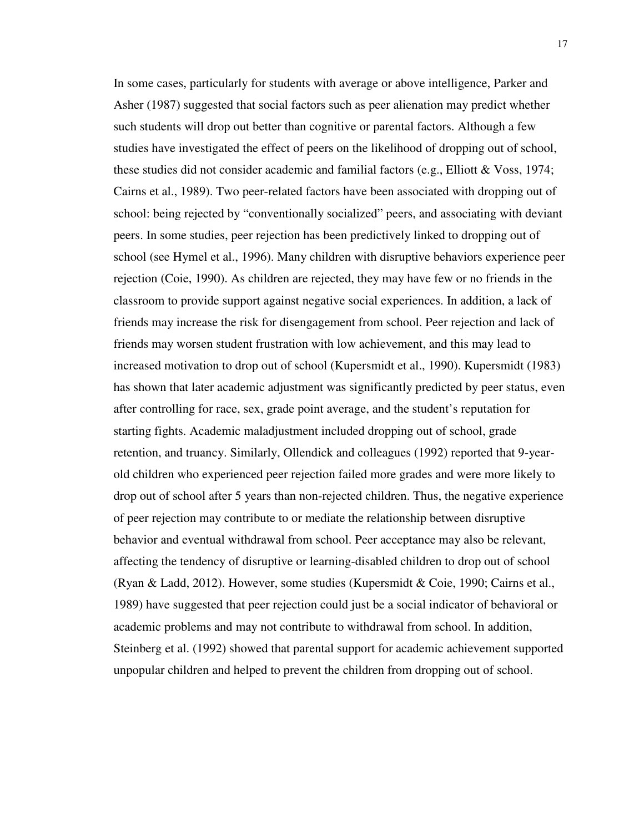In some cases, particularly for students with average or above intelligence, Parker and Asher (1987) suggested that social factors such as peer alienation may predict whether such students will drop out better than cognitive or parental factors. Although a few studies have investigated the effect of peers on the likelihood of dropping out of school, these studies did not consider academic and familial factors (e.g., Elliott & Voss, 1974; Cairns et al., 1989). Two peer-related factors have been associated with dropping out of school: being rejected by "conventionally socialized" peers, and associating with deviant peers. In some studies, peer rejection has been predictively linked to dropping out of school (see Hymel et al., 1996). Many children with disruptive behaviors experience peer rejection (Coie, 1990). As children are rejected, they may have few or no friends in the classroom to provide support against negative social experiences. In addition, a lack of friends may increase the risk for disengagement from school. Peer rejection and lack of friends may worsen student frustration with low achievement, and this may lead to increased motivation to drop out of school (Kupersmidt et al., 1990). Kupersmidt (1983) has shown that later academic adjustment was significantly predicted by peer status, even after controlling for race, sex, grade point average, and the student's reputation for starting fights. Academic maladjustment included dropping out of school, grade retention, and truancy. Similarly, Ollendick and colleagues (1992) reported that 9-yearold children who experienced peer rejection failed more grades and were more likely to drop out of school after 5 years than non-rejected children. Thus, the negative experience of peer rejection may contribute to or mediate the relationship between disruptive behavior and eventual withdrawal from school. Peer acceptance may also be relevant, affecting the tendency of disruptive or learning-disabled children to drop out of school (Ryan & Ladd, 2012). However, some studies (Kupersmidt & Coie, 1990; Cairns et al., 1989) have suggested that peer rejection could just be a social indicator of behavioral or academic problems and may not contribute to withdrawal from school. In addition, Steinberg et al. (1992) showed that parental support for academic achievement supported unpopular children and helped to prevent the children from dropping out of school.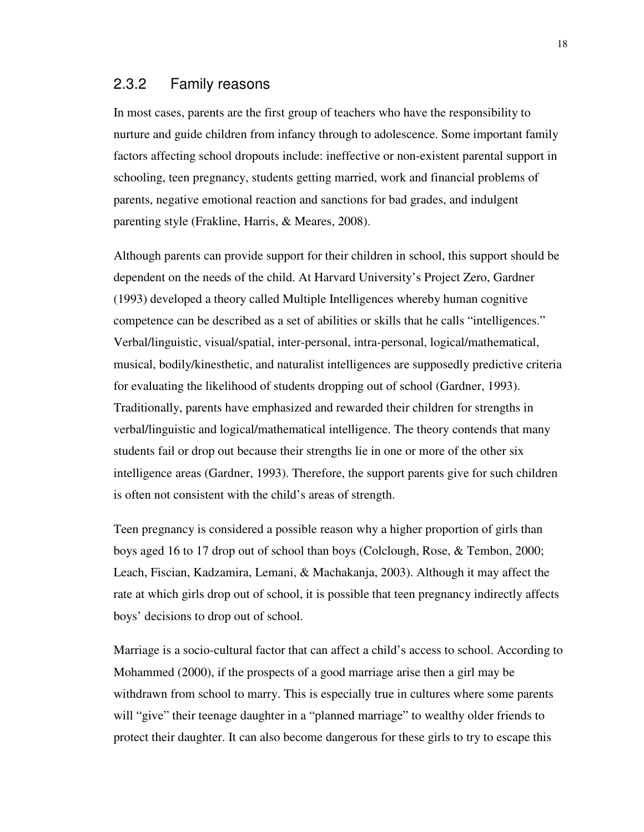### 2.3.2 Family reasons

In most cases, parents are the first group of teachers who have the responsibility to nurture and guide children from infancy through to adolescence. Some important family factors affecting school dropouts include: ineffective or non-existent parental support in schooling, teen pregnancy, students getting married, work and financial problems of parents, negative emotional reaction and sanctions for bad grades, and indulgent parenting style (Frakline, Harris, & Meares, 2008).

Although parents can provide support for their children in school, this support should be dependent on the needs of the child. At Harvard University's Project Zero, Gardner (1993) developed a theory called Multiple Intelligences whereby human cognitive competence can be described as a set of abilities or skills that he calls "intelligences." Verbal/linguistic, visual/spatial, inter-personal, intra-personal, logical/mathematical, musical, bodily/kinesthetic, and naturalist intelligences are supposedly predictive criteria for evaluating the likelihood of students dropping out of school (Gardner, 1993). Traditionally, parents have emphasized and rewarded their children for strengths in verbal/linguistic and logical/mathematical intelligence. The theory contends that many students fail or drop out because their strengths lie in one or more of the other six intelligence areas (Gardner, 1993). Therefore, the support parents give for such children is often not consistent with the child's areas of strength.

Teen pregnancy is considered a possible reason why a higher proportion of girls than boys aged 16 to 17 drop out of school than boys (Colclough, Rose, & Tembon, 2000; Leach, Fiscian, Kadzamira, Lemani, & Machakanja, 2003). Although it may affect the rate at which girls drop out of school, it is possible that teen pregnancy indirectly affects boys' decisions to drop out of school.

Marriage is a socio-cultural factor that can affect a child's access to school. According to Mohammed (2000), if the prospects of a good marriage arise then a girl may be withdrawn from school to marry. This is especially true in cultures where some parents will "give" their teenage daughter in a "planned marriage" to wealthy older friends to protect their daughter. It can also become dangerous for these girls to try to escape this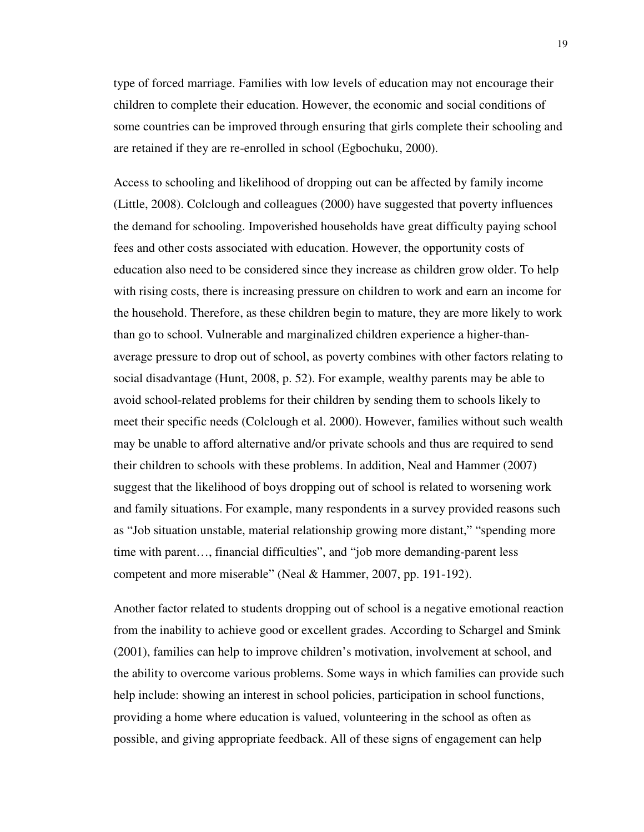type of forced marriage. Families with low levels of education may not encourage their children to complete their education. However, the economic and social conditions of some countries can be improved through ensuring that girls complete their schooling and are retained if they are re-enrolled in school (Egbochuku, 2000).

Access to schooling and likelihood of dropping out can be affected by family income (Little, 2008). Colclough and colleagues (2000) have suggested that poverty influences the demand for schooling. Impoverished households have great difficulty paying school fees and other costs associated with education. However, the opportunity costs of education also need to be considered since they increase as children grow older. To help with rising costs, there is increasing pressure on children to work and earn an income for the household. Therefore, as these children begin to mature, they are more likely to work than go to school. Vulnerable and marginalized children experience a higher-thanaverage pressure to drop out of school, as poverty combines with other factors relating to social disadvantage (Hunt, 2008, p. 52). For example, wealthy parents may be able to avoid school-related problems for their children by sending them to schools likely to meet their specific needs (Colclough et al. 2000). However, families without such wealth may be unable to afford alternative and/or private schools and thus are required to send their children to schools with these problems. In addition, Neal and Hammer (2007) suggest that the likelihood of boys dropping out of school is related to worsening work and family situations. For example, many respondents in a survey provided reasons such as "Job situation unstable, material relationship growing more distant," "spending more time with parent…, financial difficulties", and "job more demanding-parent less competent and more miserable" (Neal & Hammer, 2007, pp. 191-192).

Another factor related to students dropping out of school is a negative emotional reaction from the inability to achieve good or excellent grades. According to Schargel and Smink (2001), families can help to improve children's motivation, involvement at school, and the ability to overcome various problems. Some ways in which families can provide such help include: showing an interest in school policies, participation in school functions, providing a home where education is valued, volunteering in the school as often as possible, and giving appropriate feedback. All of these signs of engagement can help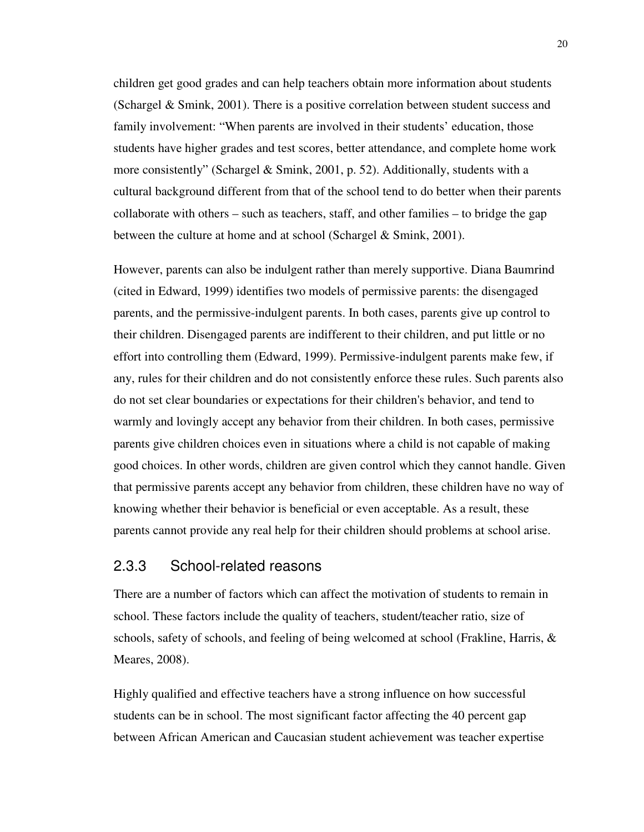children get good grades and can help teachers obtain more information about students (Schargel & Smink, 2001). There is a positive correlation between student success and family involvement: "When parents are involved in their students' education, those students have higher grades and test scores, better attendance, and complete home work more consistently" (Schargel & Smink, 2001, p. 52). Additionally, students with a cultural background different from that of the school tend to do better when their parents collaborate with others – such as teachers, staff, and other families – to bridge the gap between the culture at home and at school (Schargel & Smink, 2001).

However, parents can also be indulgent rather than merely supportive. Diana Baumrind (cited in Edward, 1999) identifies two models of permissive parents: the disengaged parents, and the permissive-indulgent parents. In both cases, parents give up control to their children. Disengaged parents are indifferent to their children, and put little or no effort into controlling them (Edward, 1999). Permissive-indulgent parents make few, if any, rules for their children and do not consistently enforce these rules. Such parents also do not set clear boundaries or expectations for their children's behavior, and tend to warmly and lovingly accept any behavior from their children. In both cases, permissive parents give children choices even in situations where a child is not capable of making good choices. In other words, children are given control which they cannot handle. Given that permissive parents accept any behavior from children, these children have no way of knowing whether their behavior is beneficial or even acceptable. As a result, these parents cannot provide any real help for their children should problems at school arise.

#### 2.3.3 School-related reasons

There are a number of factors which can affect the motivation of students to remain in school. These factors include the quality of teachers, student/teacher ratio, size of schools, safety of schools, and feeling of being welcomed at school (Frakline, Harris, & Meares, 2008).

Highly qualified and effective teachers have a strong influence on how successful students can be in school. The most significant factor affecting the 40 percent gap between African American and Caucasian student achievement was teacher expertise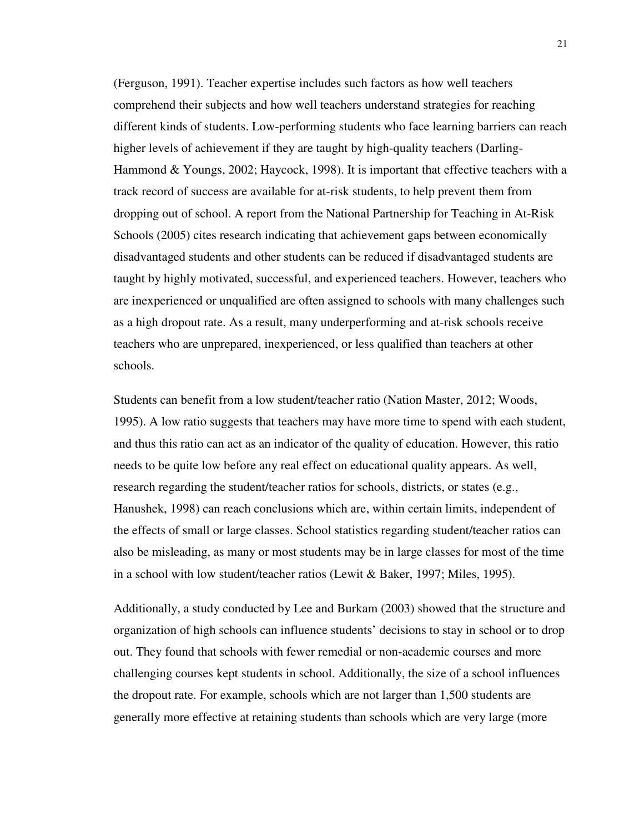(Ferguson, 1991). Teacher expertise includes such factors as how well teachers comprehend their subjects and how well teachers understand strategies for reaching different kinds of students. Low-performing students who face learning barriers can reach higher levels of achievement if they are taught by high-quality teachers (Darling-Hammond & Youngs, 2002; Haycock, 1998). It is important that effective teachers with a track record of success are available for at-risk students, to help prevent them from dropping out of school. A report from the National Partnership for Teaching in At-Risk Schools (2005) cites research indicating that achievement gaps between economically disadvantaged students and other students can be reduced if disadvantaged students are taught by highly motivated, successful, and experienced teachers. However, teachers who are inexperienced or unqualified are often assigned to schools with many challenges such as a high dropout rate. As a result, many underperforming and at-risk schools receive teachers who are unprepared, inexperienced, or less qualified than teachers at other schools.

Students can benefit from a low student/teacher ratio (Nation Master, 2012; Woods, 1995). A low ratio suggests that teachers may have more time to spend with each student, and thus this ratio can act as an indicator of the quality of education. However, this ratio needs to be quite low before any real effect on educational quality appears. As well, research regarding the student/teacher ratios for schools, districts, or states (e.g., Hanushek, 1998) can reach conclusions which are, within certain limits, independent of the effects of small or large classes. School statistics regarding student/teacher ratios can also be misleading, as many or most students may be in large classes for most of the time in a school with low student/teacher ratios (Lewit & Baker, 1997; Miles, 1995).

Additionally, a study conducted by Lee and Burkam (2003) showed that the structure and organization of high schools can influence students' decisions to stay in school or to drop out. They found that schools with fewer remedial or non-academic courses and more challenging courses kept students in school. Additionally, the size of a school influences the dropout rate. For example, schools which are not larger than 1,500 students are generally more effective at retaining students than schools which are very large (more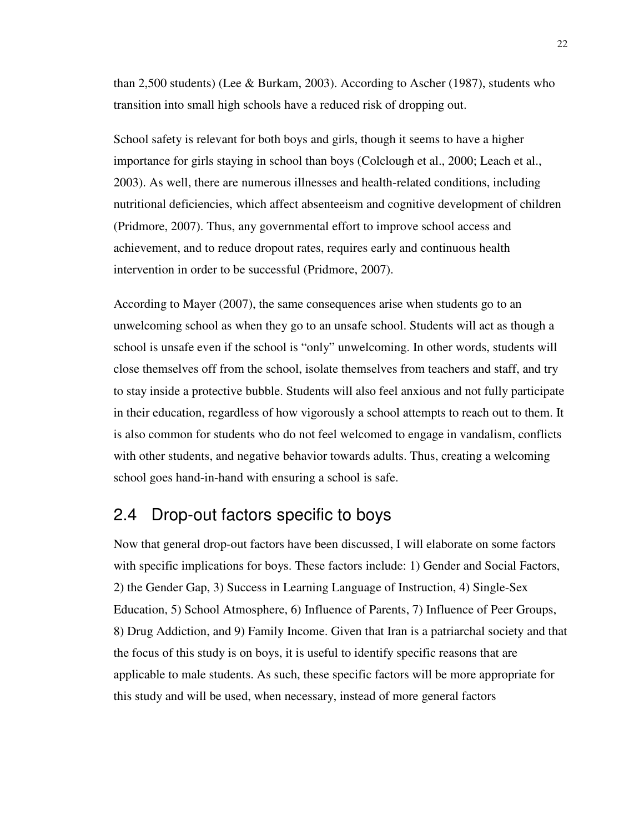than 2,500 students) (Lee & Burkam, 2003). According to Ascher (1987), students who transition into small high schools have a reduced risk of dropping out.

School safety is relevant for both boys and girls, though it seems to have a higher importance for girls staying in school than boys (Colclough et al., 2000; Leach et al., 2003). As well, there are numerous illnesses and health-related conditions, including nutritional deficiencies, which affect absenteeism and cognitive development of children (Pridmore, 2007). Thus, any governmental effort to improve school access and achievement, and to reduce dropout rates, requires early and continuous health intervention in order to be successful (Pridmore, 2007).

According to Mayer (2007), the same consequences arise when students go to an unwelcoming school as when they go to an unsafe school. Students will act as though a school is unsafe even if the school is "only" unwelcoming. In other words, students will close themselves off from the school, isolate themselves from teachers and staff, and try to stay inside a protective bubble. Students will also feel anxious and not fully participate in their education, regardless of how vigorously a school attempts to reach out to them. It is also common for students who do not feel welcomed to engage in vandalism, conflicts with other students, and negative behavior towards adults. Thus, creating a welcoming school goes hand-in-hand with ensuring a school is safe.

## 2.4 Drop-out factors specific to boys

Now that general drop-out factors have been discussed, I will elaborate on some factors with specific implications for boys. These factors include: 1) Gender and Social Factors, 2) the Gender Gap, 3) Success in Learning Language of Instruction, 4) Single-Sex Education, 5) School Atmosphere, 6) Influence of Parents, 7) Influence of Peer Groups, 8) Drug Addiction, and 9) Family Income. Given that Iran is a patriarchal society and that the focus of this study is on boys, it is useful to identify specific reasons that are applicable to male students. As such, these specific factors will be more appropriate for this study and will be used, when necessary, instead of more general factors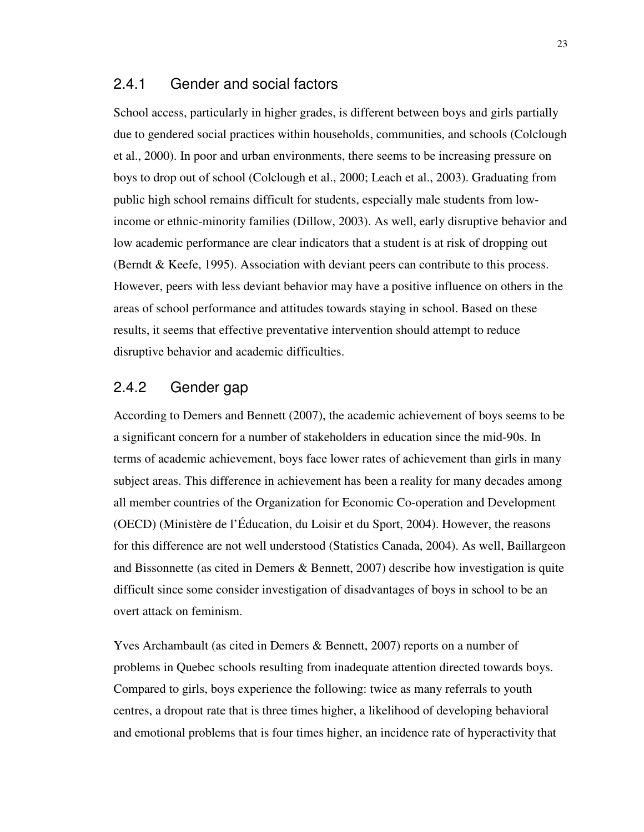#### 2.4.1 Gender and social factors

School access, particularly in higher grades, is different between boys and girls partially due to gendered social practices within households, communities, and schools (Colclough et al., 2000). In poor and urban environments, there seems to be increasing pressure on boys to drop out of school (Colclough et al., 2000; Leach et al., 2003). Graduating from public high school remains difficult for students, especially male students from lowincome or ethnic-minority families (Dillow, 2003). As well, early disruptive behavior and low academic performance are clear indicators that a student is at risk of dropping out (Berndt & Keefe, 1995). Association with deviant peers can contribute to this process. However, peers with less deviant behavior may have a positive influence on others in the areas of school performance and attitudes towards staying in school. Based on these results, it seems that effective preventative intervention should attempt to reduce disruptive behavior and academic difficulties.

#### 2.4.2 Gender gap

According to Demers and Bennett (2007), the academic achievement of boys seems to be a significant concern for a number of stakeholders in education since the mid-90s. In terms of academic achievement, boys face lower rates of achievement than girls in many subject areas. This difference in achievement has been a reality for many decades among all member countries of the Organization for Economic Co-operation and Development (OECD) (Ministère de l'Éducation, du Loisir et du Sport, 2004). However, the reasons for this difference are not well understood (Statistics Canada, 2004). As well, Baillargeon and Bissonnette (as cited in Demers & Bennett, 2007) describe how investigation is quite difficult since some consider investigation of disadvantages of boys in school to be an overt attack on feminism.

Yves Archambault (as cited in Demers & Bennett, 2007) reports on a number of problems in Quebec schools resulting from inadequate attention directed towards boys. Compared to girls, boys experience the following: twice as many referrals to youth centres, a dropout rate that is three times higher, a likelihood of developing behavioral and emotional problems that is four times higher, an incidence rate of hyperactivity that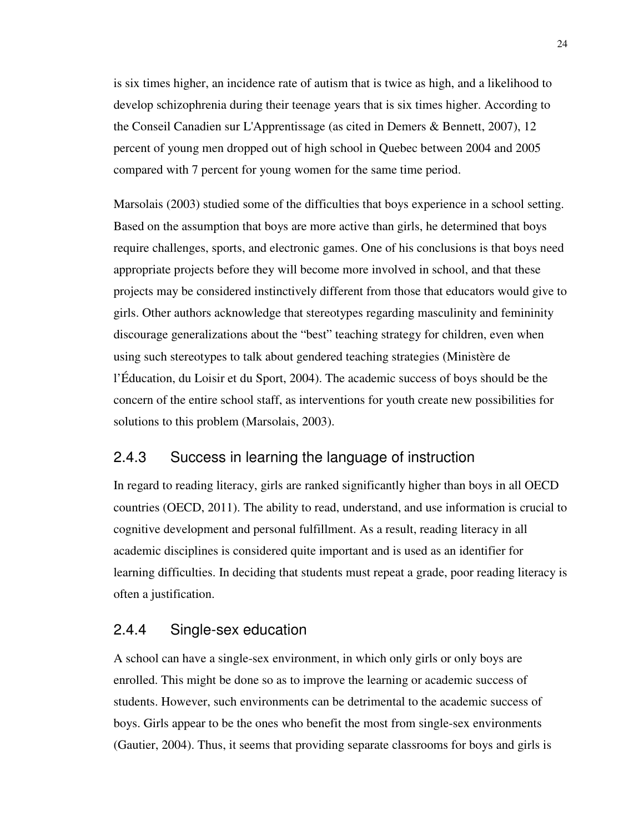is six times higher, an incidence rate of autism that is twice as high, and a likelihood to develop schizophrenia during their teenage years that is six times higher. According to the Conseil Canadien sur L'Apprentissage (as cited in Demers & Bennett, 2007), 12 percent of young men dropped out of high school in Quebec between 2004 and 2005 compared with 7 percent for young women for the same time period.

Marsolais (2003) studied some of the difficulties that boys experience in a school setting. Based on the assumption that boys are more active than girls, he determined that boys require challenges, sports, and electronic games. One of his conclusions is that boys need appropriate projects before they will become more involved in school, and that these projects may be considered instinctively different from those that educators would give to girls. Other authors acknowledge that stereotypes regarding masculinity and femininity discourage generalizations about the "best" teaching strategy for children, even when using such stereotypes to talk about gendered teaching strategies (Ministère de l'Éducation, du Loisir et du Sport, 2004). The academic success of boys should be the concern of the entire school staff, as interventions for youth create new possibilities for solutions to this problem (Marsolais, 2003).

### 2.4.3 Success in learning the language of instruction

In regard to reading literacy, girls are ranked significantly higher than boys in all OECD countries (OECD, 2011). The ability to read, understand, and use information is crucial to cognitive development and personal fulfillment. As a result, reading literacy in all academic disciplines is considered quite important and is used as an identifier for learning difficulties. In deciding that students must repeat a grade, poor reading literacy is often a justification.

#### 2.4.4 Single-sex education

A school can have a single-sex environment, in which only girls or only boys are enrolled. This might be done so as to improve the learning or academic success of students. However, such environments can be detrimental to the academic success of boys. Girls appear to be the ones who benefit the most from single-sex environments (Gautier, 2004). Thus, it seems that providing separate classrooms for boys and girls is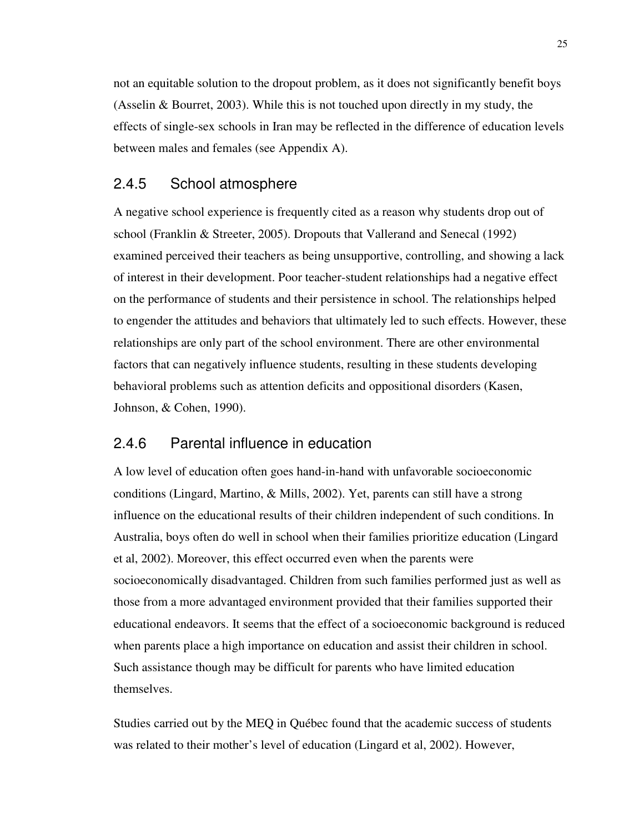not an equitable solution to the dropout problem, as it does not significantly benefit boys (Asselin & Bourret, 2003). While this is not touched upon directly in my study, the effects of single-sex schools in Iran may be reflected in the difference of education levels between males and females (see Appendix A).

#### 2.4.5 School atmosphere

A negative school experience is frequently cited as a reason why students drop out of school (Franklin & Streeter, 2005). Dropouts that Vallerand and Senecal (1992) examined perceived their teachers as being unsupportive, controlling, and showing a lack of interest in their development. Poor teacher-student relationships had a negative effect on the performance of students and their persistence in school. The relationships helped to engender the attitudes and behaviors that ultimately led to such effects. However, these relationships are only part of the school environment. There are other environmental factors that can negatively influence students, resulting in these students developing behavioral problems such as attention deficits and oppositional disorders (Kasen, Johnson, & Cohen, 1990).

#### 2.4.6 Parental influence in education

A low level of education often goes hand-in-hand with unfavorable socioeconomic conditions (Lingard, Martino, & Mills, 2002). Yet, parents can still have a strong influence on the educational results of their children independent of such conditions. In Australia, boys often do well in school when their families prioritize education (Lingard et al, 2002). Moreover, this effect occurred even when the parents were socioeconomically disadvantaged. Children from such families performed just as well as those from a more advantaged environment provided that their families supported their educational endeavors. It seems that the effect of a socioeconomic background is reduced when parents place a high importance on education and assist their children in school. Such assistance though may be difficult for parents who have limited education themselves.

Studies carried out by the MEQ in Québec found that the academic success of students was related to their mother's level of education (Lingard et al, 2002). However,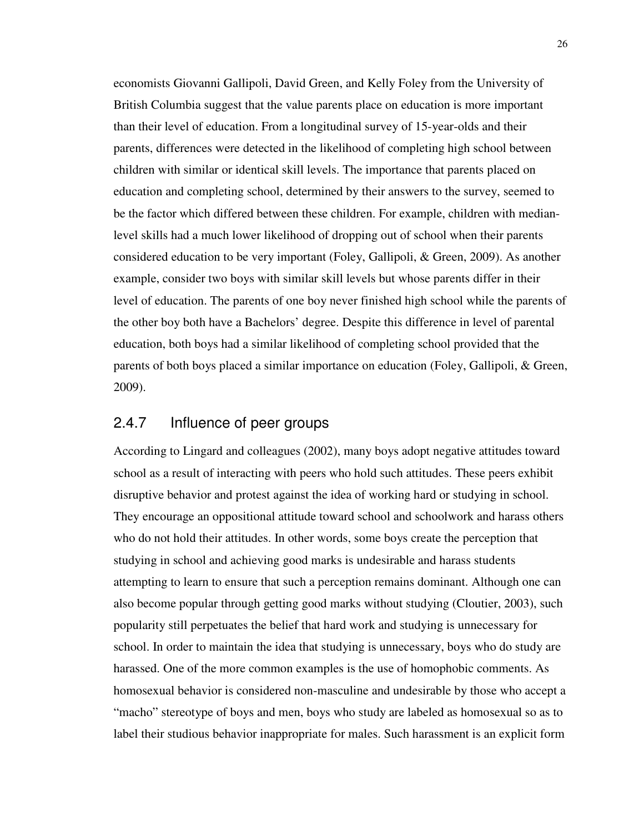economists Giovanni Gallipoli, David Green, and Kelly Foley from the University of British Columbia suggest that the value parents place on education is more important than their level of education. From a longitudinal survey of 15-year-olds and their parents, differences were detected in the likelihood of completing high school between children with similar or identical skill levels. The importance that parents placed on education and completing school, determined by their answers to the survey, seemed to be the factor which differed between these children. For example, children with medianlevel skills had a much lower likelihood of dropping out of school when their parents considered education to be very important (Foley, Gallipoli, & Green, 2009). As another example, consider two boys with similar skill levels but whose parents differ in their level of education. The parents of one boy never finished high school while the parents of the other boy both have a Bachelors' degree. Despite this difference in level of parental education, both boys had a similar likelihood of completing school provided that the parents of both boys placed a similar importance on education (Foley, Gallipoli, & Green, 2009).

### 2.4.7 Influence of peer groups

According to Lingard and colleagues (2002), many boys adopt negative attitudes toward school as a result of interacting with peers who hold such attitudes. These peers exhibit disruptive behavior and protest against the idea of working hard or studying in school. They encourage an oppositional attitude toward school and schoolwork and harass others who do not hold their attitudes. In other words, some boys create the perception that studying in school and achieving good marks is undesirable and harass students attempting to learn to ensure that such a perception remains dominant. Although one can also become popular through getting good marks without studying (Cloutier, 2003), such popularity still perpetuates the belief that hard work and studying is unnecessary for school. In order to maintain the idea that studying is unnecessary, boys who do study are harassed. One of the more common examples is the use of homophobic comments. As homosexual behavior is considered non-masculine and undesirable by those who accept a "macho" stereotype of boys and men, boys who study are labeled as homosexual so as to label their studious behavior inappropriate for males. Such harassment is an explicit form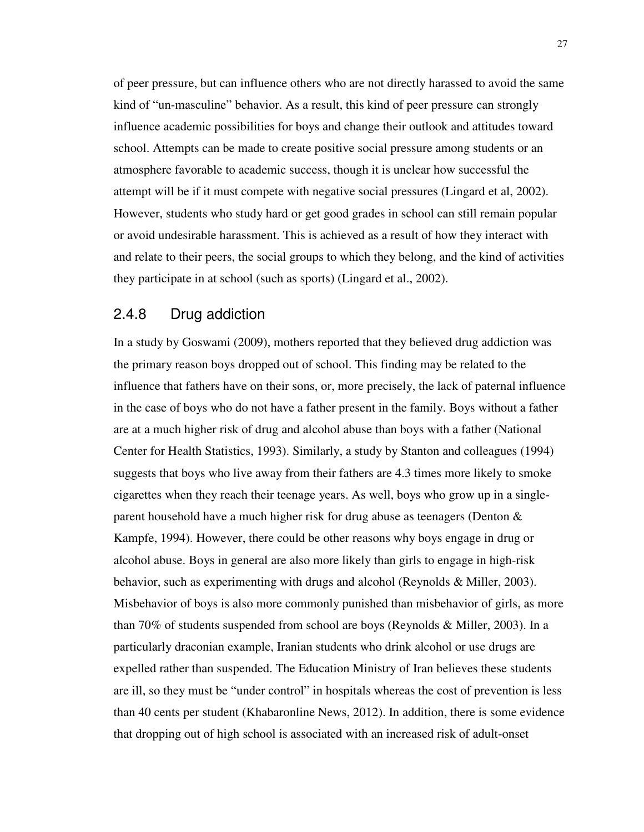of peer pressure, but can influence others who are not directly harassed to avoid the same kind of "un-masculine" behavior. As a result, this kind of peer pressure can strongly influence academic possibilities for boys and change their outlook and attitudes toward school. Attempts can be made to create positive social pressure among students or an atmosphere favorable to academic success, though it is unclear how successful the attempt will be if it must compete with negative social pressures (Lingard et al, 2002). However, students who study hard or get good grades in school can still remain popular or avoid undesirable harassment. This is achieved as a result of how they interact with and relate to their peers, the social groups to which they belong, and the kind of activities they participate in at school (such as sports) (Lingard et al., 2002).

#### 2.4.8 Drug addiction

In a study by Goswami (2009), mothers reported that they believed drug addiction was the primary reason boys dropped out of school. This finding may be related to the influence that fathers have on their sons, or, more precisely, the lack of paternal influence in the case of boys who do not have a father present in the family. Boys without a father are at a much higher risk of drug and alcohol abuse than boys with a father (National Center for Health Statistics, 1993). Similarly, a study by Stanton and colleagues (1994) suggests that boys who live away from their fathers are 4.3 times more likely to smoke cigarettes when they reach their teenage years. As well, boys who grow up in a singleparent household have a much higher risk for drug abuse as teenagers (Denton & Kampfe, 1994). However, there could be other reasons why boys engage in drug or alcohol abuse. Boys in general are also more likely than girls to engage in high-risk behavior, such as experimenting with drugs and alcohol (Reynolds & Miller, 2003). Misbehavior of boys is also more commonly punished than misbehavior of girls, as more than 70% of students suspended from school are boys (Reynolds & Miller, 2003). In a particularly draconian example, Iranian students who drink alcohol or use drugs are expelled rather than suspended. The Education Ministry of Iran believes these students are ill, so they must be "under control" in hospitals whereas the cost of prevention is less than 40 cents per student (Khabaronline News, 2012). In addition, there is some evidence that dropping out of high school is associated with an increased risk of adult-onset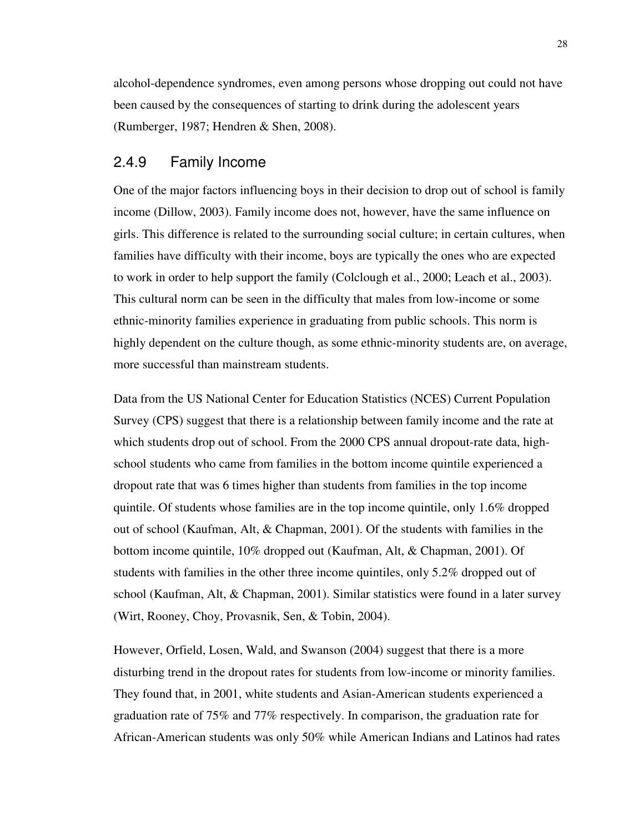alcohol-dependence syndromes, even among persons whose dropping out could not have been caused by the consequences of starting to drink during the adolescent years (Rumberger, 1987; Hendren & Shen, 2008).

#### 2.4.9 Family Income

One of the major factors influencing boys in their decision to drop out of school is family income (Dillow, 2003). Family income does not, however, have the same influence on girls. This difference is related to the surrounding social culture; in certain cultures, when families have difficulty with their income, boys are typically the ones who are expected to work in order to help support the family (Colclough et al., 2000; Leach et al., 2003). This cultural norm can be seen in the difficulty that males from low-income or some ethnic-minority families experience in graduating from public schools. This norm is highly dependent on the culture though, as some ethnic-minority students are, on average, more successful than mainstream students.

Data from the US National Center for Education Statistics (NCES) Current Population Survey (CPS) suggest that there is a relationship between family income and the rate at which students drop out of school. From the 2000 CPS annual dropout-rate data, highschool students who came from families in the bottom income quintile experienced a dropout rate that was 6 times higher than students from families in the top income quintile. Of students whose families are in the top income quintile, only 1.6% dropped out of school (Kaufman, Alt, & Chapman, 2001). Of the students with families in the bottom income quintile, 10% dropped out (Kaufman, Alt, & Chapman, 2001). Of students with families in the other three income quintiles, only 5.2% dropped out of school (Kaufman, Alt, & Chapman, 2001). Similar statistics were found in a later survey (Wirt, Rooney, Choy, Provasnik, Sen, & Tobin, 2004).

However, Orfield, Losen, Wald, and Swanson (2004) suggest that there is a more disturbing trend in the dropout rates for students from low-income or minority families. They found that, in 2001, white students and Asian-American students experienced a graduation rate of 75% and 77% respectively. In comparison, the graduation rate for African-American students was only 50% while American Indians and Latinos had rates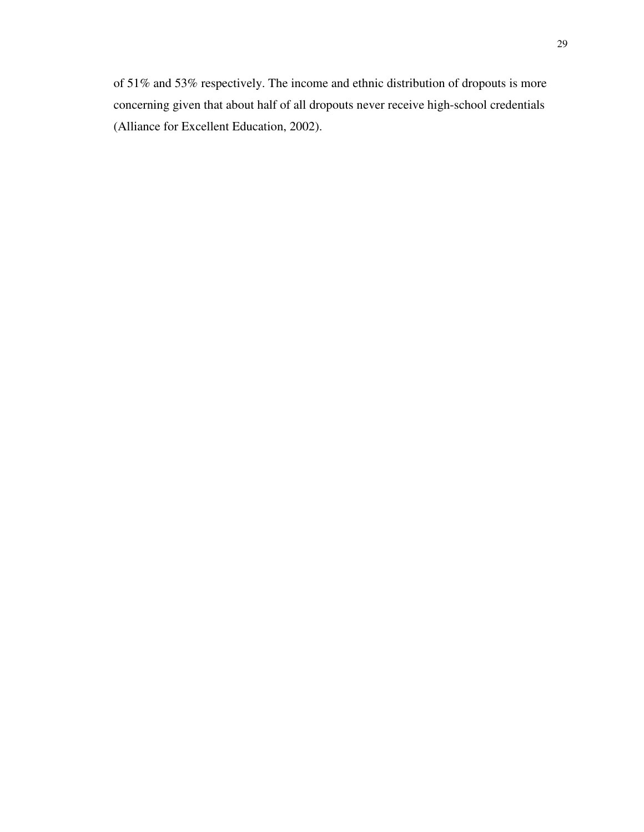of 51% and 53% respectively. The income and ethnic distribution of dropouts is more concerning given that about half of all dropouts never receive high-school credentials (Alliance for Excellent Education, 2002).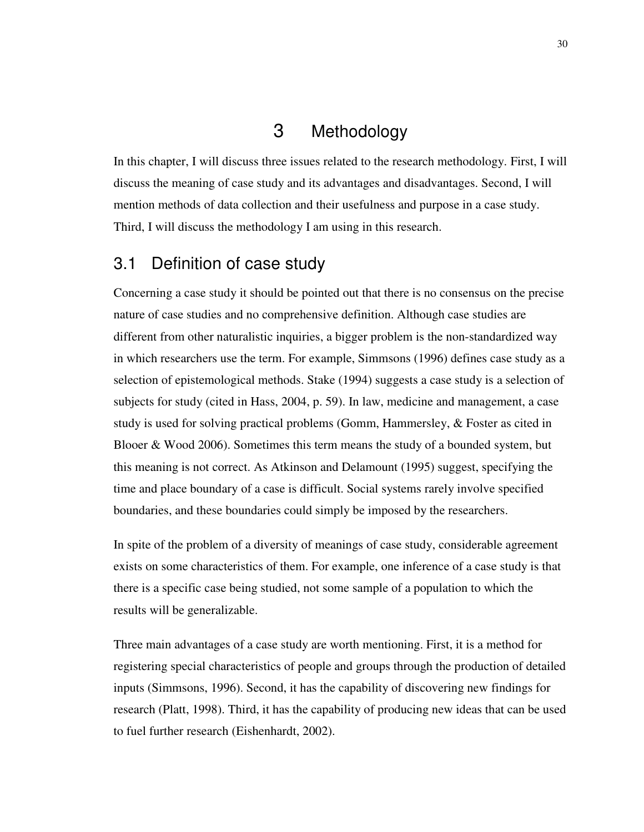# 3 Methodology

In this chapter, I will discuss three issues related to the research methodology. First, I will discuss the meaning of case study and its advantages and disadvantages. Second, I will mention methods of data collection and their usefulness and purpose in a case study. Third, I will discuss the methodology I am using in this research.

# 3.1 Definition of case study

Concerning a case study it should be pointed out that there is no consensus on the precise nature of case studies and no comprehensive definition. Although case studies are different from other naturalistic inquiries, a bigger problem is the non-standardized way in which researchers use the term. For example, Simmsons (1996) defines case study as a selection of epistemological methods. Stake (1994) suggests a case study is a selection of subjects for study (cited in Hass, 2004, p. 59). In law, medicine and management, a case study is used for solving practical problems (Gomm, Hammersley, & Foster as cited in Blooer & Wood 2006). Sometimes this term means the study of a bounded system, but this meaning is not correct. As Atkinson and Delamount (1995) suggest, specifying the time and place boundary of a case is difficult. Social systems rarely involve specified boundaries, and these boundaries could simply be imposed by the researchers.

In spite of the problem of a diversity of meanings of case study, considerable agreement exists on some characteristics of them. For example, one inference of a case study is that there is a specific case being studied, not some sample of a population to which the results will be generalizable.

Three main advantages of a case study are worth mentioning. First, it is a method for registering special characteristics of people and groups through the production of detailed inputs (Simmsons, 1996). Second, it has the capability of discovering new findings for research (Platt, 1998). Third, it has the capability of producing new ideas that can be used to fuel further research (Eishenhardt, 2002).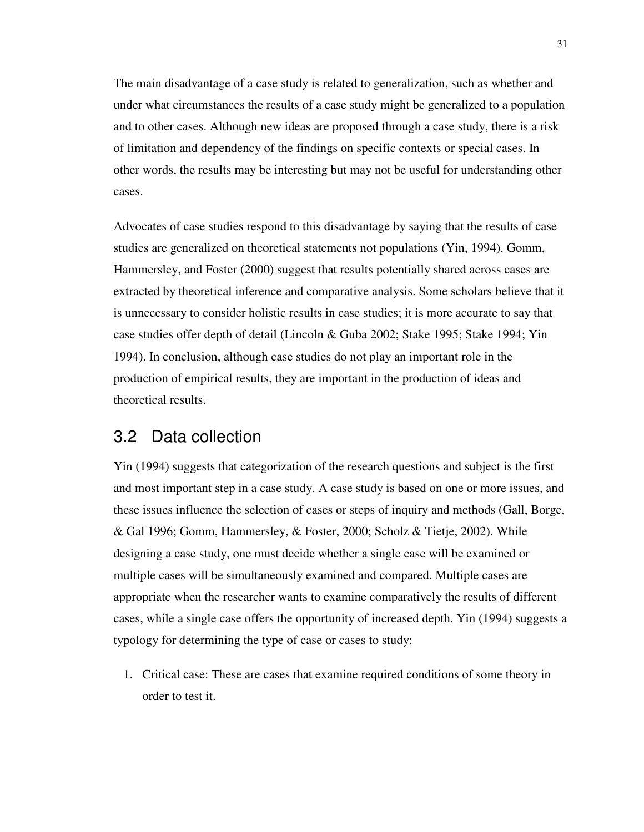The main disadvantage of a case study is related to generalization, such as whether and under what circumstances the results of a case study might be generalized to a population and to other cases. Although new ideas are proposed through a case study, there is a risk of limitation and dependency of the findings on specific contexts or special cases. In other words, the results may be interesting but may not be useful for understanding other cases.

Advocates of case studies respond to this disadvantage by saying that the results of case studies are generalized on theoretical statements not populations (Yin, 1994). Gomm, Hammersley, and Foster (2000) suggest that results potentially shared across cases are extracted by theoretical inference and comparative analysis. Some scholars believe that it is unnecessary to consider holistic results in case studies; it is more accurate to say that case studies offer depth of detail (Lincoln & Guba 2002; Stake 1995; Stake 1994; Yin 1994). In conclusion, although case studies do not play an important role in the production of empirical results, they are important in the production of ideas and theoretical results.

## 3.2 Data collection

Yin (1994) suggests that categorization of the research questions and subject is the first and most important step in a case study. A case study is based on one or more issues, and these issues influence the selection of cases or steps of inquiry and methods (Gall, Borge, & Gal 1996; Gomm, Hammersley, & Foster, 2000; Scholz & Tietje, 2002). While designing a case study, one must decide whether a single case will be examined or multiple cases will be simultaneously examined and compared. Multiple cases are appropriate when the researcher wants to examine comparatively the results of different cases, while a single case offers the opportunity of increased depth. Yin (1994) suggests a typology for determining the type of case or cases to study:

1. Critical case: These are cases that examine required conditions of some theory in order to test it.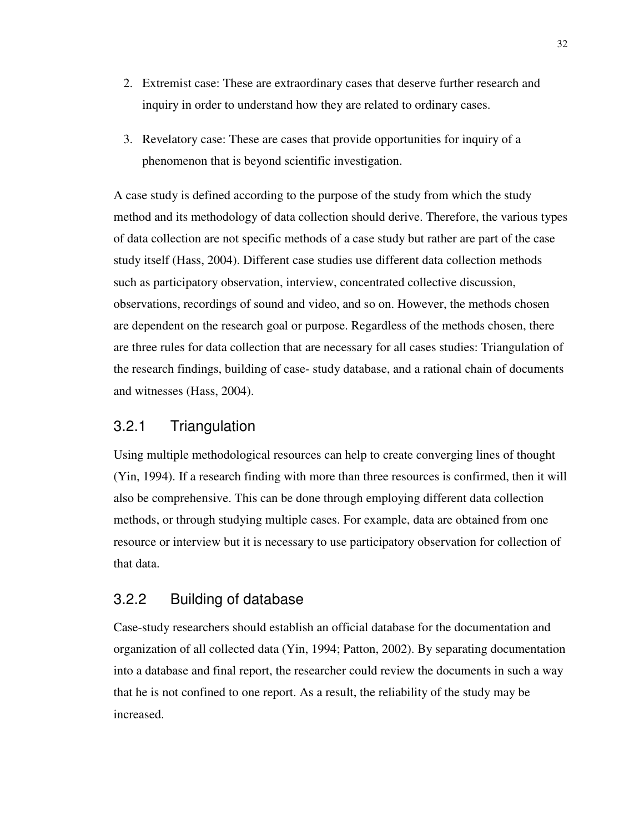- 2. Extremist case: These are extraordinary cases that deserve further research and inquiry in order to understand how they are related to ordinary cases.
- 3. Revelatory case: These are cases that provide opportunities for inquiry of a phenomenon that is beyond scientific investigation.

A case study is defined according to the purpose of the study from which the study method and its methodology of data collection should derive. Therefore, the various types of data collection are not specific methods of a case study but rather are part of the case study itself (Hass, 2004). Different case studies use different data collection methods such as participatory observation, interview, concentrated collective discussion, observations, recordings of sound and video, and so on. However, the methods chosen are dependent on the research goal or purpose. Regardless of the methods chosen, there are three rules for data collection that are necessary for all cases studies: Triangulation of the research findings, building of case- study database, and a rational chain of documents and witnesses (Hass, 2004).

#### 3.2.1 Triangulation

Using multiple methodological resources can help to create converging lines of thought (Yin, 1994). If a research finding with more than three resources is confirmed, then it will also be comprehensive. This can be done through employing different data collection methods, or through studying multiple cases. For example, data are obtained from one resource or interview but it is necessary to use participatory observation for collection of that data.

### 3.2.2 Building of database

Case-study researchers should establish an official database for the documentation and organization of all collected data (Yin, 1994; Patton, 2002). By separating documentation into a database and final report, the researcher could review the documents in such a way that he is not confined to one report. As a result, the reliability of the study may be increased.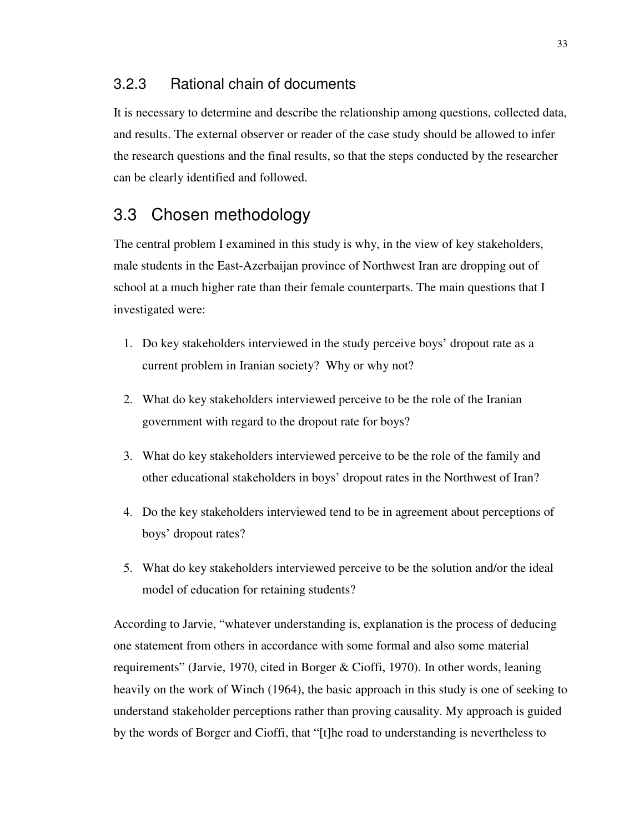#### 3.2.3 Rational chain of documents

It is necessary to determine and describe the relationship among questions, collected data, and results. The external observer or reader of the case study should be allowed to infer the research questions and the final results, so that the steps conducted by the researcher can be clearly identified and followed.

## 3.3 Chosen methodology

The central problem I examined in this study is why, in the view of key stakeholders, male students in the East-Azerbaijan province of Northwest Iran are dropping out of school at a much higher rate than their female counterparts. The main questions that I investigated were:

- 1. Do key stakeholders interviewed in the study perceive boys' dropout rate as a current problem in Iranian society? Why or why not?
- 2. What do key stakeholders interviewed perceive to be the role of the Iranian government with regard to the dropout rate for boys?
- 3. What do key stakeholders interviewed perceive to be the role of the family and other educational stakeholders in boys' dropout rates in the Northwest of Iran?
- 4. Do the key stakeholders interviewed tend to be in agreement about perceptions of boys' dropout rates?
- 5. What do key stakeholders interviewed perceive to be the solution and/or the ideal model of education for retaining students?

According to Jarvie, "whatever understanding is, explanation is the process of deducing one statement from others in accordance with some formal and also some material requirements" (Jarvie, 1970, cited in Borger & Cioffi, 1970). In other words, leaning heavily on the work of Winch (1964), the basic approach in this study is one of seeking to understand stakeholder perceptions rather than proving causality. My approach is guided by the words of Borger and Cioffi, that "[t]he road to understanding is nevertheless to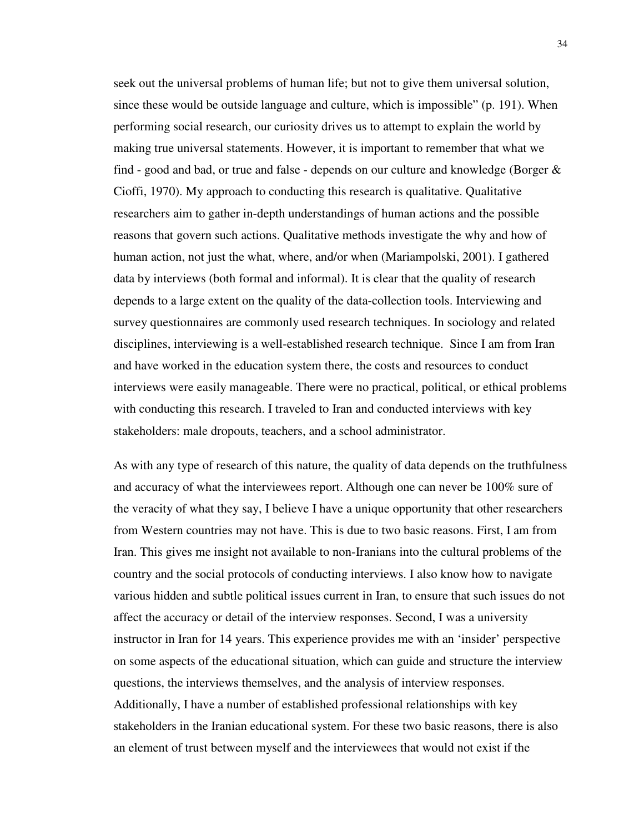seek out the universal problems of human life; but not to give them universal solution, since these would be outside language and culture, which is impossible" (p. 191). When performing social research, our curiosity drives us to attempt to explain the world by making true universal statements. However, it is important to remember that what we find - good and bad, or true and false - depends on our culture and knowledge (Borger & Cioffi, 1970). My approach to conducting this research is qualitative. Qualitative researchers aim to gather in-depth understandings of human actions and the possible reasons that govern such actions. Qualitative methods investigate the why and how of human action, not just the what, where, and/or when (Mariampolski, 2001). I gathered data by interviews (both formal and informal). It is clear that the quality of research depends to a large extent on the quality of the data-collection tools. Interviewing and survey questionnaires are commonly used research techniques. In sociology and related disciplines, interviewing is a well-established research technique. Since I am from Iran and have worked in the education system there, the costs and resources to conduct interviews were easily manageable. There were no practical, political, or ethical problems with conducting this research. I traveled to Iran and conducted interviews with key stakeholders: male dropouts, teachers, and a school administrator.

As with any type of research of this nature, the quality of data depends on the truthfulness and accuracy of what the interviewees report. Although one can never be 100% sure of the veracity of what they say, I believe I have a unique opportunity that other researchers from Western countries may not have. This is due to two basic reasons. First, I am from Iran. This gives me insight not available to non-Iranians into the cultural problems of the country and the social protocols of conducting interviews. I also know how to navigate various hidden and subtle political issues current in Iran, to ensure that such issues do not affect the accuracy or detail of the interview responses. Second, I was a university instructor in Iran for 14 years. This experience provides me with an 'insider' perspective on some aspects of the educational situation, which can guide and structure the interview questions, the interviews themselves, and the analysis of interview responses. Additionally, I have a number of established professional relationships with key stakeholders in the Iranian educational system. For these two basic reasons, there is also an element of trust between myself and the interviewees that would not exist if the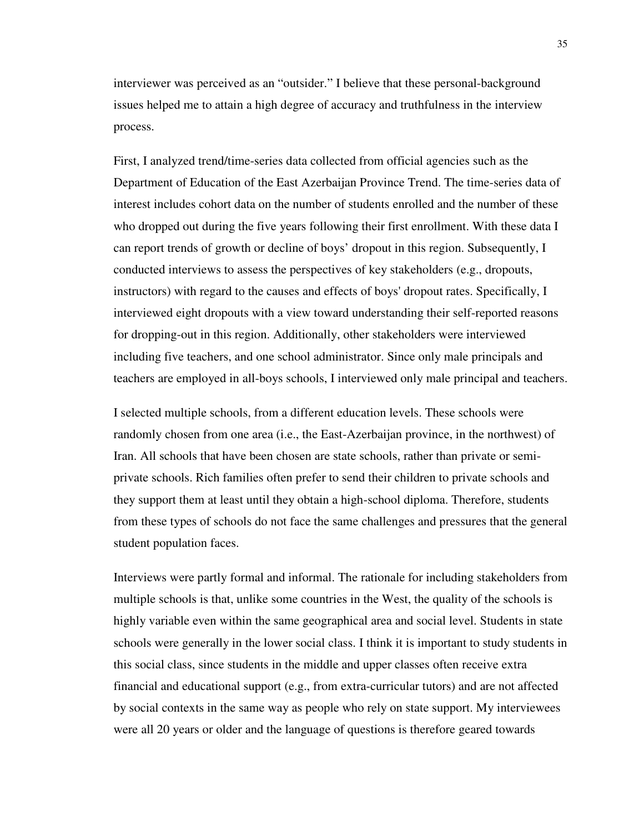interviewer was perceived as an "outsider." I believe that these personal-background issues helped me to attain a high degree of accuracy and truthfulness in the interview process.

First, I analyzed trend/time-series data collected from official agencies such as the Department of Education of the East Azerbaijan Province Trend. The time-series data of interest includes cohort data on the number of students enrolled and the number of these who dropped out during the five years following their first enrollment. With these data I can report trends of growth or decline of boys' dropout in this region. Subsequently, I conducted interviews to assess the perspectives of key stakeholders (e.g., dropouts, instructors) with regard to the causes and effects of boys' dropout rates. Specifically, I interviewed eight dropouts with a view toward understanding their self-reported reasons for dropping-out in this region. Additionally, other stakeholders were interviewed including five teachers, and one school administrator. Since only male principals and teachers are employed in all-boys schools, I interviewed only male principal and teachers.

I selected multiple schools, from a different education levels. These schools were randomly chosen from one area (i.e., the East-Azerbaijan province, in the northwest) of Iran. All schools that have been chosen are state schools, rather than private or semiprivate schools. Rich families often prefer to send their children to private schools and they support them at least until they obtain a high-school diploma. Therefore, students from these types of schools do not face the same challenges and pressures that the general student population faces.

Interviews were partly formal and informal. The rationale for including stakeholders from multiple schools is that, unlike some countries in the West, the quality of the schools is highly variable even within the same geographical area and social level. Students in state schools were generally in the lower social class. I think it is important to study students in this social class, since students in the middle and upper classes often receive extra financial and educational support (e.g., from extra-curricular tutors) and are not affected by social contexts in the same way as people who rely on state support. My interviewees were all 20 years or older and the language of questions is therefore geared towards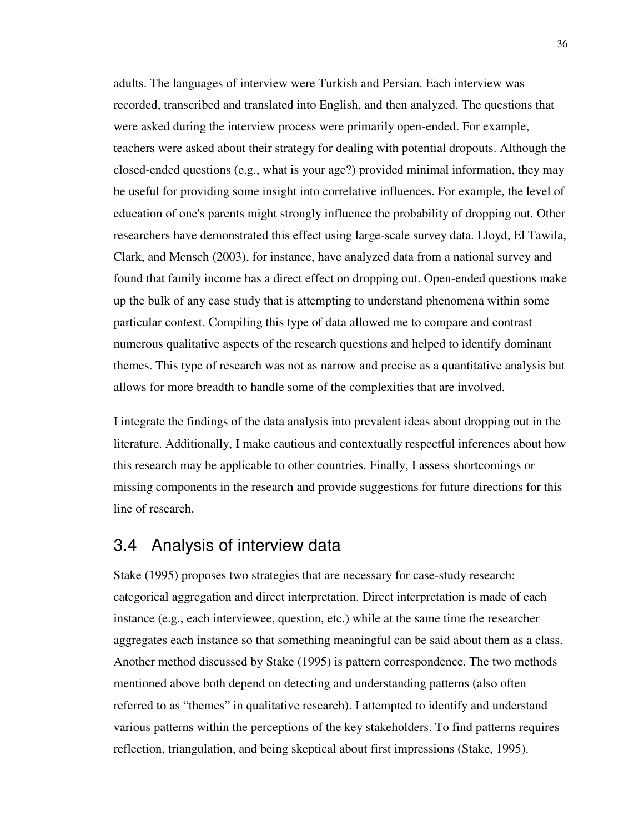adults. The languages of interview were Turkish and Persian. Each interview was recorded, transcribed and translated into English, and then analyzed. The questions that were asked during the interview process were primarily open-ended. For example, teachers were asked about their strategy for dealing with potential dropouts. Although the closed-ended questions (e.g., what is your age?) provided minimal information, they may be useful for providing some insight into correlative influences. For example, the level of education of one's parents might strongly influence the probability of dropping out. Other researchers have demonstrated this effect using large-scale survey data. Lloyd, El Tawila, Clark, and Mensch (2003), for instance, have analyzed data from a national survey and found that family income has a direct effect on dropping out. Open-ended questions make up the bulk of any case study that is attempting to understand phenomena within some particular context. Compiling this type of data allowed me to compare and contrast numerous qualitative aspects of the research questions and helped to identify dominant themes. This type of research was not as narrow and precise as a quantitative analysis but allows for more breadth to handle some of the complexities that are involved.

I integrate the findings of the data analysis into prevalent ideas about dropping out in the literature. Additionally, I make cautious and contextually respectful inferences about how this research may be applicable to other countries. Finally, I assess shortcomings or missing components in the research and provide suggestions for future directions for this line of research.

## 3.4 Analysis of interview data

Stake (1995) proposes two strategies that are necessary for case-study research: categorical aggregation and direct interpretation. Direct interpretation is made of each instance (e.g., each interviewee, question, etc.) while at the same time the researcher aggregates each instance so that something meaningful can be said about them as a class. Another method discussed by Stake (1995) is pattern correspondence. The two methods mentioned above both depend on detecting and understanding patterns (also often referred to as "themes" in qualitative research). I attempted to identify and understand various patterns within the perceptions of the key stakeholders. To find patterns requires reflection, triangulation, and being skeptical about first impressions (Stake, 1995).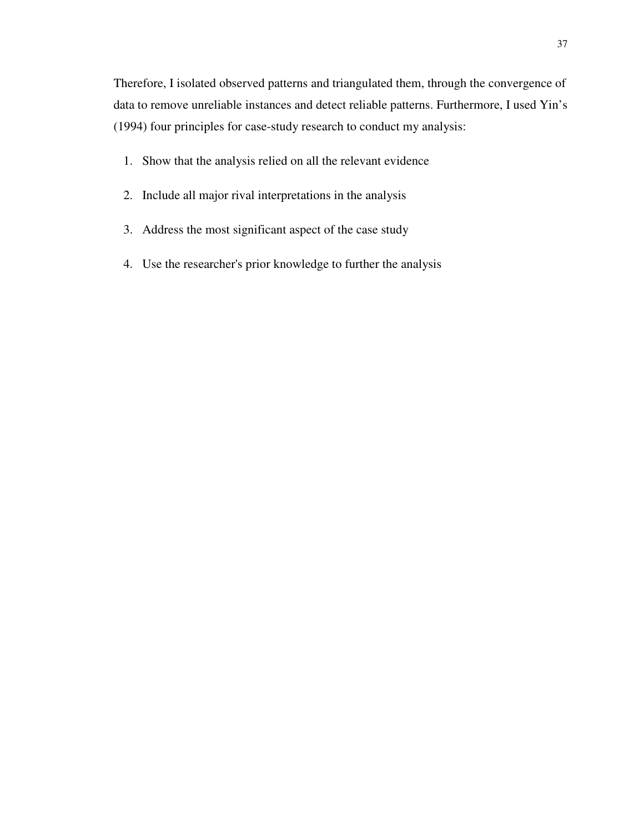Therefore, I isolated observed patterns and triangulated them, through the convergence of data to remove unreliable instances and detect reliable patterns. Furthermore, I used Yin's (1994) four principles for case-study research to conduct my analysis:

- 1. Show that the analysis relied on all the relevant evidence
- 2. Include all major rival interpretations in the analysis
- 3. Address the most significant aspect of the case study
- 4. Use the researcher's prior knowledge to further the analysis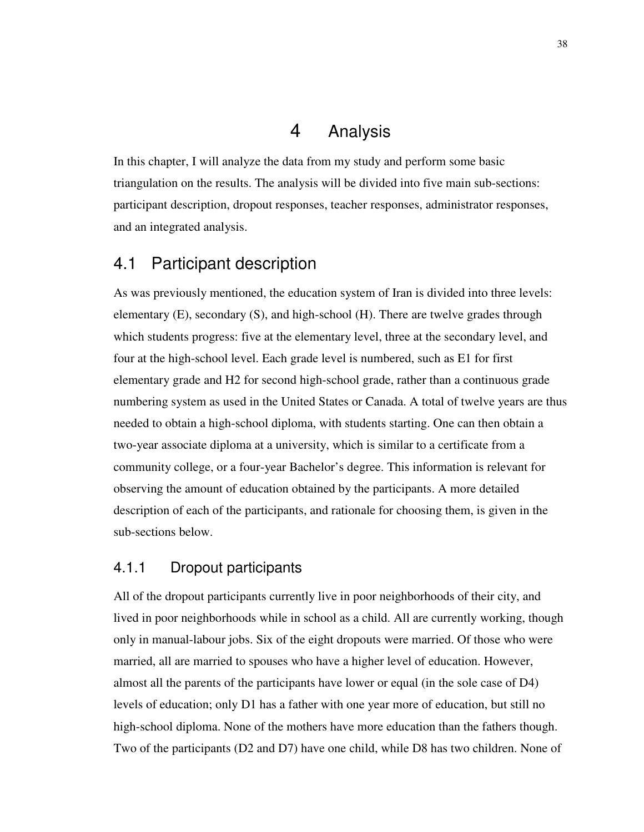### 4 Analysis

In this chapter, I will analyze the data from my study and perform some basic triangulation on the results. The analysis will be divided into five main sub-sections: participant description, dropout responses, teacher responses, administrator responses, and an integrated analysis.

## 4.1 Participant description

As was previously mentioned, the education system of Iran is divided into three levels: elementary (E), secondary (S), and high-school (H). There are twelve grades through which students progress: five at the elementary level, three at the secondary level, and four at the high-school level. Each grade level is numbered, such as E1 for first elementary grade and H2 for second high-school grade, rather than a continuous grade numbering system as used in the United States or Canada. A total of twelve years are thus needed to obtain a high-school diploma, with students starting. One can then obtain a two-year associate diploma at a university, which is similar to a certificate from a community college, or a four-year Bachelor's degree. This information is relevant for observing the amount of education obtained by the participants. A more detailed description of each of the participants, and rationale for choosing them, is given in the sub-sections below.

### 4.1.1 Dropout participants

All of the dropout participants currently live in poor neighborhoods of their city, and lived in poor neighborhoods while in school as a child. All are currently working, though only in manual-labour jobs. Six of the eight dropouts were married. Of those who were married, all are married to spouses who have a higher level of education. However, almost all the parents of the participants have lower or equal (in the sole case of D4) levels of education; only D1 has a father with one year more of education, but still no high-school diploma. None of the mothers have more education than the fathers though. Two of the participants (D2 and D7) have one child, while D8 has two children. None of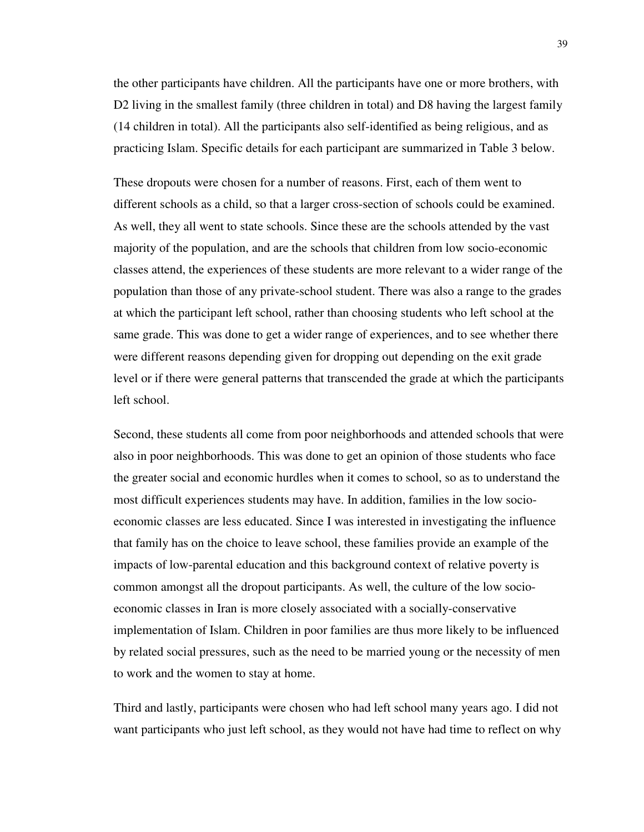the other participants have children. All the participants have one or more brothers, with D2 living in the smallest family (three children in total) and D8 having the largest family (14 children in total). All the participants also self-identified as being religious, and as practicing Islam. Specific details for each participant are summarized in Table 3 below.

These dropouts were chosen for a number of reasons. First, each of them went to different schools as a child, so that a larger cross-section of schools could be examined. As well, they all went to state schools. Since these are the schools attended by the vast majority of the population, and are the schools that children from low socio-economic classes attend, the experiences of these students are more relevant to a wider range of the population than those of any private-school student. There was also a range to the grades at which the participant left school, rather than choosing students who left school at the same grade. This was done to get a wider range of experiences, and to see whether there were different reasons depending given for dropping out depending on the exit grade level or if there were general patterns that transcended the grade at which the participants left school.

Second, these students all come from poor neighborhoods and attended schools that were also in poor neighborhoods. This was done to get an opinion of those students who face the greater social and economic hurdles when it comes to school, so as to understand the most difficult experiences students may have. In addition, families in the low socioeconomic classes are less educated. Since I was interested in investigating the influence that family has on the choice to leave school, these families provide an example of the impacts of low-parental education and this background context of relative poverty is common amongst all the dropout participants. As well, the culture of the low socioeconomic classes in Iran is more closely associated with a socially-conservative implementation of Islam. Children in poor families are thus more likely to be influenced by related social pressures, such as the need to be married young or the necessity of men to work and the women to stay at home.

Third and lastly, participants were chosen who had left school many years ago. I did not want participants who just left school, as they would not have had time to reflect on why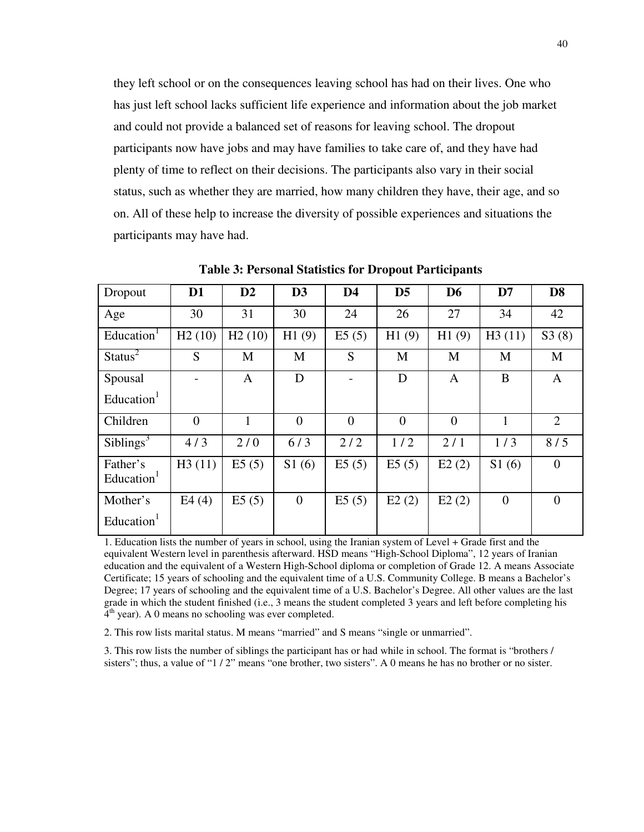they left school or on the consequences leaving school has had on their lives. One who has just left school lacks sufficient life experience and information about the job market and could not provide a balanced set of reasons for leaving school. The dropout participants now have jobs and may have families to take care of, and they have had plenty of time to reflect on their decisions. The participants also vary in their social status, such as whether they are married, how many children they have, their age, and so on. All of these help to increase the diversity of possible experiences and situations the participants may have had.

| Dropout                            | D <sub>1</sub> | $\mathbf{D2}$ | D <sub>3</sub> | D <sub>4</sub> | D <sub>5</sub> | D <sub>6</sub> | D7       | D <sub>8</sub> |
|------------------------------------|----------------|---------------|----------------|----------------|----------------|----------------|----------|----------------|
| Age                                | 30             | 31            | 30             | 24             | 26             | 27             | 34       | 42             |
| Education <sup>1</sup>             | H2(10)         | H2(10)        | H1(9)          | E5(5)          | H1(9)          | H1(9)          | H3(11)   | S3(8)          |
| Status <sup>2</sup>                | S              | M             | M              | S              | M              | M              | M        | M              |
| Spousal                            |                | A             | D              |                | D              | A              | B        | A              |
| Education <sup>1</sup>             |                |               |                |                |                |                |          |                |
| Children                           | $\theta$       | 1             | $\overline{0}$ | $\overline{0}$ | $\overline{0}$ | $\Omega$       | 1        | $\overline{2}$ |
| Sibling <sup>3</sup>               | 4/3            | 2/0           | 6/3            | 2/2            | 1/2            | 2/1            | 1/3      | 8/5            |
| Father's<br>Education <sup>1</sup> | H3(11)         | E5(5)         | S1(6)          | E5(5)          | E5(5)          | E2(2)          | S1(6)    | $\overline{0}$ |
| Mother's                           | E4(4)          | E5(5)         | $\overline{0}$ | E5(5)          | E2(2)          | E2(2)          | $\theta$ | $\Omega$       |
| Education <sup>1</sup>             |                |               |                |                |                |                |          |                |

**Table 3: Personal Statistics for Dropout Participants** 

1. Education lists the number of years in school, using the Iranian system of Level + Grade first and the equivalent Western level in parenthesis afterward. HSD means "High-School Diploma", 12 years of Iranian education and the equivalent of a Western High-School diploma or completion of Grade 12. A means Associate Certificate; 15 years of schooling and the equivalent time of a U.S. Community College. B means a Bachelor's Degree; 17 years of schooling and the equivalent time of a U.S. Bachelor's Degree. All other values are the last grade in which the student finished (i.e., 3 means the student completed 3 years and left before completing his  $4<sup>th</sup>$  year). A 0 means no schooling was ever completed.

2. This row lists marital status. M means "married" and S means "single or unmarried".

3. This row lists the number of siblings the participant has or had while in school. The format is "brothers / sisters"; thus, a value of "1 / 2" means "one brother, two sisters". A 0 means he has no brother or no sister.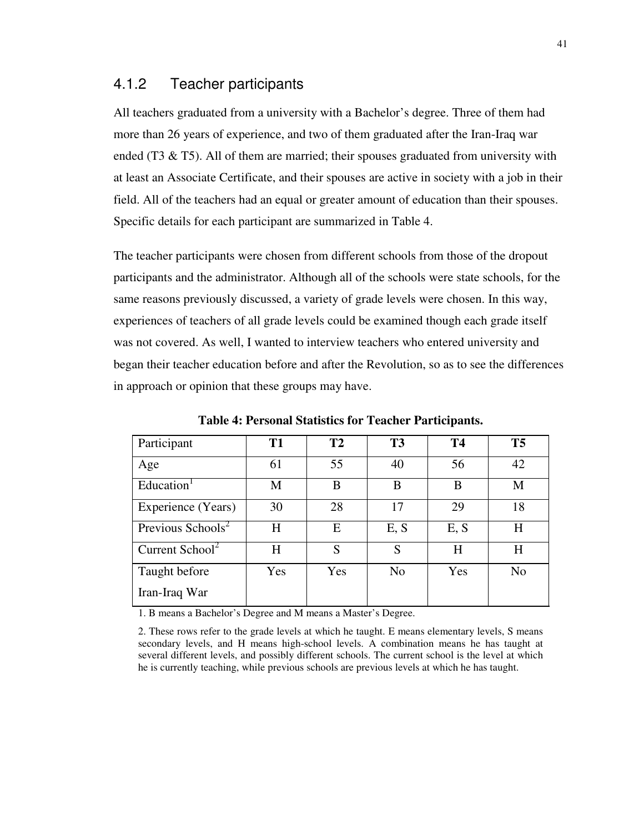#### 4.1.2 Teacher participants

All teachers graduated from a university with a Bachelor's degree. Three of them had more than 26 years of experience, and two of them graduated after the Iran-Iraq war ended (T3  $\&$  T5). All of them are married; their spouses graduated from university with at least an Associate Certificate, and their spouses are active in society with a job in their field. All of the teachers had an equal or greater amount of education than their spouses. Specific details for each participant are summarized in Table 4.

The teacher participants were chosen from different schools from those of the dropout participants and the administrator. Although all of the schools were state schools, for the same reasons previously discussed, a variety of grade levels were chosen. In this way, experiences of teachers of all grade levels could be examined though each grade itself was not covered. As well, I wanted to interview teachers who entered university and began their teacher education before and after the Revolution, so as to see the differences in approach or opinion that these groups may have.

| Participant                   | <b>T1</b> | T2  | T <sub>3</sub> | <b>T4</b> | <b>T5</b>      |
|-------------------------------|-----------|-----|----------------|-----------|----------------|
| Age                           | 61        | 55  | 40             | 56        | 42             |
| Education <sup>1</sup>        | M         | B   | B              | B         | M              |
| Experience (Years)            | 30        | 28  | 17             | 29        | 18             |
| Previous Schools <sup>2</sup> | H         | Е   | E, S           | E, S      | H              |
| Current School <sup>2</sup>   | H         | S   | S              | H         | H              |
| Taught before                 | Yes       | Yes | N <sub>o</sub> | Yes       | N <sub>o</sub> |
| Iran-Iraq War                 |           |     |                |           |                |

**Table 4: Personal Statistics for Teacher Participants.** 

1. B means a Bachelor's Degree and M means a Master's Degree.

2. These rows refer to the grade levels at which he taught. E means elementary levels, S means secondary levels, and H means high-school levels. A combination means he has taught at several different levels, and possibly different schools. The current school is the level at which he is currently teaching, while previous schools are previous levels at which he has taught.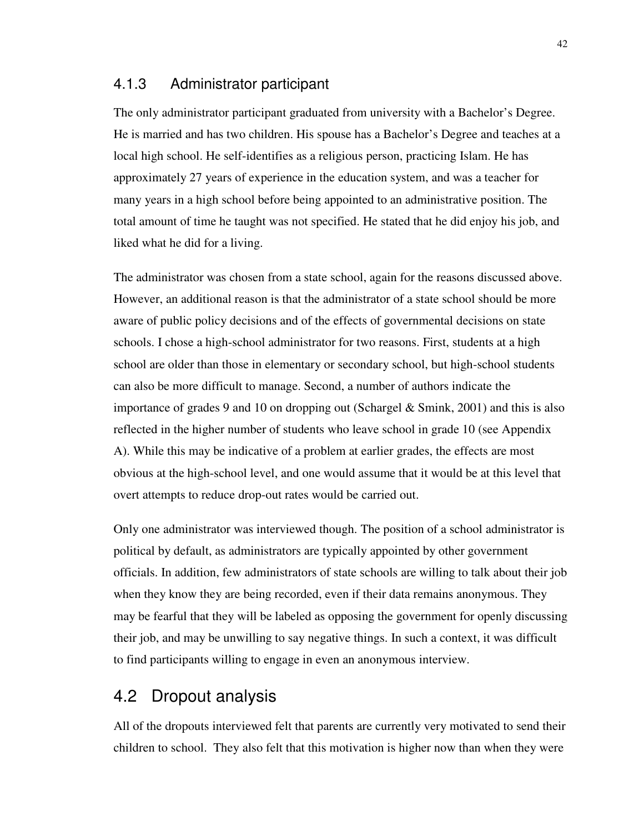#### 4.1.3 Administrator participant

The only administrator participant graduated from university with a Bachelor's Degree. He is married and has two children. His spouse has a Bachelor's Degree and teaches at a local high school. He self-identifies as a religious person, practicing Islam. He has approximately 27 years of experience in the education system, and was a teacher for many years in a high school before being appointed to an administrative position. The total amount of time he taught was not specified. He stated that he did enjoy his job, and liked what he did for a living.

The administrator was chosen from a state school, again for the reasons discussed above. However, an additional reason is that the administrator of a state school should be more aware of public policy decisions and of the effects of governmental decisions on state schools. I chose a high-school administrator for two reasons. First, students at a high school are older than those in elementary or secondary school, but high-school students can also be more difficult to manage. Second, a number of authors indicate the importance of grades 9 and 10 on dropping out (Schargel  $\&$  Smink, 2001) and this is also reflected in the higher number of students who leave school in grade 10 (see Appendix A). While this may be indicative of a problem at earlier grades, the effects are most obvious at the high-school level, and one would assume that it would be at this level that overt attempts to reduce drop-out rates would be carried out.

Only one administrator was interviewed though. The position of a school administrator is political by default, as administrators are typically appointed by other government officials. In addition, few administrators of state schools are willing to talk about their job when they know they are being recorded, even if their data remains anonymous. They may be fearful that they will be labeled as opposing the government for openly discussing their job, and may be unwilling to say negative things. In such a context, it was difficult to find participants willing to engage in even an anonymous interview.

## 4.2 Dropout analysis

All of the dropouts interviewed felt that parents are currently very motivated to send their children to school. They also felt that this motivation is higher now than when they were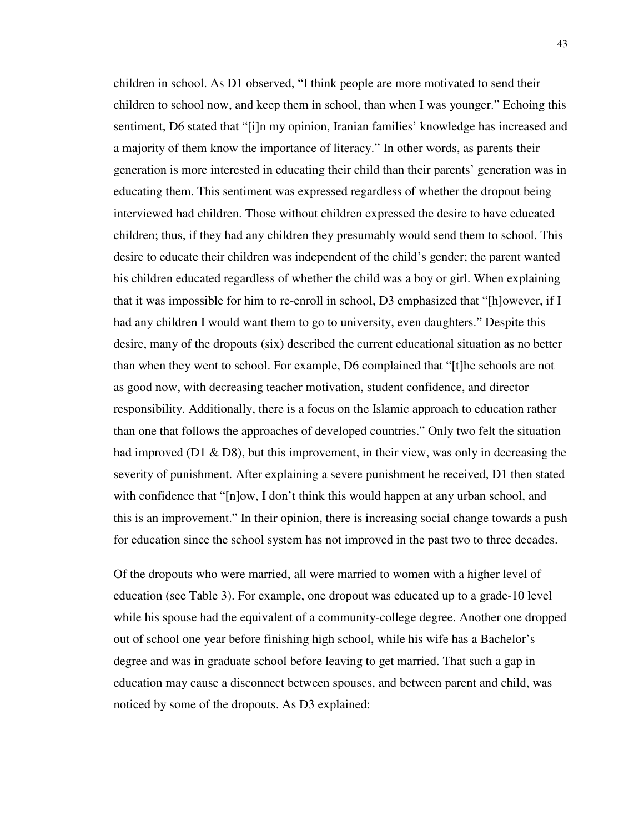children in school. As D1 observed, "I think people are more motivated to send their children to school now, and keep them in school, than when I was younger." Echoing this sentiment, D6 stated that "[i]n my opinion, Iranian families' knowledge has increased and a majority of them know the importance of literacy." In other words, as parents their generation is more interested in educating their child than their parents' generation was in educating them. This sentiment was expressed regardless of whether the dropout being interviewed had children. Those without children expressed the desire to have educated children; thus, if they had any children they presumably would send them to school. This desire to educate their children was independent of the child's gender; the parent wanted his children educated regardless of whether the child was a boy or girl. When explaining that it was impossible for him to re-enroll in school, D3 emphasized that "[h]owever, if I had any children I would want them to go to university, even daughters." Despite this desire, many of the dropouts (six) described the current educational situation as no better than when they went to school. For example, D6 complained that "[t]he schools are not as good now, with decreasing teacher motivation, student confidence, and director responsibility. Additionally, there is a focus on the Islamic approach to education rather than one that follows the approaches of developed countries." Only two felt the situation had improved (D1 & D8), but this improvement, in their view, was only in decreasing the severity of punishment. After explaining a severe punishment he received, D1 then stated with confidence that "[n]ow, I don't think this would happen at any urban school, and this is an improvement." In their opinion, there is increasing social change towards a push for education since the school system has not improved in the past two to three decades.

Of the dropouts who were married, all were married to women with a higher level of education (see Table 3). For example, one dropout was educated up to a grade-10 level while his spouse had the equivalent of a community-college degree. Another one dropped out of school one year before finishing high school, while his wife has a Bachelor's degree and was in graduate school before leaving to get married. That such a gap in education may cause a disconnect between spouses, and between parent and child, was noticed by some of the dropouts. As D3 explained: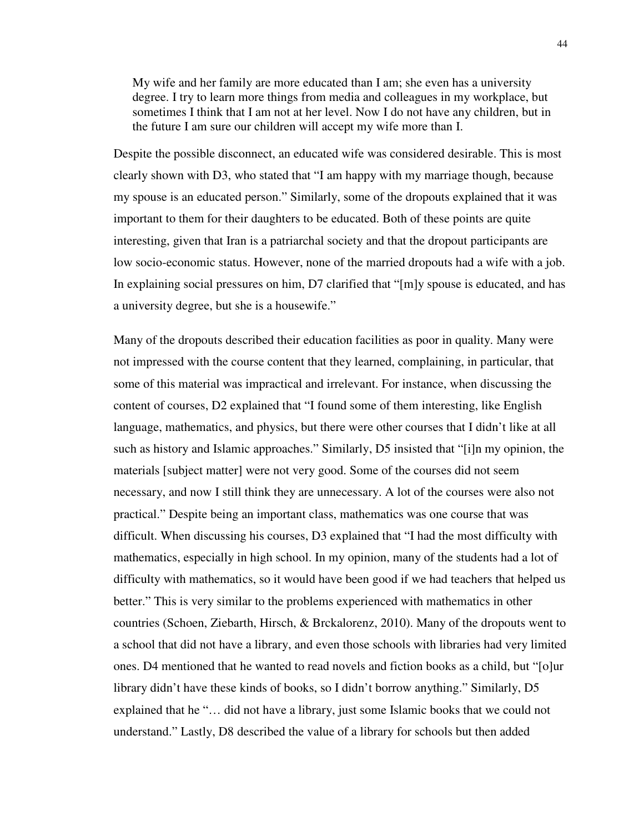My wife and her family are more educated than I am; she even has a university degree. I try to learn more things from media and colleagues in my workplace, but sometimes I think that I am not at her level. Now I do not have any children, but in the future I am sure our children will accept my wife more than I.

Despite the possible disconnect, an educated wife was considered desirable. This is most clearly shown with D3, who stated that "I am happy with my marriage though, because my spouse is an educated person." Similarly, some of the dropouts explained that it was important to them for their daughters to be educated. Both of these points are quite interesting, given that Iran is a patriarchal society and that the dropout participants are low socio-economic status. However, none of the married dropouts had a wife with a job. In explaining social pressures on him, D7 clarified that "[m]y spouse is educated, and has a university degree, but she is a housewife."

Many of the dropouts described their education facilities as poor in quality. Many were not impressed with the course content that they learned, complaining, in particular, that some of this material was impractical and irrelevant. For instance, when discussing the content of courses, D2 explained that "I found some of them interesting, like English language, mathematics, and physics, but there were other courses that I didn't like at all such as history and Islamic approaches." Similarly, D5 insisted that "[i]n my opinion, the materials [subject matter] were not very good. Some of the courses did not seem necessary, and now I still think they are unnecessary. A lot of the courses were also not practical." Despite being an important class, mathematics was one course that was difficult. When discussing his courses, D3 explained that "I had the most difficulty with mathematics, especially in high school. In my opinion, many of the students had a lot of difficulty with mathematics, so it would have been good if we had teachers that helped us better." This is very similar to the problems experienced with mathematics in other countries (Schoen, Ziebarth, Hirsch, & Brckalorenz, 2010). Many of the dropouts went to a school that did not have a library, and even those schools with libraries had very limited ones. D4 mentioned that he wanted to read novels and fiction books as a child, but "[o]ur library didn't have these kinds of books, so I didn't borrow anything." Similarly, D5 explained that he "… did not have a library, just some Islamic books that we could not understand." Lastly, D8 described the value of a library for schools but then added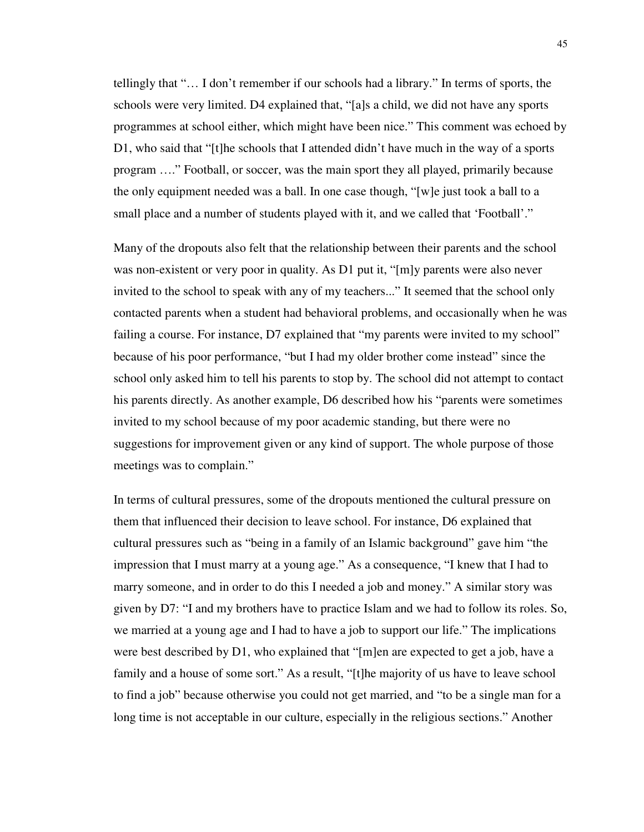tellingly that "… I don't remember if our schools had a library." In terms of sports, the schools were very limited. D4 explained that, "[a]s a child, we did not have any sports programmes at school either, which might have been nice." This comment was echoed by D1, who said that "[t]he schools that I attended didn't have much in the way of a sports program …." Football, or soccer, was the main sport they all played, primarily because the only equipment needed was a ball. In one case though, "[w]e just took a ball to a small place and a number of students played with it, and we called that 'Football'."

Many of the dropouts also felt that the relationship between their parents and the school was non-existent or very poor in quality. As D1 put it, "[m]y parents were also never invited to the school to speak with any of my teachers..." It seemed that the school only contacted parents when a student had behavioral problems, and occasionally when he was failing a course. For instance, D7 explained that "my parents were invited to my school" because of his poor performance, "but I had my older brother come instead" since the school only asked him to tell his parents to stop by. The school did not attempt to contact his parents directly. As another example, D6 described how his "parents were sometimes invited to my school because of my poor academic standing, but there were no suggestions for improvement given or any kind of support. The whole purpose of those meetings was to complain."

In terms of cultural pressures, some of the dropouts mentioned the cultural pressure on them that influenced their decision to leave school. For instance, D6 explained that cultural pressures such as "being in a family of an Islamic background" gave him "the impression that I must marry at a young age." As a consequence, "I knew that I had to marry someone, and in order to do this I needed a job and money." A similar story was given by D7: "I and my brothers have to practice Islam and we had to follow its roles. So, we married at a young age and I had to have a job to support our life." The implications were best described by D1, who explained that "[m]en are expected to get a job, have a family and a house of some sort." As a result, "[t]he majority of us have to leave school to find a job" because otherwise you could not get married, and "to be a single man for a long time is not acceptable in our culture, especially in the religious sections." Another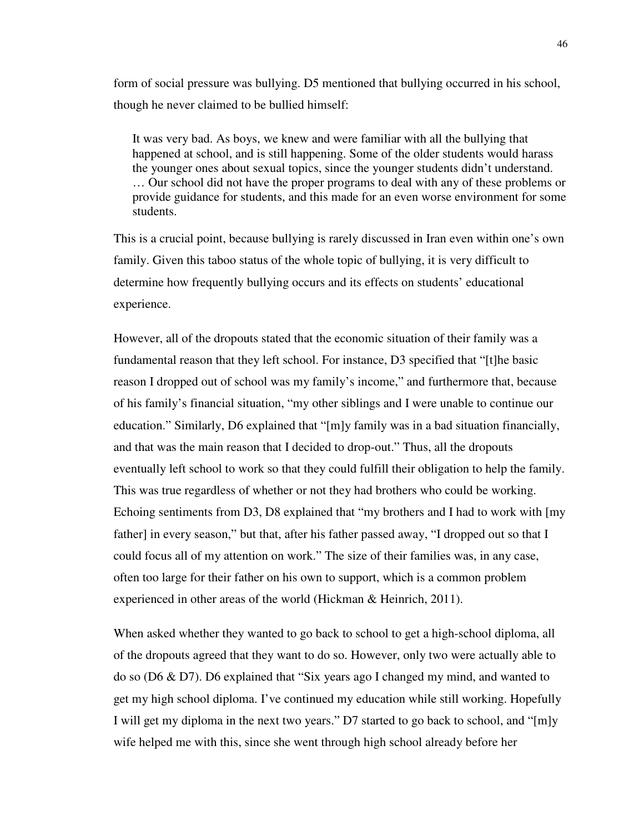form of social pressure was bullying. D5 mentioned that bullying occurred in his school, though he never claimed to be bullied himself:

It was very bad. As boys, we knew and were familiar with all the bullying that happened at school, and is still happening. Some of the older students would harass the younger ones about sexual topics, since the younger students didn't understand. … Our school did not have the proper programs to deal with any of these problems or provide guidance for students, and this made for an even worse environment for some students.

This is a crucial point, because bullying is rarely discussed in Iran even within one's own family. Given this taboo status of the whole topic of bullying, it is very difficult to determine how frequently bullying occurs and its effects on students' educational experience.

However, all of the dropouts stated that the economic situation of their family was a fundamental reason that they left school. For instance, D3 specified that "[t]he basic reason I dropped out of school was my family's income," and furthermore that, because of his family's financial situation, "my other siblings and I were unable to continue our education." Similarly, D6 explained that "[m]y family was in a bad situation financially, and that was the main reason that I decided to drop-out." Thus, all the dropouts eventually left school to work so that they could fulfill their obligation to help the family. This was true regardless of whether or not they had brothers who could be working. Echoing sentiments from D3, D8 explained that "my brothers and I had to work with [my father] in every season," but that, after his father passed away, "I dropped out so that I could focus all of my attention on work." The size of their families was, in any case, often too large for their father on his own to support, which is a common problem experienced in other areas of the world (Hickman & Heinrich, 2011).

When asked whether they wanted to go back to school to get a high-school diploma, all of the dropouts agreed that they want to do so. However, only two were actually able to do so (D6 & D7). D6 explained that "Six years ago I changed my mind, and wanted to get my high school diploma. I've continued my education while still working. Hopefully I will get my diploma in the next two years." D7 started to go back to school, and "[m]y wife helped me with this, since she went through high school already before her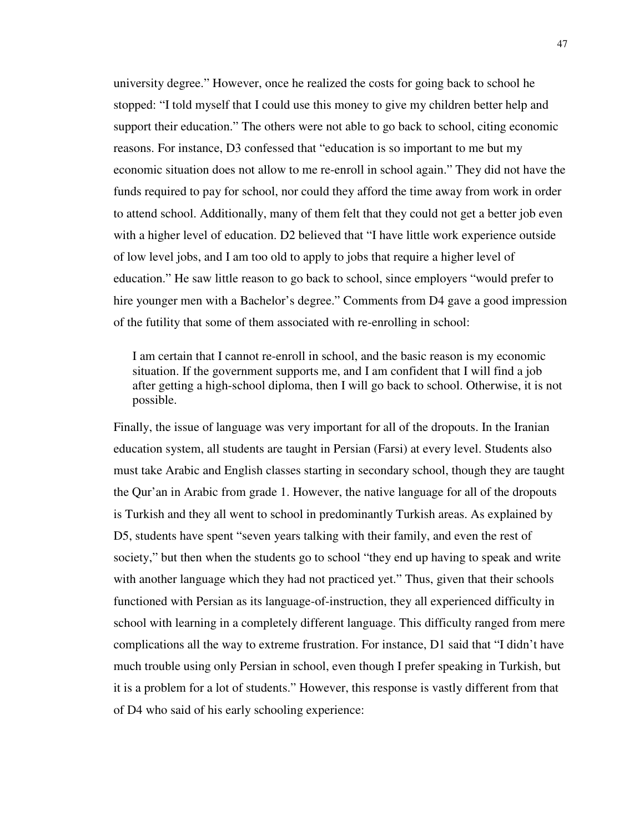university degree." However, once he realized the costs for going back to school he stopped: "I told myself that I could use this money to give my children better help and support their education." The others were not able to go back to school, citing economic reasons. For instance, D3 confessed that "education is so important to me but my economic situation does not allow to me re-enroll in school again." They did not have the funds required to pay for school, nor could they afford the time away from work in order to attend school. Additionally, many of them felt that they could not get a better job even with a higher level of education. D2 believed that "I have little work experience outside of low level jobs, and I am too old to apply to jobs that require a higher level of education." He saw little reason to go back to school, since employers "would prefer to hire younger men with a Bachelor's degree." Comments from D4 gave a good impression of the futility that some of them associated with re-enrolling in school:

I am certain that I cannot re-enroll in school, and the basic reason is my economic situation. If the government supports me, and I am confident that I will find a job after getting a high-school diploma, then I will go back to school. Otherwise, it is not possible.

Finally, the issue of language was very important for all of the dropouts. In the Iranian education system, all students are taught in Persian (Farsi) at every level. Students also must take Arabic and English classes starting in secondary school, though they are taught the Qur'an in Arabic from grade 1. However, the native language for all of the dropouts is Turkish and they all went to school in predominantly Turkish areas. As explained by D5, students have spent "seven years talking with their family, and even the rest of society," but then when the students go to school "they end up having to speak and write with another language which they had not practiced yet." Thus, given that their schools functioned with Persian as its language-of-instruction, they all experienced difficulty in school with learning in a completely different language. This difficulty ranged from mere complications all the way to extreme frustration. For instance, D1 said that "I didn't have much trouble using only Persian in school, even though I prefer speaking in Turkish, but it is a problem for a lot of students." However, this response is vastly different from that of D4 who said of his early schooling experience: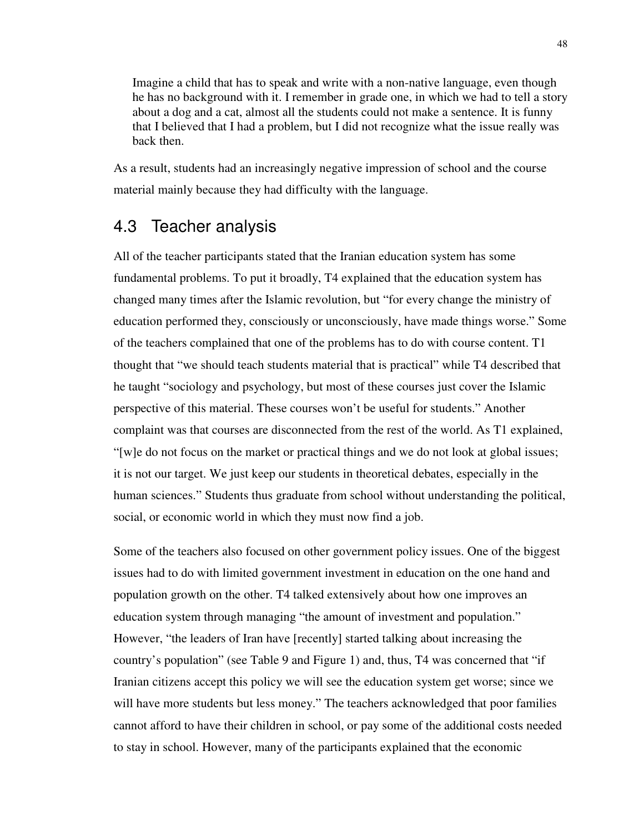Imagine a child that has to speak and write with a non-native language, even though he has no background with it. I remember in grade one, in which we had to tell a story about a dog and a cat, almost all the students could not make a sentence. It is funny that I believed that I had a problem, but I did not recognize what the issue really was back then.

As a result, students had an increasingly negative impression of school and the course material mainly because they had difficulty with the language.

## 4.3 Teacher analysis

All of the teacher participants stated that the Iranian education system has some fundamental problems. To put it broadly, T4 explained that the education system has changed many times after the Islamic revolution, but "for every change the ministry of education performed they, consciously or unconsciously, have made things worse." Some of the teachers complained that one of the problems has to do with course content. T1 thought that "we should teach students material that is practical" while T4 described that he taught "sociology and psychology, but most of these courses just cover the Islamic perspective of this material. These courses won't be useful for students." Another complaint was that courses are disconnected from the rest of the world. As T1 explained, "[w]e do not focus on the market or practical things and we do not look at global issues; it is not our target. We just keep our students in theoretical debates, especially in the human sciences." Students thus graduate from school without understanding the political, social, or economic world in which they must now find a job.

Some of the teachers also focused on other government policy issues. One of the biggest issues had to do with limited government investment in education on the one hand and population growth on the other. T4 talked extensively about how one improves an education system through managing "the amount of investment and population." However, "the leaders of Iran have [recently] started talking about increasing the country's population" (see Table 9 and Figure 1) and, thus, T4 was concerned that "if Iranian citizens accept this policy we will see the education system get worse; since we will have more students but less money." The teachers acknowledged that poor families cannot afford to have their children in school, or pay some of the additional costs needed to stay in school. However, many of the participants explained that the economic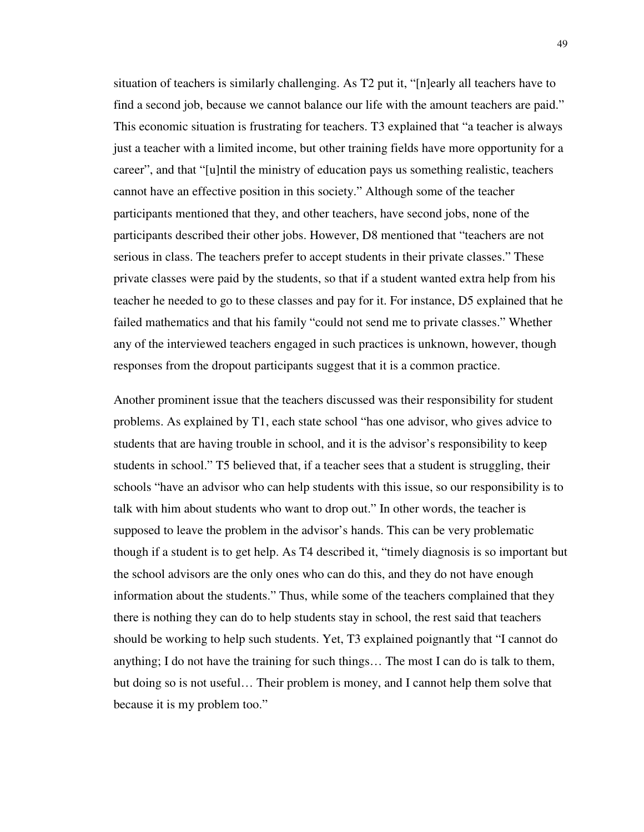situation of teachers is similarly challenging. As T2 put it, "[n]early all teachers have to find a second job, because we cannot balance our life with the amount teachers are paid." This economic situation is frustrating for teachers. T3 explained that "a teacher is always just a teacher with a limited income, but other training fields have more opportunity for a career", and that "[u]ntil the ministry of education pays us something realistic, teachers cannot have an effective position in this society." Although some of the teacher participants mentioned that they, and other teachers, have second jobs, none of the participants described their other jobs. However, D8 mentioned that "teachers are not serious in class. The teachers prefer to accept students in their private classes." These private classes were paid by the students, so that if a student wanted extra help from his teacher he needed to go to these classes and pay for it. For instance, D5 explained that he failed mathematics and that his family "could not send me to private classes." Whether any of the interviewed teachers engaged in such practices is unknown, however, though responses from the dropout participants suggest that it is a common practice.

Another prominent issue that the teachers discussed was their responsibility for student problems. As explained by T1, each state school "has one advisor, who gives advice to students that are having trouble in school, and it is the advisor's responsibility to keep students in school." T5 believed that, if a teacher sees that a student is struggling, their schools "have an advisor who can help students with this issue, so our responsibility is to talk with him about students who want to drop out." In other words, the teacher is supposed to leave the problem in the advisor's hands. This can be very problematic though if a student is to get help. As T4 described it, "timely diagnosis is so important but the school advisors are the only ones who can do this, and they do not have enough information about the students." Thus, while some of the teachers complained that they there is nothing they can do to help students stay in school, the rest said that teachers should be working to help such students. Yet, T3 explained poignantly that "I cannot do anything; I do not have the training for such things… The most I can do is talk to them, but doing so is not useful… Their problem is money, and I cannot help them solve that because it is my problem too."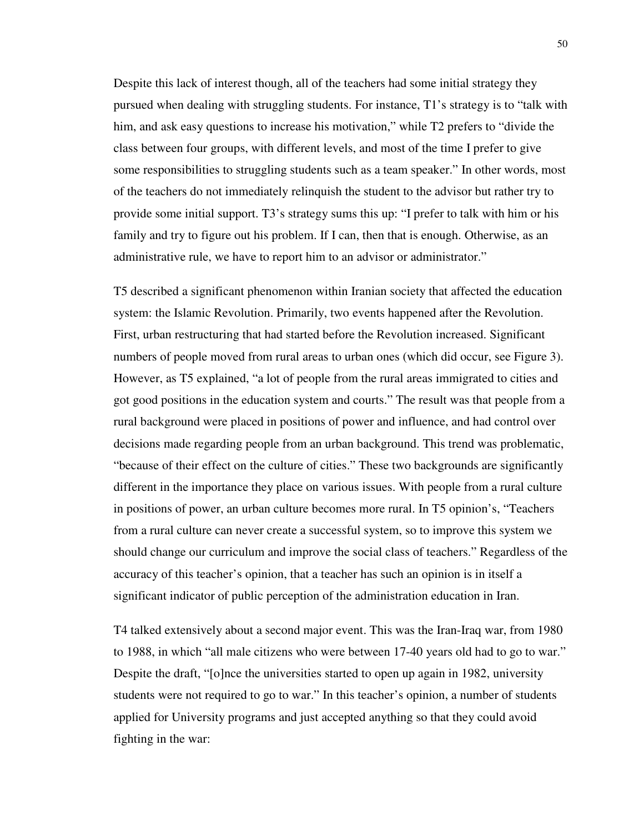Despite this lack of interest though, all of the teachers had some initial strategy they pursued when dealing with struggling students. For instance, T1's strategy is to "talk with him, and ask easy questions to increase his motivation," while T2 prefers to "divide the class between four groups, with different levels, and most of the time I prefer to give some responsibilities to struggling students such as a team speaker." In other words, most of the teachers do not immediately relinquish the student to the advisor but rather try to provide some initial support. T3's strategy sums this up: "I prefer to talk with him or his family and try to figure out his problem. If I can, then that is enough. Otherwise, as an administrative rule, we have to report him to an advisor or administrator."

T5 described a significant phenomenon within Iranian society that affected the education system: the Islamic Revolution. Primarily, two events happened after the Revolution. First, urban restructuring that had started before the Revolution increased. Significant numbers of people moved from rural areas to urban ones (which did occur, see Figure 3). However, as T5 explained, "a lot of people from the rural areas immigrated to cities and got good positions in the education system and courts." The result was that people from a rural background were placed in positions of power and influence, and had control over decisions made regarding people from an urban background. This trend was problematic, "because of their effect on the culture of cities." These two backgrounds are significantly different in the importance they place on various issues. With people from a rural culture in positions of power, an urban culture becomes more rural. In T5 opinion's, "Teachers from a rural culture can never create a successful system, so to improve this system we should change our curriculum and improve the social class of teachers." Regardless of the accuracy of this teacher's opinion, that a teacher has such an opinion is in itself a significant indicator of public perception of the administration education in Iran.

T4 talked extensively about a second major event. This was the Iran-Iraq war, from 1980 to 1988, in which "all male citizens who were between 17-40 years old had to go to war." Despite the draft, "[o]nce the universities started to open up again in 1982, university students were not required to go to war." In this teacher's opinion, a number of students applied for University programs and just accepted anything so that they could avoid fighting in the war: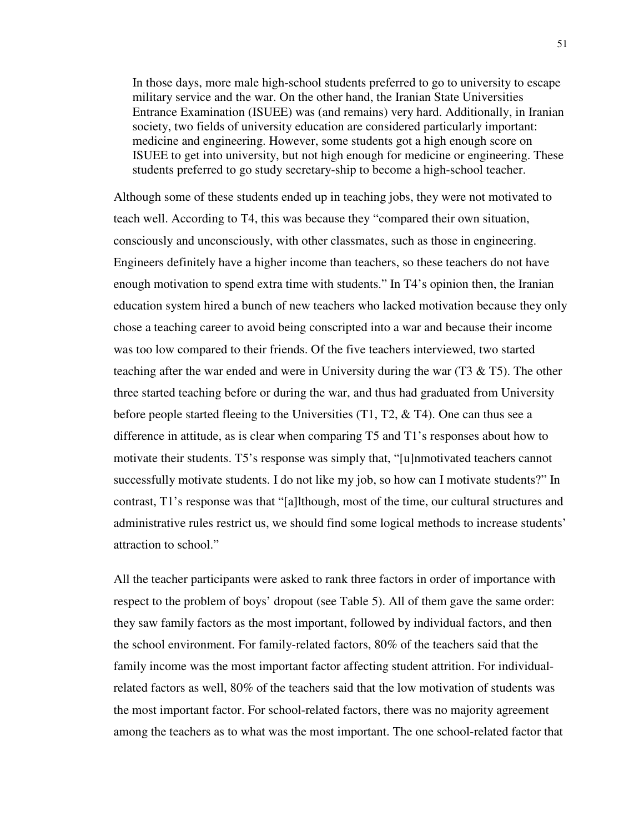In those days, more male high-school students preferred to go to university to escape military service and the war. On the other hand, the Iranian State Universities Entrance Examination (ISUEE) was (and remains) very hard. Additionally, in Iranian society, two fields of university education are considered particularly important: medicine and engineering. However, some students got a high enough score on ISUEE to get into university, but not high enough for medicine or engineering. These students preferred to go study secretary-ship to become a high-school teacher.

Although some of these students ended up in teaching jobs, they were not motivated to teach well. According to T4, this was because they "compared their own situation, consciously and unconsciously, with other classmates, such as those in engineering. Engineers definitely have a higher income than teachers, so these teachers do not have enough motivation to spend extra time with students." In T4's opinion then, the Iranian education system hired a bunch of new teachers who lacked motivation because they only chose a teaching career to avoid being conscripted into a war and because their income was too low compared to their friends. Of the five teachers interviewed, two started teaching after the war ended and were in University during the war  $(T3 \& T5)$ . The other three started teaching before or during the war, and thus had graduated from University before people started fleeing to the Universities  $(T1, T2, \& T4)$ . One can thus see a difference in attitude, as is clear when comparing T5 and T1's responses about how to motivate their students. T5's response was simply that, "[u]nmotivated teachers cannot successfully motivate students. I do not like my job, so how can I motivate students?" In contrast, T1's response was that "[a]lthough, most of the time, our cultural structures and administrative rules restrict us, we should find some logical methods to increase students' attraction to school."

All the teacher participants were asked to rank three factors in order of importance with respect to the problem of boys' dropout (see Table 5). All of them gave the same order: they saw family factors as the most important, followed by individual factors, and then the school environment. For family-related factors, 80% of the teachers said that the family income was the most important factor affecting student attrition. For individualrelated factors as well, 80% of the teachers said that the low motivation of students was the most important factor. For school-related factors, there was no majority agreement among the teachers as to what was the most important. The one school-related factor that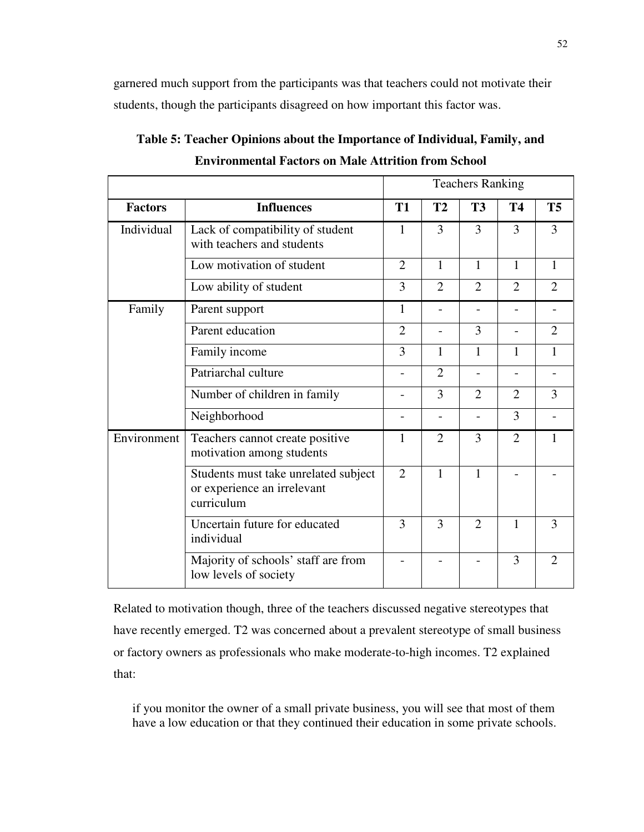garnered much support from the participants was that teachers could not motivate their students, though the participants disagreed on how important this factor was.

|                |                                                                                   | <b>Teachers Ranking</b>  |                |                          |                          |                |
|----------------|-----------------------------------------------------------------------------------|--------------------------|----------------|--------------------------|--------------------------|----------------|
| <b>Factors</b> | <b>Influences</b>                                                                 | <b>T1</b>                | T2             | <b>T3</b>                | <b>T4</b>                | <b>T5</b>      |
| Individual     | Lack of compatibility of student<br>with teachers and students                    | 1                        | 3              | 3                        | 3                        | 3              |
|                | Low motivation of student                                                         | $\overline{2}$           | $\mathbf{1}$   | $\mathbf{1}$             | $\mathbf{1}$             | $\mathbf{1}$   |
|                | Low ability of student                                                            | 3                        | $\overline{2}$ | $\overline{2}$           | $\overline{2}$           | $\overline{2}$ |
| Family         | Parent support                                                                    | $\mathbf{1}$             | $\overline{a}$ | $\overline{a}$           |                          |                |
|                | Parent education                                                                  |                          |                | 3                        |                          | $\overline{2}$ |
|                | Family income                                                                     | 3                        | 1              | 1                        | 1                        | 1              |
|                | Patriarchal culture                                                               | $\overline{\phantom{0}}$ | $\overline{2}$ | $\overline{\phantom{a}}$ | $\overline{\phantom{0}}$ |                |
|                | Number of children in family                                                      |                          | 3              | $\overline{2}$           | $\overline{2}$           | 3              |
|                | Neighborhood                                                                      |                          |                |                          | 3                        |                |
| Environment    | Teachers cannot create positive<br>motivation among students                      | 1                        | $\overline{2}$ | 3                        | $\overline{2}$           | $\mathbf{1}$   |
|                | Students must take unrelated subject<br>or experience an irrelevant<br>curriculum | $\overline{2}$           | 1              | $\mathbf{1}$             |                          |                |
|                | Uncertain future for educated<br>individual                                       | 3                        | 3              | $\overline{2}$           | 1                        | 3              |
|                | Majority of schools' staff are from<br>low levels of society                      |                          |                |                          | 3                        | $\overline{2}$ |

**Table 5: Teacher Opinions about the Importance of Individual, Family, and Environmental Factors on Male Attrition from School** 

Related to motivation though, three of the teachers discussed negative stereotypes that have recently emerged. T2 was concerned about a prevalent stereotype of small business or factory owners as professionals who make moderate-to-high incomes. T2 explained that:

if you monitor the owner of a small private business, you will see that most of them have a low education or that they continued their education in some private schools.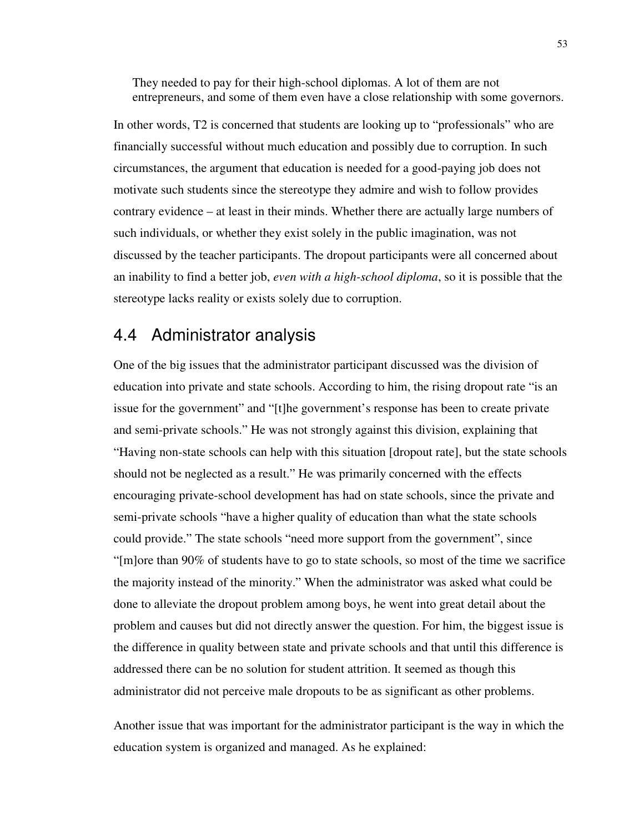They needed to pay for their high-school diplomas. A lot of them are not entrepreneurs, and some of them even have a close relationship with some governors.

In other words, T2 is concerned that students are looking up to "professionals" who are financially successful without much education and possibly due to corruption. In such circumstances, the argument that education is needed for a good-paying job does not motivate such students since the stereotype they admire and wish to follow provides contrary evidence – at least in their minds. Whether there are actually large numbers of such individuals, or whether they exist solely in the public imagination, was not discussed by the teacher participants. The dropout participants were all concerned about an inability to find a better job, *even with a high-school diploma*, so it is possible that the stereotype lacks reality or exists solely due to corruption.

### 4.4 Administrator analysis

One of the big issues that the administrator participant discussed was the division of education into private and state schools. According to him, the rising dropout rate "is an issue for the government" and "[t]he government's response has been to create private and semi-private schools." He was not strongly against this division, explaining that "Having non-state schools can help with this situation [dropout rate], but the state schools should not be neglected as a result." He was primarily concerned with the effects encouraging private-school development has had on state schools, since the private and semi-private schools "have a higher quality of education than what the state schools could provide." The state schools "need more support from the government", since "[m]ore than 90% of students have to go to state schools, so most of the time we sacrifice the majority instead of the minority." When the administrator was asked what could be done to alleviate the dropout problem among boys, he went into great detail about the problem and causes but did not directly answer the question. For him, the biggest issue is the difference in quality between state and private schools and that until this difference is addressed there can be no solution for student attrition. It seemed as though this administrator did not perceive male dropouts to be as significant as other problems.

Another issue that was important for the administrator participant is the way in which the education system is organized and managed. As he explained: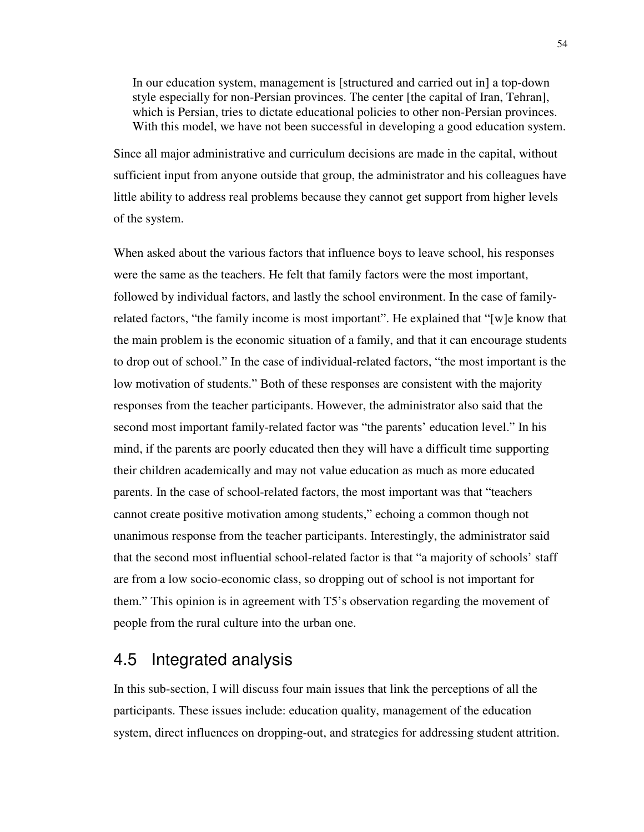In our education system, management is [structured and carried out in] a top-down style especially for non-Persian provinces. The center [the capital of Iran, Tehran], which is Persian, tries to dictate educational policies to other non-Persian provinces. With this model, we have not been successful in developing a good education system.

Since all major administrative and curriculum decisions are made in the capital, without sufficient input from anyone outside that group, the administrator and his colleagues have little ability to address real problems because they cannot get support from higher levels of the system.

When asked about the various factors that influence boys to leave school, his responses were the same as the teachers. He felt that family factors were the most important, followed by individual factors, and lastly the school environment. In the case of familyrelated factors, "the family income is most important". He explained that "[w]e know that the main problem is the economic situation of a family, and that it can encourage students to drop out of school." In the case of individual-related factors, "the most important is the low motivation of students." Both of these responses are consistent with the majority responses from the teacher participants. However, the administrator also said that the second most important family-related factor was "the parents' education level." In his mind, if the parents are poorly educated then they will have a difficult time supporting their children academically and may not value education as much as more educated parents. In the case of school-related factors, the most important was that "teachers cannot create positive motivation among students," echoing a common though not unanimous response from the teacher participants. Interestingly, the administrator said that the second most influential school-related factor is that "a majority of schools' staff are from a low socio-economic class, so dropping out of school is not important for them." This opinion is in agreement with T5's observation regarding the movement of people from the rural culture into the urban one.

## 4.5 Integrated analysis

In this sub-section, I will discuss four main issues that link the perceptions of all the participants. These issues include: education quality, management of the education system, direct influences on dropping-out, and strategies for addressing student attrition.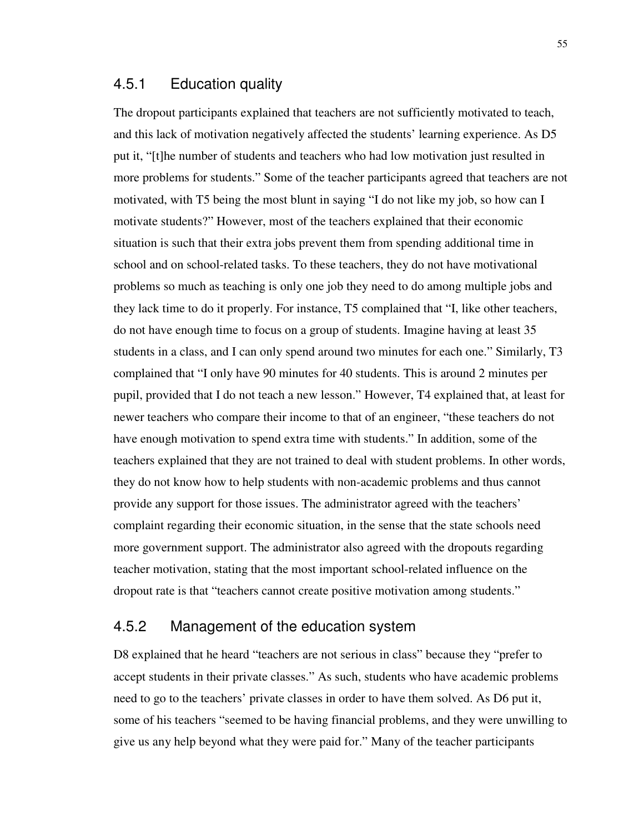#### 4.5.1 Education quality

The dropout participants explained that teachers are not sufficiently motivated to teach, and this lack of motivation negatively affected the students' learning experience. As D5 put it, "[t]he number of students and teachers who had low motivation just resulted in more problems for students." Some of the teacher participants agreed that teachers are not motivated, with T5 being the most blunt in saying "I do not like my job, so how can I motivate students?" However, most of the teachers explained that their economic situation is such that their extra jobs prevent them from spending additional time in school and on school-related tasks. To these teachers, they do not have motivational problems so much as teaching is only one job they need to do among multiple jobs and they lack time to do it properly. For instance, T5 complained that "I, like other teachers, do not have enough time to focus on a group of students. Imagine having at least 35 students in a class, and I can only spend around two minutes for each one." Similarly, T3 complained that "I only have 90 minutes for 40 students. This is around 2 minutes per pupil, provided that I do not teach a new lesson." However, T4 explained that, at least for newer teachers who compare their income to that of an engineer, "these teachers do not have enough motivation to spend extra time with students." In addition, some of the teachers explained that they are not trained to deal with student problems. In other words, they do not know how to help students with non-academic problems and thus cannot provide any support for those issues. The administrator agreed with the teachers' complaint regarding their economic situation, in the sense that the state schools need more government support. The administrator also agreed with the dropouts regarding teacher motivation, stating that the most important school-related influence on the dropout rate is that "teachers cannot create positive motivation among students."

#### 4.5.2 Management of the education system

D8 explained that he heard "teachers are not serious in class" because they "prefer to accept students in their private classes." As such, students who have academic problems need to go to the teachers' private classes in order to have them solved. As D6 put it, some of his teachers "seemed to be having financial problems, and they were unwilling to give us any help beyond what they were paid for." Many of the teacher participants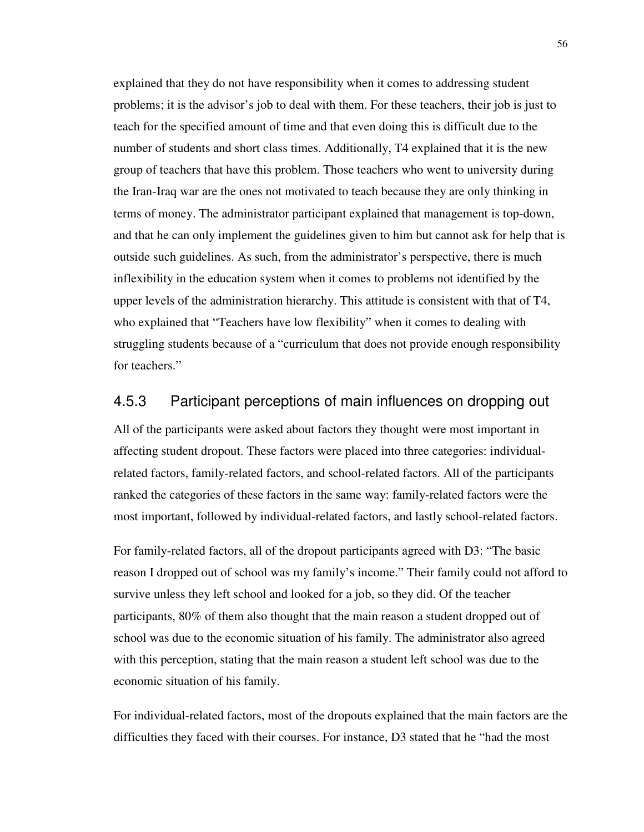explained that they do not have responsibility when it comes to addressing student problems; it is the advisor's job to deal with them. For these teachers, their job is just to teach for the specified amount of time and that even doing this is difficult due to the number of students and short class times. Additionally, T4 explained that it is the new group of teachers that have this problem. Those teachers who went to university during the Iran-Iraq war are the ones not motivated to teach because they are only thinking in terms of money. The administrator participant explained that management is top-down, and that he can only implement the guidelines given to him but cannot ask for help that is outside such guidelines. As such, from the administrator's perspective, there is much inflexibility in the education system when it comes to problems not identified by the upper levels of the administration hierarchy. This attitude is consistent with that of T4, who explained that "Teachers have low flexibility" when it comes to dealing with struggling students because of a "curriculum that does not provide enough responsibility for teachers."

### 4.5.3 Participant perceptions of main influences on dropping out

All of the participants were asked about factors they thought were most important in affecting student dropout. These factors were placed into three categories: individualrelated factors, family-related factors, and school-related factors. All of the participants ranked the categories of these factors in the same way: family-related factors were the most important, followed by individual-related factors, and lastly school-related factors.

For family-related factors, all of the dropout participants agreed with D3: "The basic reason I dropped out of school was my family's income." Their family could not afford to survive unless they left school and looked for a job, so they did. Of the teacher participants, 80% of them also thought that the main reason a student dropped out of school was due to the economic situation of his family. The administrator also agreed with this perception, stating that the main reason a student left school was due to the economic situation of his family.

For individual-related factors, most of the dropouts explained that the main factors are the difficulties they faced with their courses. For instance, D3 stated that he "had the most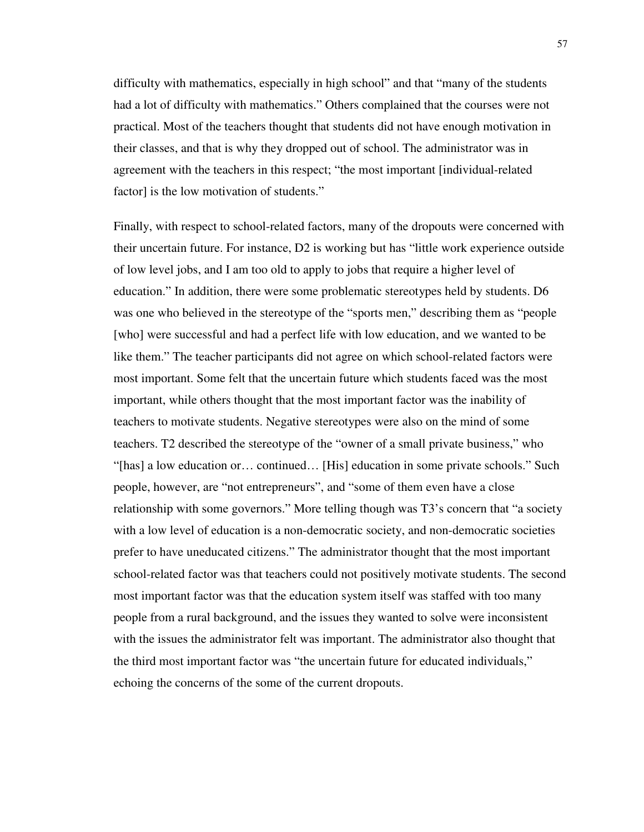difficulty with mathematics, especially in high school" and that "many of the students had a lot of difficulty with mathematics." Others complained that the courses were not practical. Most of the teachers thought that students did not have enough motivation in their classes, and that is why they dropped out of school. The administrator was in agreement with the teachers in this respect; "the most important [individual-related factor] is the low motivation of students."

Finally, with respect to school-related factors, many of the dropouts were concerned with their uncertain future. For instance, D2 is working but has "little work experience outside of low level jobs, and I am too old to apply to jobs that require a higher level of education." In addition, there were some problematic stereotypes held by students. D6 was one who believed in the stereotype of the "sports men," describing them as "people [who] were successful and had a perfect life with low education, and we wanted to be like them." The teacher participants did not agree on which school-related factors were most important. Some felt that the uncertain future which students faced was the most important, while others thought that the most important factor was the inability of teachers to motivate students. Negative stereotypes were also on the mind of some teachers. T2 described the stereotype of the "owner of a small private business," who "[has] a low education or… continued… [His] education in some private schools." Such people, however, are "not entrepreneurs", and "some of them even have a close relationship with some governors." More telling though was T3's concern that "a society with a low level of education is a non-democratic society, and non-democratic societies prefer to have uneducated citizens." The administrator thought that the most important school-related factor was that teachers could not positively motivate students. The second most important factor was that the education system itself was staffed with too many people from a rural background, and the issues they wanted to solve were inconsistent with the issues the administrator felt was important. The administrator also thought that the third most important factor was "the uncertain future for educated individuals," echoing the concerns of the some of the current dropouts.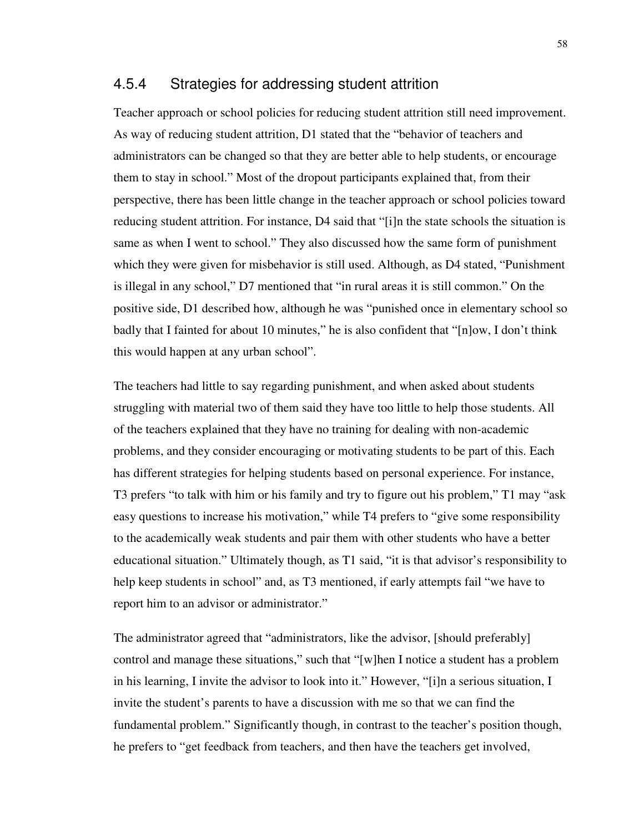#### 4.5.4 Strategies for addressing student attrition

Teacher approach or school policies for reducing student attrition still need improvement. As way of reducing student attrition, D1 stated that the "behavior of teachers and administrators can be changed so that they are better able to help students, or encourage them to stay in school." Most of the dropout participants explained that, from their perspective, there has been little change in the teacher approach or school policies toward reducing student attrition. For instance, D4 said that "[i]n the state schools the situation is same as when I went to school." They also discussed how the same form of punishment which they were given for misbehavior is still used. Although, as D4 stated, "Punishment is illegal in any school," D7 mentioned that "in rural areas it is still common." On the positive side, D1 described how, although he was "punished once in elementary school so badly that I fainted for about 10 minutes," he is also confident that "[n]ow, I don't think this would happen at any urban school".

The teachers had little to say regarding punishment, and when asked about students struggling with material two of them said they have too little to help those students. All of the teachers explained that they have no training for dealing with non-academic problems, and they consider encouraging or motivating students to be part of this. Each has different strategies for helping students based on personal experience. For instance, T3 prefers "to talk with him or his family and try to figure out his problem," T1 may "ask easy questions to increase his motivation," while T4 prefers to "give some responsibility to the academically weak students and pair them with other students who have a better educational situation." Ultimately though, as T1 said, "it is that advisor's responsibility to help keep students in school" and, as T3 mentioned, if early attempts fail "we have to report him to an advisor or administrator."

The administrator agreed that "administrators, like the advisor, [should preferably] control and manage these situations," such that "[w]hen I notice a student has a problem in his learning, I invite the advisor to look into it." However, "[i]n a serious situation, I invite the student's parents to have a discussion with me so that we can find the fundamental problem." Significantly though, in contrast to the teacher's position though, he prefers to "get feedback from teachers, and then have the teachers get involved,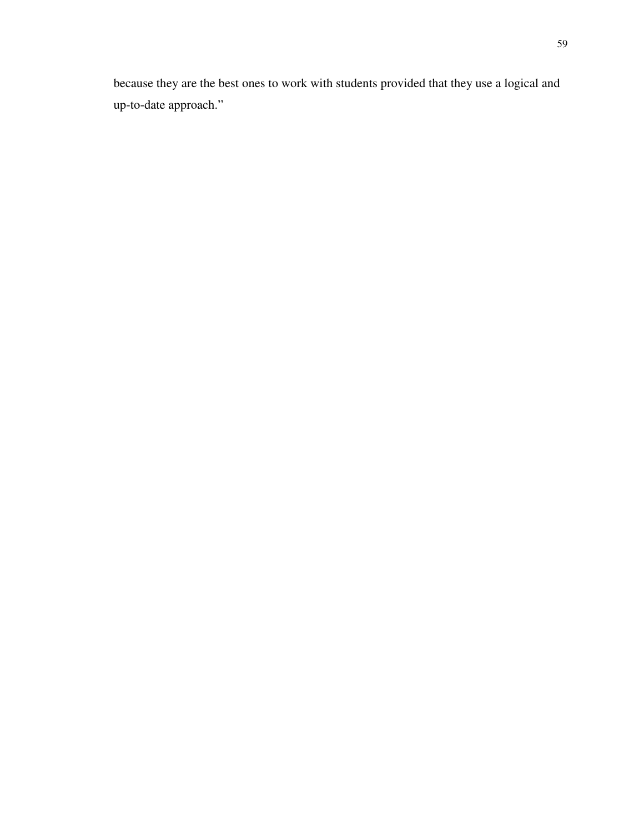because they are the best ones to work with students provided that they use a logical and up-to-date approach."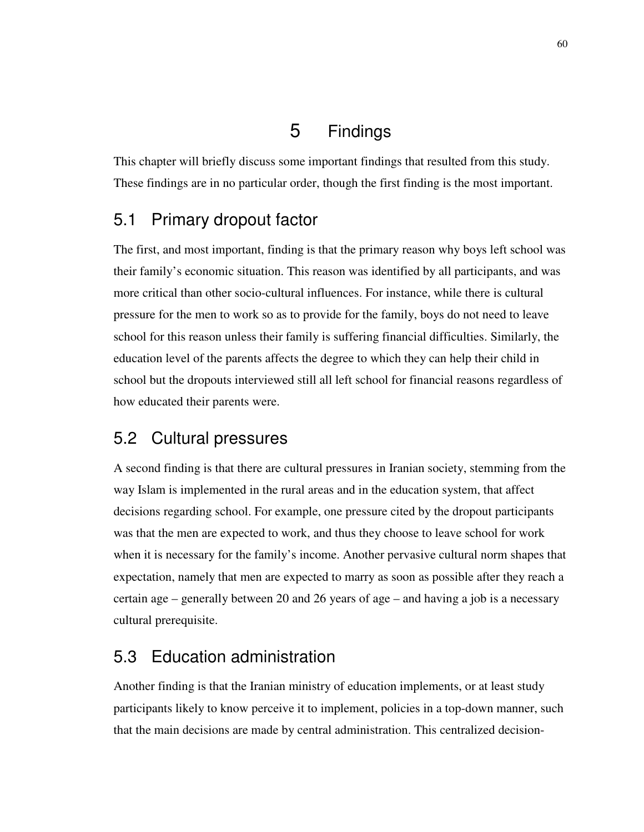# 5 Findings

This chapter will briefly discuss some important findings that resulted from this study. These findings are in no particular order, though the first finding is the most important.

# 5.1 Primary dropout factor

The first, and most important, finding is that the primary reason why boys left school was their family's economic situation. This reason was identified by all participants, and was more critical than other socio-cultural influences. For instance, while there is cultural pressure for the men to work so as to provide for the family, boys do not need to leave school for this reason unless their family is suffering financial difficulties. Similarly, the education level of the parents affects the degree to which they can help their child in school but the dropouts interviewed still all left school for financial reasons regardless of how educated their parents were.

## 5.2 Cultural pressures

A second finding is that there are cultural pressures in Iranian society, stemming from the way Islam is implemented in the rural areas and in the education system, that affect decisions regarding school. For example, one pressure cited by the dropout participants was that the men are expected to work, and thus they choose to leave school for work when it is necessary for the family's income. Another pervasive cultural norm shapes that expectation, namely that men are expected to marry as soon as possible after they reach a certain age – generally between 20 and 26 years of age – and having a job is a necessary cultural prerequisite.

# 5.3 Education administration

Another finding is that the Iranian ministry of education implements, or at least study participants likely to know perceive it to implement, policies in a top-down manner, such that the main decisions are made by central administration. This centralized decision-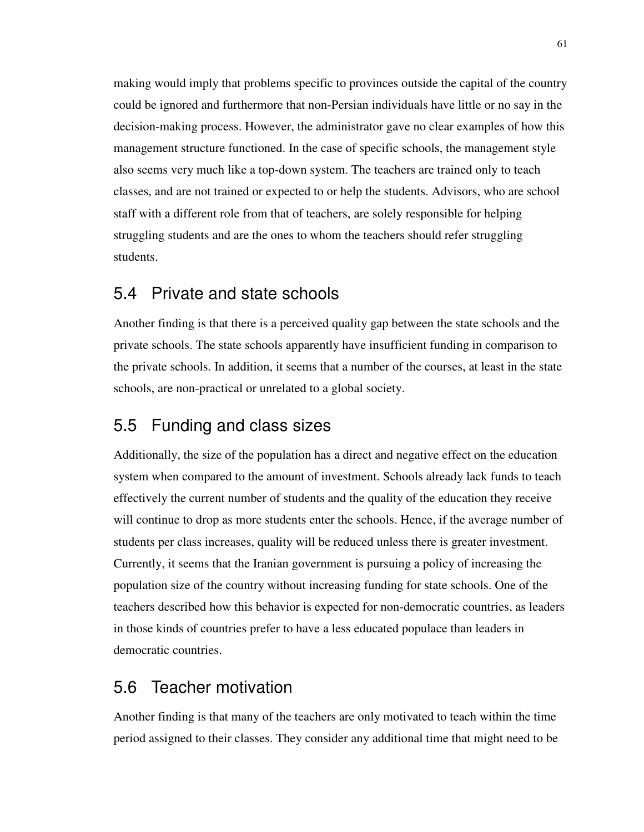making would imply that problems specific to provinces outside the capital of the country could be ignored and furthermore that non-Persian individuals have little or no say in the decision-making process. However, the administrator gave no clear examples of how this management structure functioned. In the case of specific schools, the management style also seems very much like a top-down system. The teachers are trained only to teach classes, and are not trained or expected to or help the students. Advisors, who are school staff with a different role from that of teachers, are solely responsible for helping struggling students and are the ones to whom the teachers should refer struggling students.

### 5.4 Private and state schools

Another finding is that there is a perceived quality gap between the state schools and the private schools. The state schools apparently have insufficient funding in comparison to the private schools. In addition, it seems that a number of the courses, at least in the state schools, are non-practical or unrelated to a global society.

## 5.5 Funding and class sizes

Additionally, the size of the population has a direct and negative effect on the education system when compared to the amount of investment. Schools already lack funds to teach effectively the current number of students and the quality of the education they receive will continue to drop as more students enter the schools. Hence, if the average number of students per class increases, quality will be reduced unless there is greater investment. Currently, it seems that the Iranian government is pursuing a policy of increasing the population size of the country without increasing funding for state schools. One of the teachers described how this behavior is expected for non-democratic countries, as leaders in those kinds of countries prefer to have a less educated populace than leaders in democratic countries.

## 5.6 Teacher motivation

Another finding is that many of the teachers are only motivated to teach within the time period assigned to their classes. They consider any additional time that might need to be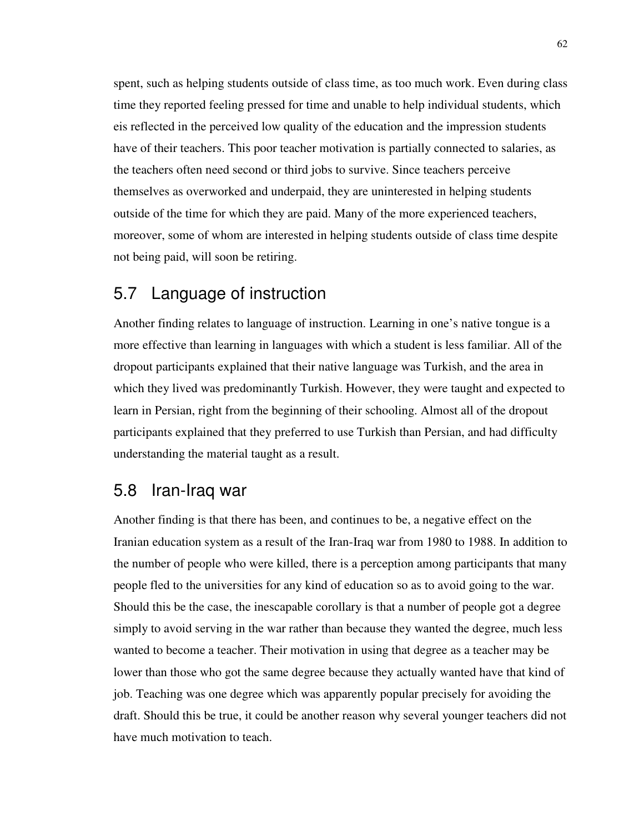spent, such as helping students outside of class time, as too much work. Even during class time they reported feeling pressed for time and unable to help individual students, which eis reflected in the perceived low quality of the education and the impression students have of their teachers. This poor teacher motivation is partially connected to salaries, as the teachers often need second or third jobs to survive. Since teachers perceive themselves as overworked and underpaid, they are uninterested in helping students outside of the time for which they are paid. Many of the more experienced teachers, moreover, some of whom are interested in helping students outside of class time despite not being paid, will soon be retiring.

### 5.7 Language of instruction

Another finding relates to language of instruction. Learning in one's native tongue is a more effective than learning in languages with which a student is less familiar. All of the dropout participants explained that their native language was Turkish, and the area in which they lived was predominantly Turkish. However, they were taught and expected to learn in Persian, right from the beginning of their schooling. Almost all of the dropout participants explained that they preferred to use Turkish than Persian, and had difficulty understanding the material taught as a result.

### 5.8 Iran-Iraq war

Another finding is that there has been, and continues to be, a negative effect on the Iranian education system as a result of the Iran-Iraq war from 1980 to 1988. In addition to the number of people who were killed, there is a perception among participants that many people fled to the universities for any kind of education so as to avoid going to the war. Should this be the case, the inescapable corollary is that a number of people got a degree simply to avoid serving in the war rather than because they wanted the degree, much less wanted to become a teacher. Their motivation in using that degree as a teacher may be lower than those who got the same degree because they actually wanted have that kind of job. Teaching was one degree which was apparently popular precisely for avoiding the draft. Should this be true, it could be another reason why several younger teachers did not have much motivation to teach.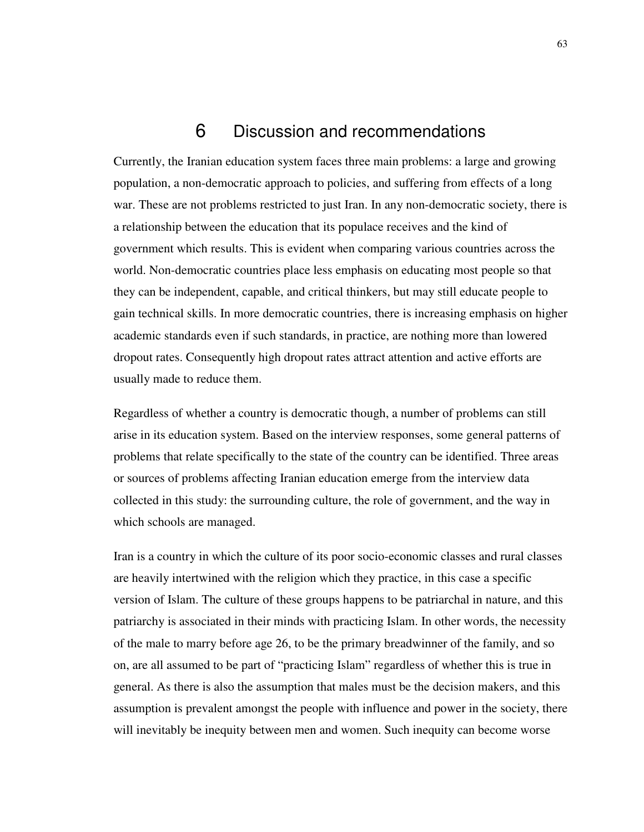# 6 Discussion and recommendations

Currently, the Iranian education system faces three main problems: a large and growing population, a non-democratic approach to policies, and suffering from effects of a long war. These are not problems restricted to just Iran. In any non-democratic society, there is a relationship between the education that its populace receives and the kind of government which results. This is evident when comparing various countries across the world. Non-democratic countries place less emphasis on educating most people so that they can be independent, capable, and critical thinkers, but may still educate people to gain technical skills. In more democratic countries, there is increasing emphasis on higher academic standards even if such standards, in practice, are nothing more than lowered dropout rates. Consequently high dropout rates attract attention and active efforts are usually made to reduce them.

Regardless of whether a country is democratic though, a number of problems can still arise in its education system. Based on the interview responses, some general patterns of problems that relate specifically to the state of the country can be identified. Three areas or sources of problems affecting Iranian education emerge from the interview data collected in this study: the surrounding culture, the role of government, and the way in which schools are managed.

Iran is a country in which the culture of its poor socio-economic classes and rural classes are heavily intertwined with the religion which they practice, in this case a specific version of Islam. The culture of these groups happens to be patriarchal in nature, and this patriarchy is associated in their minds with practicing Islam. In other words, the necessity of the male to marry before age 26, to be the primary breadwinner of the family, and so on, are all assumed to be part of "practicing Islam" regardless of whether this is true in general. As there is also the assumption that males must be the decision makers, and this assumption is prevalent amongst the people with influence and power in the society, there will inevitably be inequity between men and women. Such inequity can become worse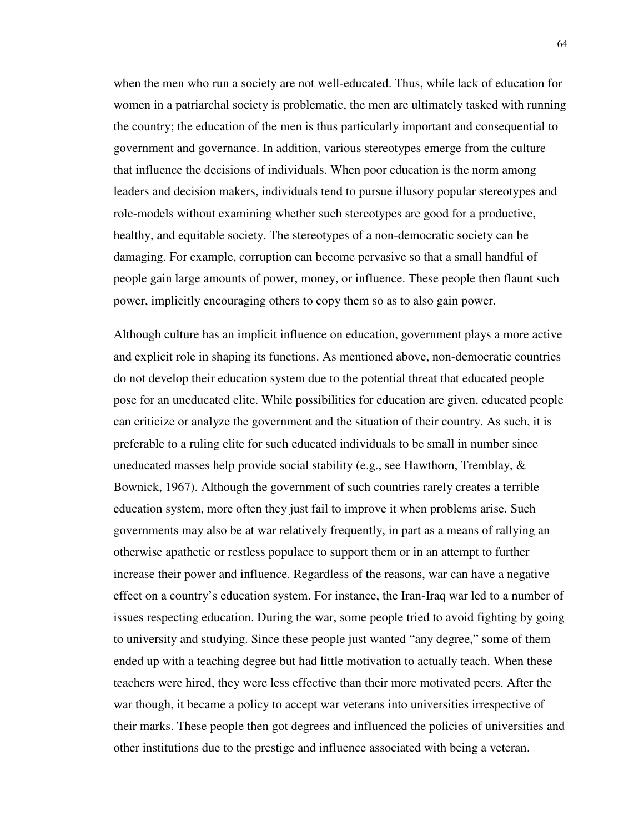when the men who run a society are not well-educated. Thus, while lack of education for women in a patriarchal society is problematic, the men are ultimately tasked with running the country; the education of the men is thus particularly important and consequential to government and governance. In addition, various stereotypes emerge from the culture that influence the decisions of individuals. When poor education is the norm among leaders and decision makers, individuals tend to pursue illusory popular stereotypes and role-models without examining whether such stereotypes are good for a productive, healthy, and equitable society. The stereotypes of a non-democratic society can be damaging. For example, corruption can become pervasive so that a small handful of people gain large amounts of power, money, or influence. These people then flaunt such power, implicitly encouraging others to copy them so as to also gain power.

Although culture has an implicit influence on education, government plays a more active and explicit role in shaping its functions. As mentioned above, non-democratic countries do not develop their education system due to the potential threat that educated people pose for an uneducated elite. While possibilities for education are given, educated people can criticize or analyze the government and the situation of their country. As such, it is preferable to a ruling elite for such educated individuals to be small in number since uneducated masses help provide social stability (e.g., see Hawthorn, Tremblay,  $\&$ Bownick, 1967). Although the government of such countries rarely creates a terrible education system, more often they just fail to improve it when problems arise. Such governments may also be at war relatively frequently, in part as a means of rallying an otherwise apathetic or restless populace to support them or in an attempt to further increase their power and influence. Regardless of the reasons, war can have a negative effect on a country's education system. For instance, the Iran-Iraq war led to a number of issues respecting education. During the war, some people tried to avoid fighting by going to university and studying. Since these people just wanted "any degree," some of them ended up with a teaching degree but had little motivation to actually teach. When these teachers were hired, they were less effective than their more motivated peers. After the war though, it became a policy to accept war veterans into universities irrespective of their marks. These people then got degrees and influenced the policies of universities and other institutions due to the prestige and influence associated with being a veteran.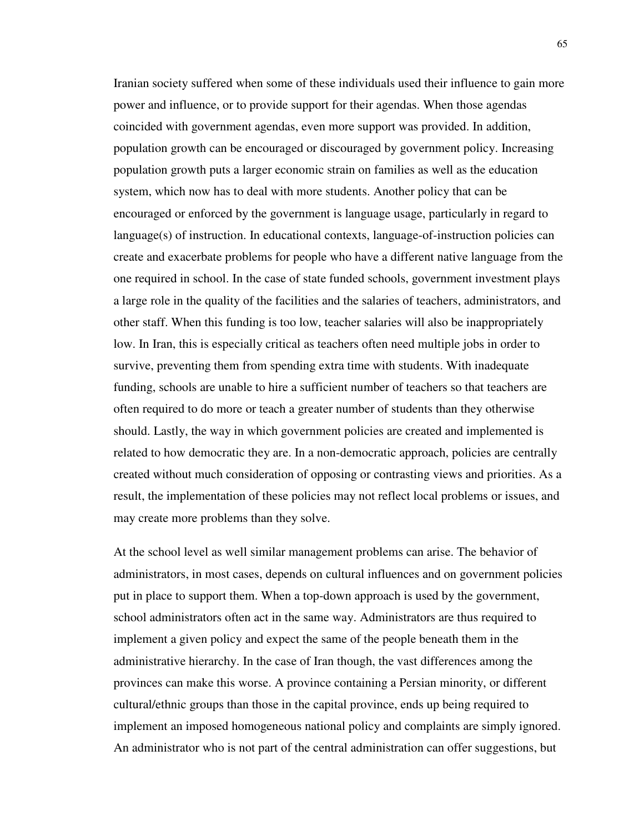Iranian society suffered when some of these individuals used their influence to gain more power and influence, or to provide support for their agendas. When those agendas coincided with government agendas, even more support was provided. In addition, population growth can be encouraged or discouraged by government policy. Increasing population growth puts a larger economic strain on families as well as the education system, which now has to deal with more students. Another policy that can be encouraged or enforced by the government is language usage, particularly in regard to language(s) of instruction. In educational contexts, language-of-instruction policies can create and exacerbate problems for people who have a different native language from the one required in school. In the case of state funded schools, government investment plays a large role in the quality of the facilities and the salaries of teachers, administrators, and other staff. When this funding is too low, teacher salaries will also be inappropriately low. In Iran, this is especially critical as teachers often need multiple jobs in order to survive, preventing them from spending extra time with students. With inadequate funding, schools are unable to hire a sufficient number of teachers so that teachers are often required to do more or teach a greater number of students than they otherwise should. Lastly, the way in which government policies are created and implemented is related to how democratic they are. In a non-democratic approach, policies are centrally created without much consideration of opposing or contrasting views and priorities. As a result, the implementation of these policies may not reflect local problems or issues, and may create more problems than they solve.

At the school level as well similar management problems can arise. The behavior of administrators, in most cases, depends on cultural influences and on government policies put in place to support them. When a top-down approach is used by the government, school administrators often act in the same way. Administrators are thus required to implement a given policy and expect the same of the people beneath them in the administrative hierarchy. In the case of Iran though, the vast differences among the provinces can make this worse. A province containing a Persian minority, or different cultural/ethnic groups than those in the capital province, ends up being required to implement an imposed homogeneous national policy and complaints are simply ignored. An administrator who is not part of the central administration can offer suggestions, but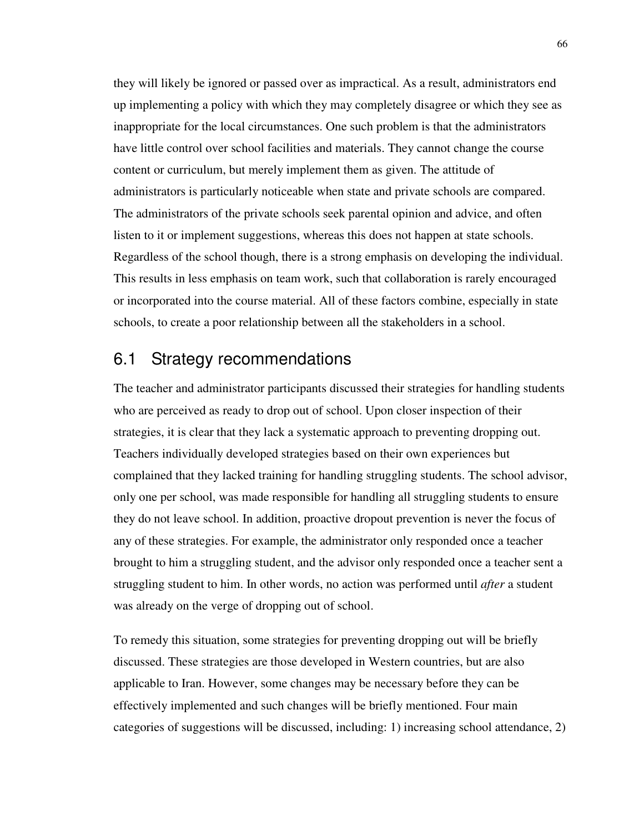they will likely be ignored or passed over as impractical. As a result, administrators end up implementing a policy with which they may completely disagree or which they see as inappropriate for the local circumstances. One such problem is that the administrators have little control over school facilities and materials. They cannot change the course content or curriculum, but merely implement them as given. The attitude of administrators is particularly noticeable when state and private schools are compared. The administrators of the private schools seek parental opinion and advice, and often listen to it or implement suggestions, whereas this does not happen at state schools. Regardless of the school though, there is a strong emphasis on developing the individual. This results in less emphasis on team work, such that collaboration is rarely encouraged or incorporated into the course material. All of these factors combine, especially in state schools, to create a poor relationship between all the stakeholders in a school.

## 6.1 Strategy recommendations

The teacher and administrator participants discussed their strategies for handling students who are perceived as ready to drop out of school. Upon closer inspection of their strategies, it is clear that they lack a systematic approach to preventing dropping out. Teachers individually developed strategies based on their own experiences but complained that they lacked training for handling struggling students. The school advisor, only one per school, was made responsible for handling all struggling students to ensure they do not leave school. In addition, proactive dropout prevention is never the focus of any of these strategies. For example, the administrator only responded once a teacher brought to him a struggling student, and the advisor only responded once a teacher sent a struggling student to him. In other words, no action was performed until *after* a student was already on the verge of dropping out of school.

To remedy this situation, some strategies for preventing dropping out will be briefly discussed. These strategies are those developed in Western countries, but are also applicable to Iran. However, some changes may be necessary before they can be effectively implemented and such changes will be briefly mentioned. Four main categories of suggestions will be discussed, including: 1) increasing school attendance, 2)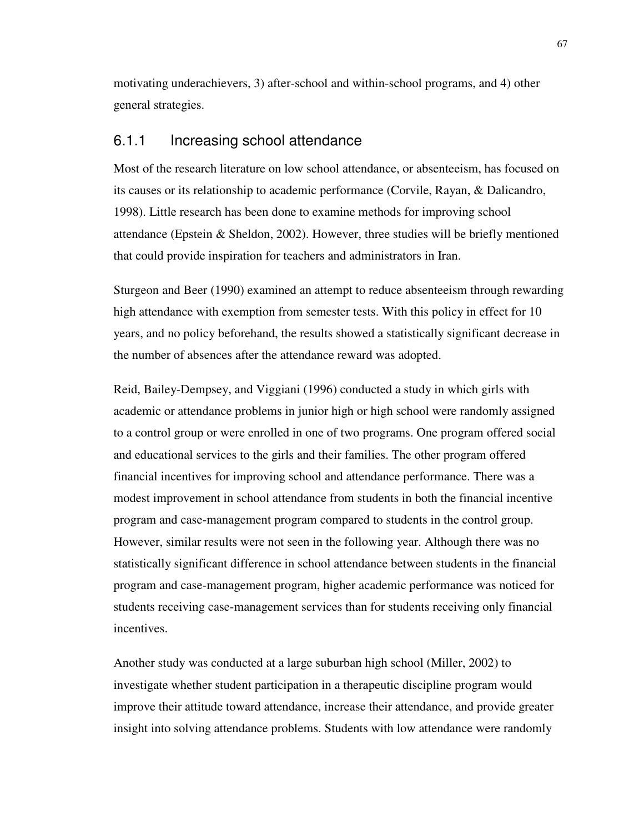motivating underachievers, 3) after-school and within-school programs, and 4) other general strategies.

#### 6.1.1 Increasing school attendance

Most of the research literature on low school attendance, or absenteeism, has focused on its causes or its relationship to academic performance (Corvile, Rayan, & Dalicandro, 1998). Little research has been done to examine methods for improving school attendance (Epstein & Sheldon, 2002). However, three studies will be briefly mentioned that could provide inspiration for teachers and administrators in Iran.

Sturgeon and Beer (1990) examined an attempt to reduce absenteeism through rewarding high attendance with exemption from semester tests. With this policy in effect for 10 years, and no policy beforehand, the results showed a statistically significant decrease in the number of absences after the attendance reward was adopted.

Reid, Bailey-Dempsey, and Viggiani (1996) conducted a study in which girls with academic or attendance problems in junior high or high school were randomly assigned to a control group or were enrolled in one of two programs. One program offered social and educational services to the girls and their families. The other program offered financial incentives for improving school and attendance performance. There was a modest improvement in school attendance from students in both the financial incentive program and case-management program compared to students in the control group. However, similar results were not seen in the following year. Although there was no statistically significant difference in school attendance between students in the financial program and case-management program, higher academic performance was noticed for students receiving case-management services than for students receiving only financial incentives.

Another study was conducted at a large suburban high school (Miller, 2002) to investigate whether student participation in a therapeutic discipline program would improve their attitude toward attendance, increase their attendance, and provide greater insight into solving attendance problems. Students with low attendance were randomly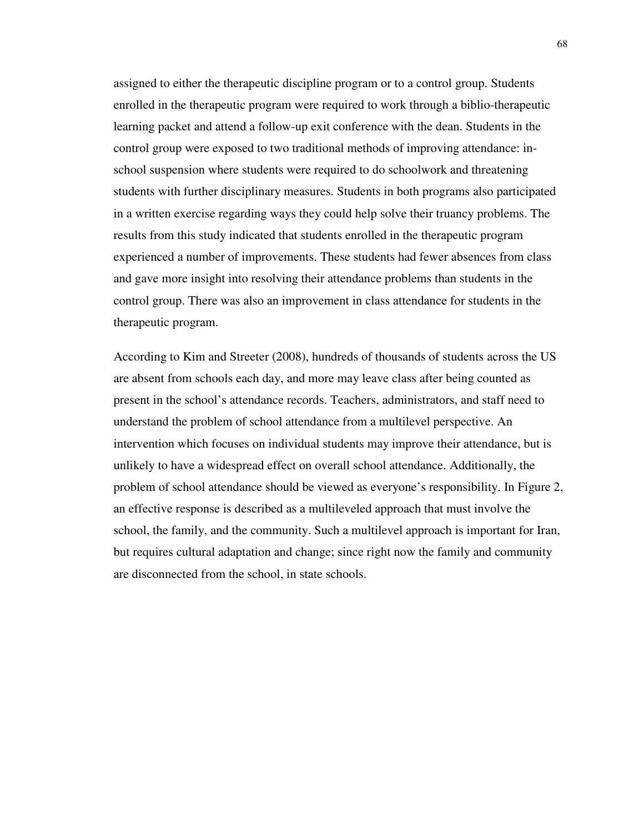assigned to either the therapeutic discipline program or to a control group. Students enrolled in the therapeutic program were required to work through a biblio-therapeutic learning packet and attend a follow-up exit conference with the dean. Students in the control group were exposed to two traditional methods of improving attendance: inschool suspension where students were required to do schoolwork and threatening students with further disciplinary measures. Students in both programs also participated in a written exercise regarding ways they could help solve their truancy problems. The results from this study indicated that students enrolled in the therapeutic program experienced a number of improvements. These students had fewer absences from class and gave more insight into resolving their attendance problems than students in the control group. There was also an improvement in class attendance for students in the therapeutic program.

According to Kim and Streeter (2008), hundreds of thousands of students across the US are absent from schools each day, and more may leave class after being counted as present in the school's attendance records. Teachers, administrators, and staff need to understand the problem of school attendance from a multilevel perspective. An intervention which focuses on individual students may improve their attendance, but is unlikely to have a widespread effect on overall school attendance. Additionally, the problem of school attendance should be viewed as everyone's responsibility. In Figure 2, an effective response is described as a multileveled approach that must involve the school, the family, and the community. Such a multilevel approach is important for Iran, but requires cultural adaptation and change; since right now the family and community are disconnected from the school, in state schools.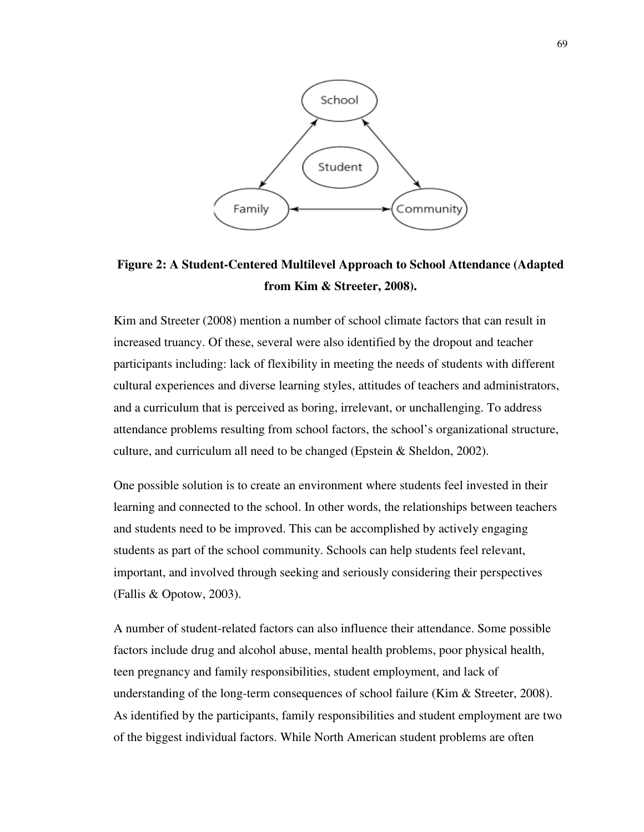

**Figure 2: A Student-Centered Multilevel Approach to School Attendance (Adapted from Kim & Streeter, 2008).** 

Kim and Streeter (2008) mention a number of school climate factors that can result in increased truancy. Of these, several were also identified by the dropout and teacher participants including: lack of flexibility in meeting the needs of students with different cultural experiences and diverse learning styles, attitudes of teachers and administrators, and a curriculum that is perceived as boring, irrelevant, or unchallenging. To address attendance problems resulting from school factors, the school's organizational structure, culture, and curriculum all need to be changed (Epstein & Sheldon, 2002).

One possible solution is to create an environment where students feel invested in their learning and connected to the school. In other words, the relationships between teachers and students need to be improved. This can be accomplished by actively engaging students as part of the school community. Schools can help students feel relevant, important, and involved through seeking and seriously considering their perspectives (Fallis & Opotow, 2003).

A number of student-related factors can also influence their attendance. Some possible factors include drug and alcohol abuse, mental health problems, poor physical health, teen pregnancy and family responsibilities, student employment, and lack of understanding of the long-term consequences of school failure (Kim  $\&$  Streeter, 2008). As identified by the participants, family responsibilities and student employment are two of the biggest individual factors. While North American student problems are often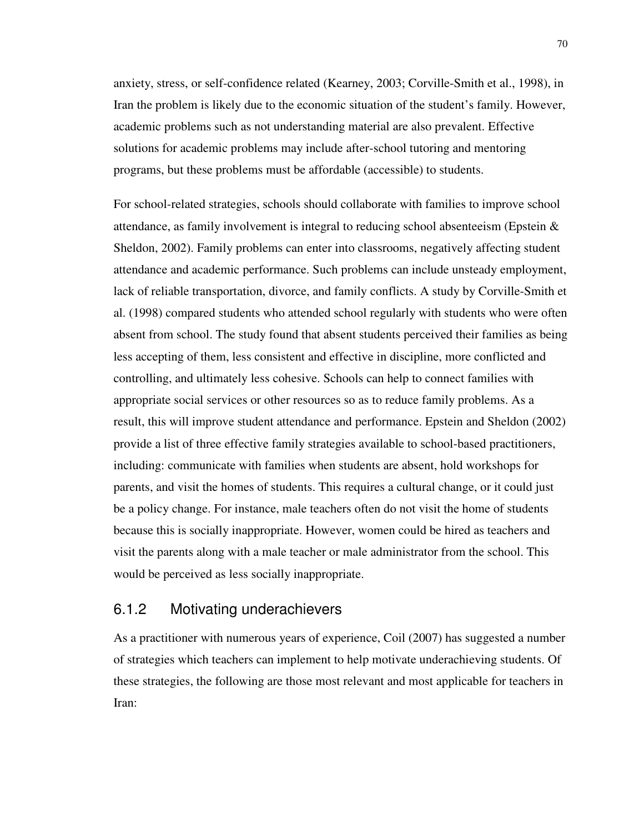anxiety, stress, or self-confidence related (Kearney, 2003; Corville-Smith et al., 1998), in Iran the problem is likely due to the economic situation of the student's family. However, academic problems such as not understanding material are also prevalent. Effective solutions for academic problems may include after-school tutoring and mentoring programs, but these problems must be affordable (accessible) to students.

For school-related strategies, schools should collaborate with families to improve school attendance, as family involvement is integral to reducing school absenteeism (Epstein & Sheldon, 2002). Family problems can enter into classrooms, negatively affecting student attendance and academic performance. Such problems can include unsteady employment, lack of reliable transportation, divorce, and family conflicts. A study by Corville-Smith et al. (1998) compared students who attended school regularly with students who were often absent from school. The study found that absent students perceived their families as being less accepting of them, less consistent and effective in discipline, more conflicted and controlling, and ultimately less cohesive. Schools can help to connect families with appropriate social services or other resources so as to reduce family problems. As a result, this will improve student attendance and performance. Epstein and Sheldon (2002) provide a list of three effective family strategies available to school-based practitioners, including: communicate with families when students are absent, hold workshops for parents, and visit the homes of students. This requires a cultural change, or it could just be a policy change. For instance, male teachers often do not visit the home of students because this is socially inappropriate. However, women could be hired as teachers and visit the parents along with a male teacher or male administrator from the school. This would be perceived as less socially inappropriate.

### 6.1.2 Motivating underachievers

As a practitioner with numerous years of experience, Coil (2007) has suggested a number of strategies which teachers can implement to help motivate underachieving students. Of these strategies, the following are those most relevant and most applicable for teachers in Iran: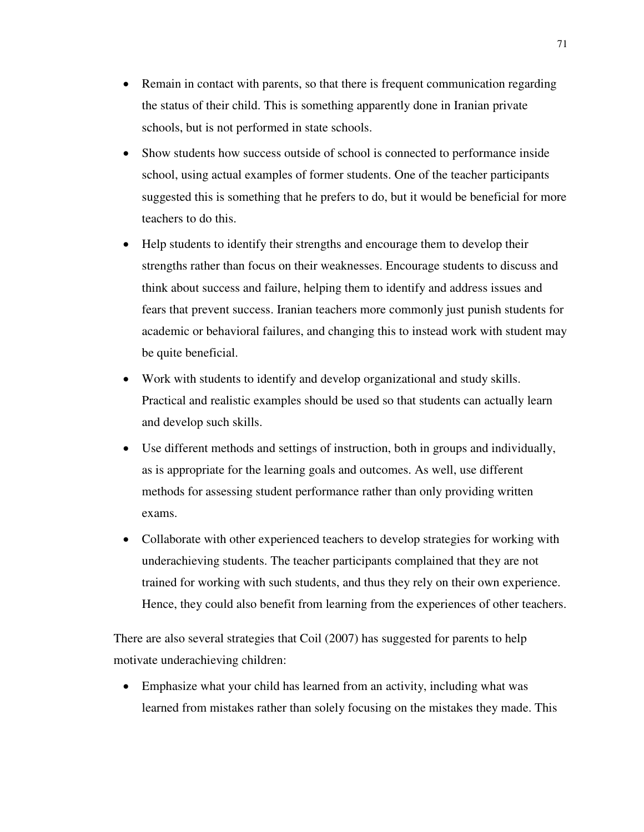- Remain in contact with parents, so that there is frequent communication regarding the status of their child. This is something apparently done in Iranian private schools, but is not performed in state schools.
- Show students how success outside of school is connected to performance inside school, using actual examples of former students. One of the teacher participants suggested this is something that he prefers to do, but it would be beneficial for more teachers to do this.
- Help students to identify their strengths and encourage them to develop their strengths rather than focus on their weaknesses. Encourage students to discuss and think about success and failure, helping them to identify and address issues and fears that prevent success. Iranian teachers more commonly just punish students for academic or behavioral failures, and changing this to instead work with student may be quite beneficial.
- Work with students to identify and develop organizational and study skills. Practical and realistic examples should be used so that students can actually learn and develop such skills.
- Use different methods and settings of instruction, both in groups and individually, as is appropriate for the learning goals and outcomes. As well, use different methods for assessing student performance rather than only providing written exams.
- Collaborate with other experienced teachers to develop strategies for working with underachieving students. The teacher participants complained that they are not trained for working with such students, and thus they rely on their own experience. Hence, they could also benefit from learning from the experiences of other teachers.

There are also several strategies that Coil (2007) has suggested for parents to help motivate underachieving children:

• Emphasize what your child has learned from an activity, including what was learned from mistakes rather than solely focusing on the mistakes they made. This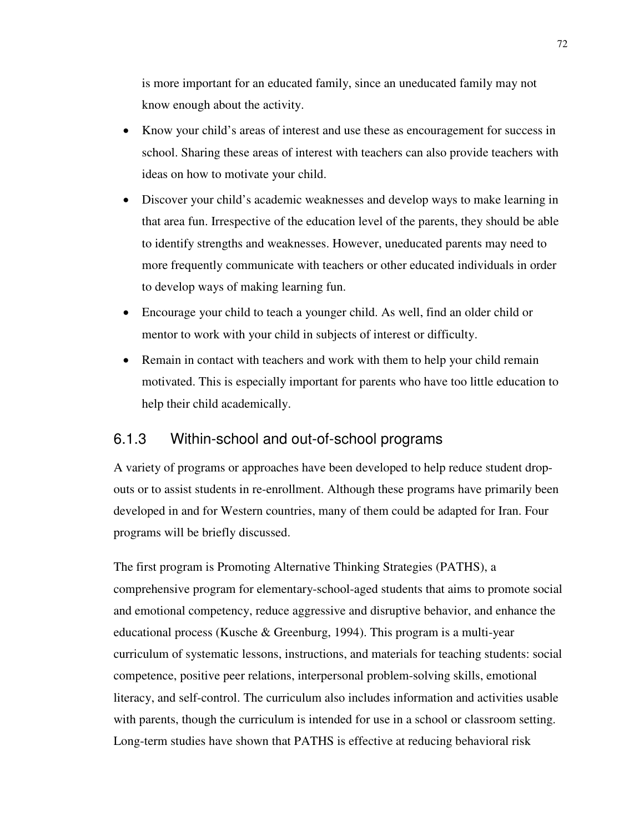is more important for an educated family, since an uneducated family may not know enough about the activity.

- Know your child's areas of interest and use these as encouragement for success in school. Sharing these areas of interest with teachers can also provide teachers with ideas on how to motivate your child.
- Discover your child's academic weaknesses and develop ways to make learning in that area fun. Irrespective of the education level of the parents, they should be able to identify strengths and weaknesses. However, uneducated parents may need to more frequently communicate with teachers or other educated individuals in order to develop ways of making learning fun.
- Encourage your child to teach a younger child. As well, find an older child or mentor to work with your child in subjects of interest or difficulty.
- Remain in contact with teachers and work with them to help your child remain motivated. This is especially important for parents who have too little education to help their child academically.

#### 6.1.3 Within-school and out-of-school programs

A variety of programs or approaches have been developed to help reduce student dropouts or to assist students in re-enrollment. Although these programs have primarily been developed in and for Western countries, many of them could be adapted for Iran. Four programs will be briefly discussed.

The first program is Promoting Alternative Thinking Strategies (PATHS), a comprehensive program for elementary-school-aged students that aims to promote social and emotional competency, reduce aggressive and disruptive behavior, and enhance the educational process (Kusche & Greenburg, 1994). This program is a multi-year curriculum of systematic lessons, instructions, and materials for teaching students: social competence, positive peer relations, interpersonal problem-solving skills, emotional literacy, and self-control. The curriculum also includes information and activities usable with parents, though the curriculum is intended for use in a school or classroom setting. Long-term studies have shown that PATHS is effective at reducing behavioral risk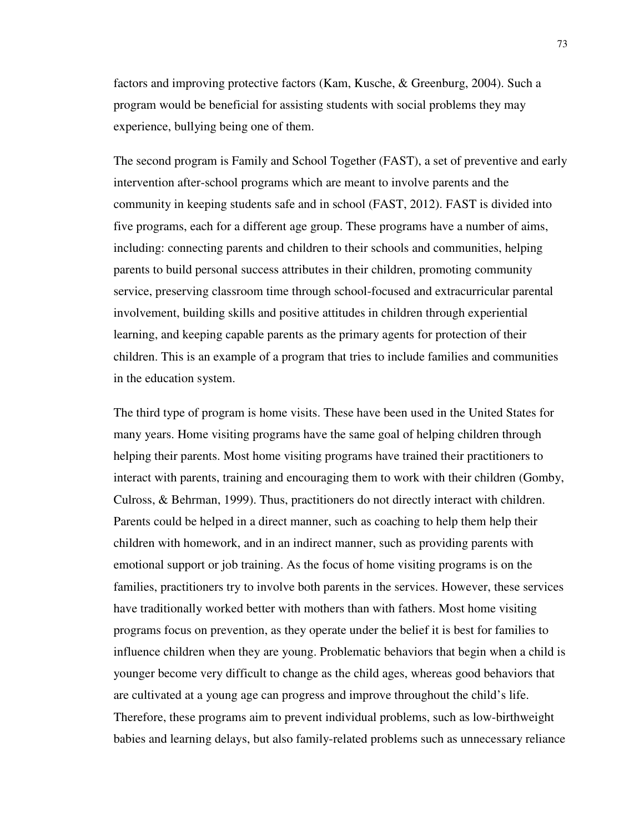factors and improving protective factors (Kam, Kusche, & Greenburg, 2004). Such a program would be beneficial for assisting students with social problems they may experience, bullying being one of them.

The second program is Family and School Together (FAST), a set of preventive and early intervention after-school programs which are meant to involve parents and the community in keeping students safe and in school (FAST, 2012). FAST is divided into five programs, each for a different age group. These programs have a number of aims, including: connecting parents and children to their schools and communities, helping parents to build personal success attributes in their children, promoting community service, preserving classroom time through school-focused and extracurricular parental involvement, building skills and positive attitudes in children through experiential learning, and keeping capable parents as the primary agents for protection of their children. This is an example of a program that tries to include families and communities in the education system.

The third type of program is home visits. These have been used in the United States for many years. Home visiting programs have the same goal of helping children through helping their parents. Most home visiting programs have trained their practitioners to interact with parents, training and encouraging them to work with their children (Gomby, Culross, & Behrman, 1999). Thus, practitioners do not directly interact with children. Parents could be helped in a direct manner, such as coaching to help them help their children with homework, and in an indirect manner, such as providing parents with emotional support or job training. As the focus of home visiting programs is on the families, practitioners try to involve both parents in the services. However, these services have traditionally worked better with mothers than with fathers. Most home visiting programs focus on prevention, as they operate under the belief it is best for families to influence children when they are young. Problematic behaviors that begin when a child is younger become very difficult to change as the child ages, whereas good behaviors that are cultivated at a young age can progress and improve throughout the child's life. Therefore, these programs aim to prevent individual problems, such as low-birthweight babies and learning delays, but also family-related problems such as unnecessary reliance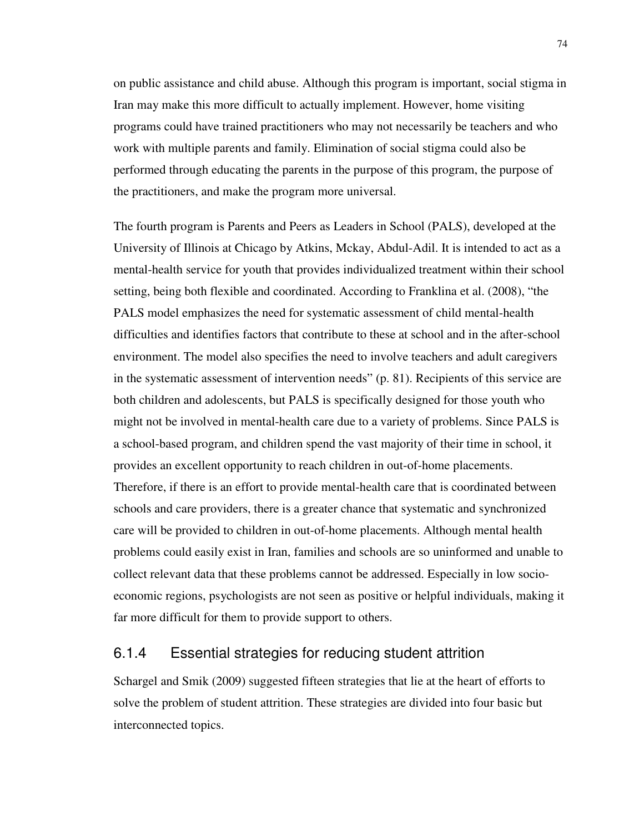on public assistance and child abuse. Although this program is important, social stigma in Iran may make this more difficult to actually implement. However, home visiting programs could have trained practitioners who may not necessarily be teachers and who work with multiple parents and family. Elimination of social stigma could also be performed through educating the parents in the purpose of this program, the purpose of the practitioners, and make the program more universal.

The fourth program is Parents and Peers as Leaders in School (PALS), developed at the University of Illinois at Chicago by Atkins, Mckay, Abdul-Adil. It is intended to act as a mental-health service for youth that provides individualized treatment within their school setting, being both flexible and coordinated. According to Franklina et al. (2008), "the PALS model emphasizes the need for systematic assessment of child mental-health difficulties and identifies factors that contribute to these at school and in the after-school environment. The model also specifies the need to involve teachers and adult caregivers in the systematic assessment of intervention needs" (p. 81). Recipients of this service are both children and adolescents, but PALS is specifically designed for those youth who might not be involved in mental-health care due to a variety of problems. Since PALS is a school-based program, and children spend the vast majority of their time in school, it provides an excellent opportunity to reach children in out-of-home placements. Therefore, if there is an effort to provide mental-health care that is coordinated between schools and care providers, there is a greater chance that systematic and synchronized care will be provided to children in out-of-home placements. Although mental health problems could easily exist in Iran, families and schools are so uninformed and unable to collect relevant data that these problems cannot be addressed. Especially in low socioeconomic regions, psychologists are not seen as positive or helpful individuals, making it far more difficult for them to provide support to others.

#### 6.1.4 Essential strategies for reducing student attrition

Schargel and Smik (2009) suggested fifteen strategies that lie at the heart of efforts to solve the problem of student attrition. These strategies are divided into four basic but interconnected topics.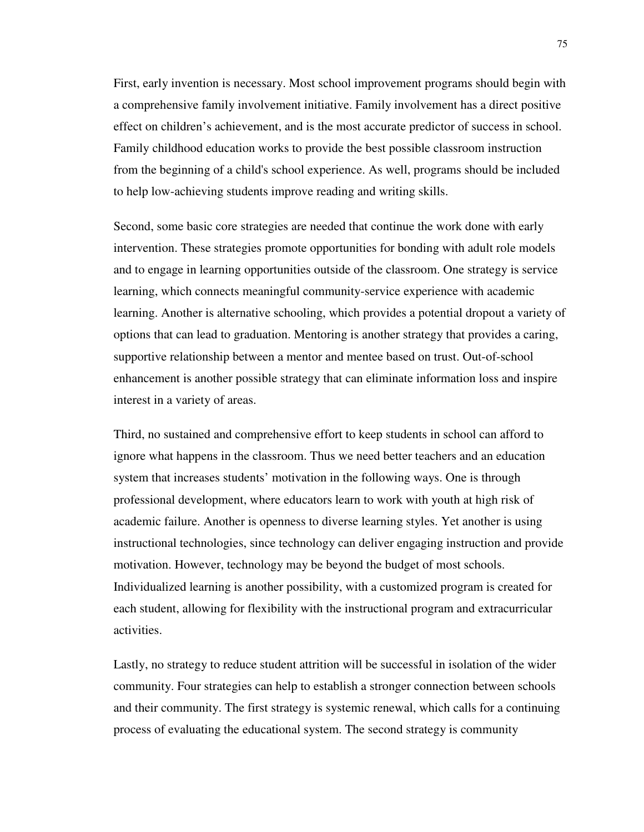First, early invention is necessary. Most school improvement programs should begin with a comprehensive family involvement initiative. Family involvement has a direct positive effect on children's achievement, and is the most accurate predictor of success in school. Family childhood education works to provide the best possible classroom instruction from the beginning of a child's school experience. As well, programs should be included to help low-achieving students improve reading and writing skills.

Second, some basic core strategies are needed that continue the work done with early intervention. These strategies promote opportunities for bonding with adult role models and to engage in learning opportunities outside of the classroom. One strategy is service learning, which connects meaningful community-service experience with academic learning. Another is alternative schooling, which provides a potential dropout a variety of options that can lead to graduation. Mentoring is another strategy that provides a caring, supportive relationship between a mentor and mentee based on trust. Out-of-school enhancement is another possible strategy that can eliminate information loss and inspire interest in a variety of areas.

Third, no sustained and comprehensive effort to keep students in school can afford to ignore what happens in the classroom. Thus we need better teachers and an education system that increases students' motivation in the following ways. One is through professional development, where educators learn to work with youth at high risk of academic failure. Another is openness to diverse learning styles. Yet another is using instructional technologies, since technology can deliver engaging instruction and provide motivation. However, technology may be beyond the budget of most schools. Individualized learning is another possibility, with a customized program is created for each student, allowing for flexibility with the instructional program and extracurricular activities.

Lastly, no strategy to reduce student attrition will be successful in isolation of the wider community. Four strategies can help to establish a stronger connection between schools and their community. The first strategy is systemic renewal, which calls for a continuing process of evaluating the educational system. The second strategy is community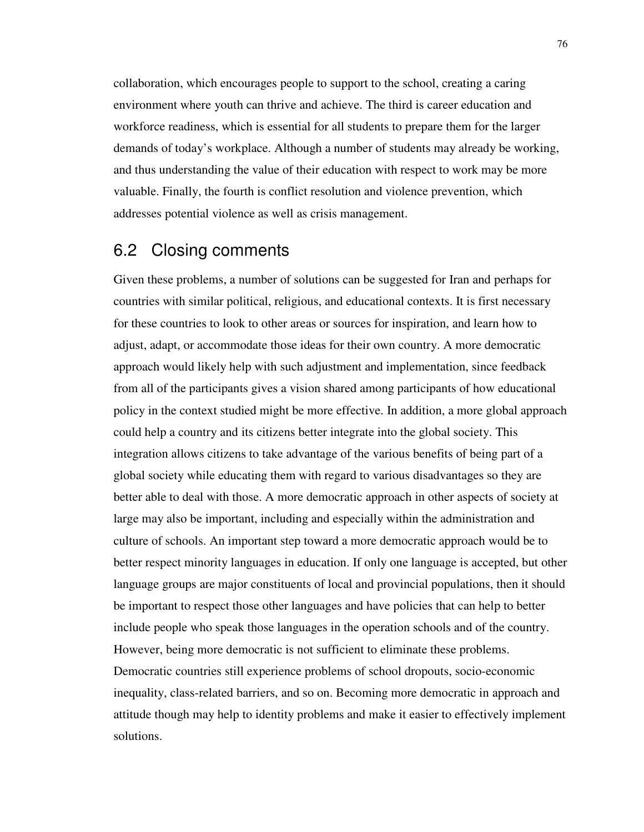collaboration, which encourages people to support to the school, creating a caring environment where youth can thrive and achieve. The third is career education and workforce readiness, which is essential for all students to prepare them for the larger demands of today's workplace. Although a number of students may already be working, and thus understanding the value of their education with respect to work may be more valuable. Finally, the fourth is conflict resolution and violence prevention, which addresses potential violence as well as crisis management.

### 6.2 Closing comments

Given these problems, a number of solutions can be suggested for Iran and perhaps for countries with similar political, religious, and educational contexts. It is first necessary for these countries to look to other areas or sources for inspiration, and learn how to adjust, adapt, or accommodate those ideas for their own country. A more democratic approach would likely help with such adjustment and implementation, since feedback from all of the participants gives a vision shared among participants of how educational policy in the context studied might be more effective. In addition, a more global approach could help a country and its citizens better integrate into the global society. This integration allows citizens to take advantage of the various benefits of being part of a global society while educating them with regard to various disadvantages so they are better able to deal with those. A more democratic approach in other aspects of society at large may also be important, including and especially within the administration and culture of schools. An important step toward a more democratic approach would be to better respect minority languages in education. If only one language is accepted, but other language groups are major constituents of local and provincial populations, then it should be important to respect those other languages and have policies that can help to better include people who speak those languages in the operation schools and of the country. However, being more democratic is not sufficient to eliminate these problems. Democratic countries still experience problems of school dropouts, socio-economic inequality, class-related barriers, and so on. Becoming more democratic in approach and attitude though may help to identity problems and make it easier to effectively implement solutions.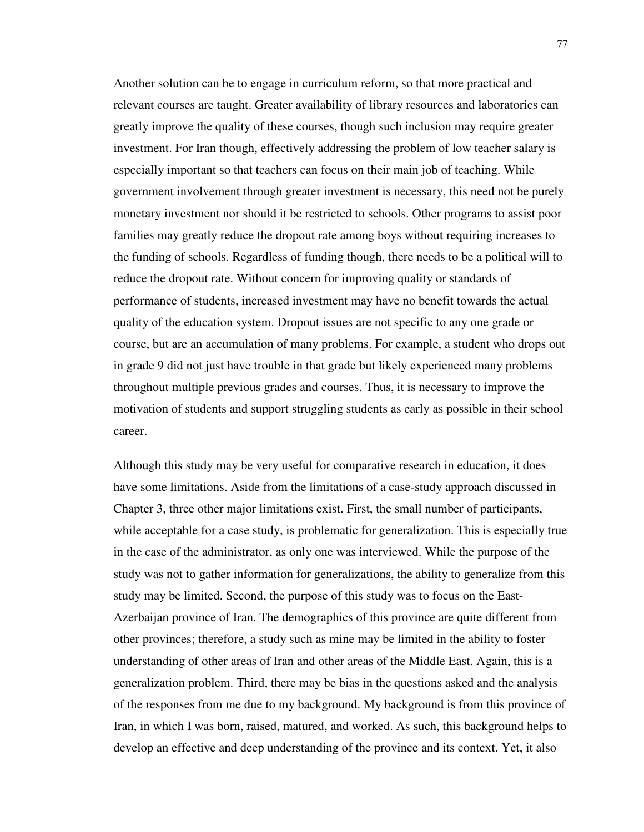Another solution can be to engage in curriculum reform, so that more practical and relevant courses are taught. Greater availability of library resources and laboratories can greatly improve the quality of these courses, though such inclusion may require greater investment. For Iran though, effectively addressing the problem of low teacher salary is especially important so that teachers can focus on their main job of teaching. While government involvement through greater investment is necessary, this need not be purely monetary investment nor should it be restricted to schools. Other programs to assist poor families may greatly reduce the dropout rate among boys without requiring increases to the funding of schools. Regardless of funding though, there needs to be a political will to reduce the dropout rate. Without concern for improving quality or standards of performance of students, increased investment may have no benefit towards the actual quality of the education system. Dropout issues are not specific to any one grade or course, but are an accumulation of many problems. For example, a student who drops out in grade 9 did not just have trouble in that grade but likely experienced many problems throughout multiple previous grades and courses. Thus, it is necessary to improve the motivation of students and support struggling students as early as possible in their school career.

Although this study may be very useful for comparative research in education, it does have some limitations. Aside from the limitations of a case-study approach discussed in Chapter 3, three other major limitations exist. First, the small number of participants, while acceptable for a case study, is problematic for generalization. This is especially true in the case of the administrator, as only one was interviewed. While the purpose of the study was not to gather information for generalizations, the ability to generalize from this study may be limited. Second, the purpose of this study was to focus on the East-Azerbaijan province of Iran. The demographics of this province are quite different from other provinces; therefore, a study such as mine may be limited in the ability to foster understanding of other areas of Iran and other areas of the Middle East. Again, this is a generalization problem. Third, there may be bias in the questions asked and the analysis of the responses from me due to my background. My background is from this province of Iran, in which I was born, raised, matured, and worked. As such, this background helps to develop an effective and deep understanding of the province and its context. Yet, it also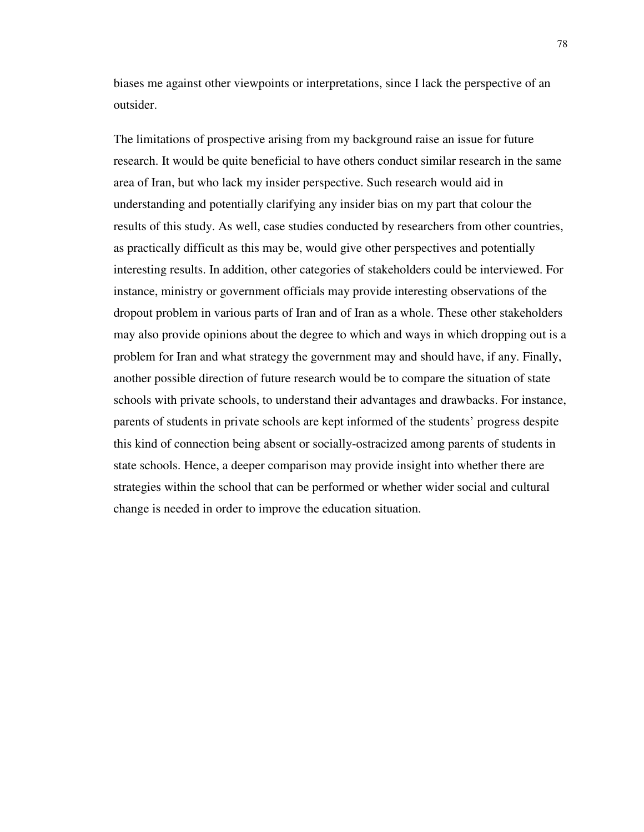biases me against other viewpoints or interpretations, since I lack the perspective of an outsider.

The limitations of prospective arising from my background raise an issue for future research. It would be quite beneficial to have others conduct similar research in the same area of Iran, but who lack my insider perspective. Such research would aid in understanding and potentially clarifying any insider bias on my part that colour the results of this study. As well, case studies conducted by researchers from other countries, as practically difficult as this may be, would give other perspectives and potentially interesting results. In addition, other categories of stakeholders could be interviewed. For instance, ministry or government officials may provide interesting observations of the dropout problem in various parts of Iran and of Iran as a whole. These other stakeholders may also provide opinions about the degree to which and ways in which dropping out is a problem for Iran and what strategy the government may and should have, if any. Finally, another possible direction of future research would be to compare the situation of state schools with private schools, to understand their advantages and drawbacks. For instance, parents of students in private schools are kept informed of the students' progress despite this kind of connection being absent or socially-ostracized among parents of students in state schools. Hence, a deeper comparison may provide insight into whether there are strategies within the school that can be performed or whether wider social and cultural change is needed in order to improve the education situation.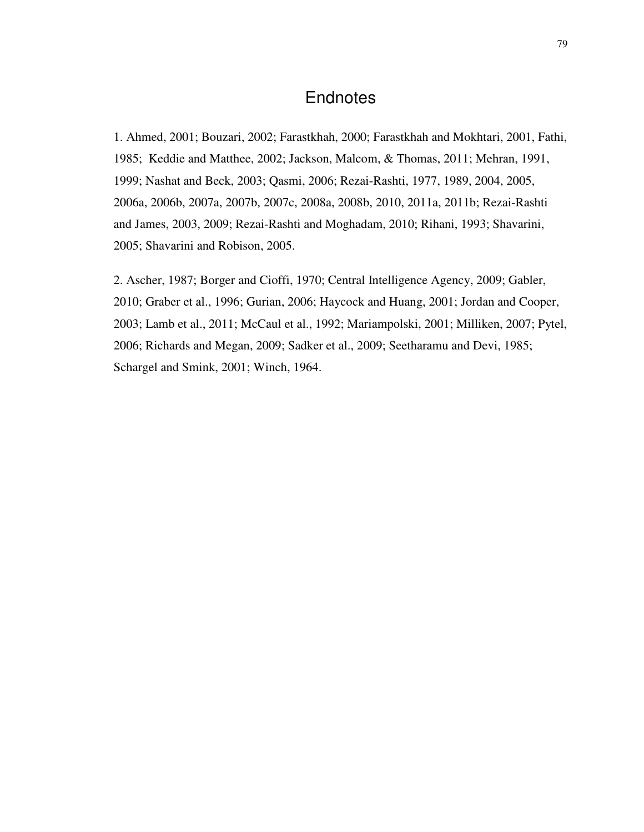## **Endnotes**

1. Ahmed, 2001; Bouzari, 2002; Farastkhah, 2000; Farastkhah and Mokhtari, 2001, Fathi, 1985; Keddie and Matthee, 2002; Jackson, Malcom, & Thomas, 2011; Mehran, 1991, 1999; Nashat and Beck, 2003; Qasmi, 2006; Rezai-Rashti, 1977, 1989, 2004, 2005, 2006a, 2006b, 2007a, 2007b, 2007c, 2008a, 2008b, 2010, 2011a, 2011b; Rezai-Rashti and James, 2003, 2009; Rezai-Rashti and Moghadam, 2010; Rihani, 1993; Shavarini, 2005; Shavarini and Robison, 2005.

2. Ascher, 1987; Borger and Cioffi, 1970; Central Intelligence Agency, 2009; Gabler, 2010; Graber et al., 1996; Gurian, 2006; Haycock and Huang, 2001; Jordan and Cooper, 2003; Lamb et al., 2011; McCaul et al., 1992; Mariampolski, 2001; Milliken, 2007; Pytel, 2006; Richards and Megan, 2009; Sadker et al., 2009; Seetharamu and Devi, 1985; Schargel and Smink, 2001; Winch, 1964.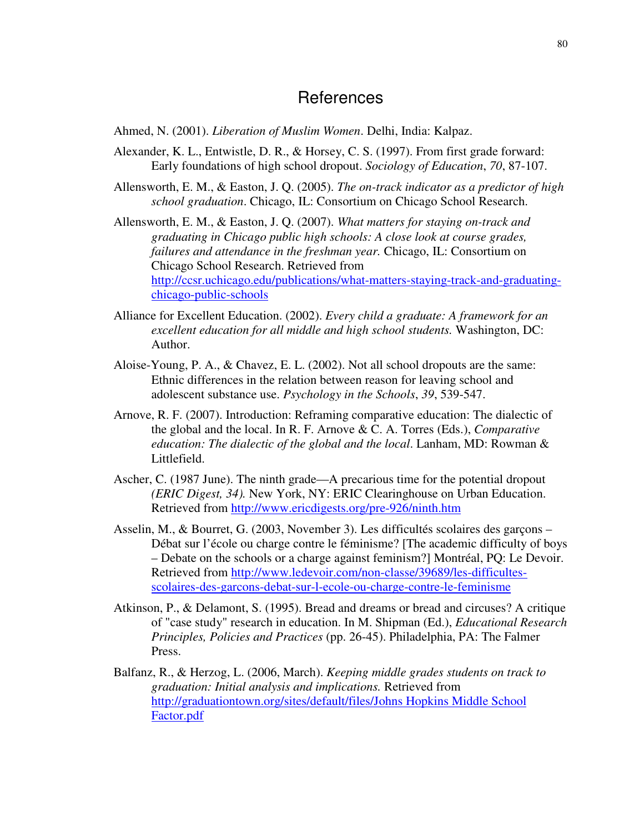### References

Ahmed, N. (2001). *Liberation of Muslim Women*. Delhi, India: Kalpaz.

- Alexander, K. L., Entwistle, D. R., & Horsey, C. S. (1997). From first grade forward: Early foundations of high school dropout. *Sociology of Education*, *70*, 87-107.
- Allensworth, E. M., & Easton, J. Q. (2005). *The on-track indicator as a predictor of high school graduation*. Chicago, IL: Consortium on Chicago School Research.
- Allensworth, E. M., & Easton, J. Q. (2007). *What matters for staying on-track and graduating in Chicago public high schools: A close look at course grades, failures and attendance in the freshman year.* Chicago, IL: Consortium on Chicago School Research. Retrieved from http://ccsr.uchicago.edu/publications/what-matters-staying-track-and-graduatingchicago-public-schools
- Alliance for Excellent Education. (2002). *Every child a graduate: A framework for an excellent education for all middle and high school students.* Washington, DC: Author.
- Aloise-Young, P. A., & Chavez, E. L. (2002). Not all school dropouts are the same: Ethnic differences in the relation between reason for leaving school and adolescent substance use. *Psychology in the Schools*, *39*, 539-547.
- Arnove, R. F. (2007). Introduction: Reframing comparative education: The dialectic of the global and the local. In R. F. Arnove & C. A. Torres (Eds.), *Comparative education: The dialectic of the global and the local*. Lanham, MD: Rowman & Littlefield.
- Ascher, C. (1987 June). The ninth grade—A precarious time for the potential dropout *(ERIC Digest, 34).* New York, NY: ERIC Clearinghouse on Urban Education. Retrieved from http://www.ericdigests.org/pre-926/ninth.htm
- Asselin, M., & Bourret, G. (2003, November 3). Les difficultés scolaires des garçons Débat sur l'école ou charge contre le féminisme? [The academic difficulty of boys – Debate on the schools or a charge against feminism?] Montréal, PQ: Le Devoir. Retrieved from http://www.ledevoir.com/non-classe/39689/les-difficultesscolaires-des-garcons-debat-sur-l-ecole-ou-charge-contre-le-feminisme
- Atkinson, P., & Delamont, S. (1995). Bread and dreams or bread and circuses? A critique of "case study" research in education. In M. Shipman (Ed.), *Educational Research Principles, Policies and Practices* (pp. 26-45). Philadelphia, PA: The Falmer Press.
- Balfanz, R., & Herzog, L. (2006, March). *Keeping middle grades students on track to graduation: Initial analysis and implications.* Retrieved from http://graduationtown.org/sites/default/files/Johns Hopkins Middle School Factor.pdf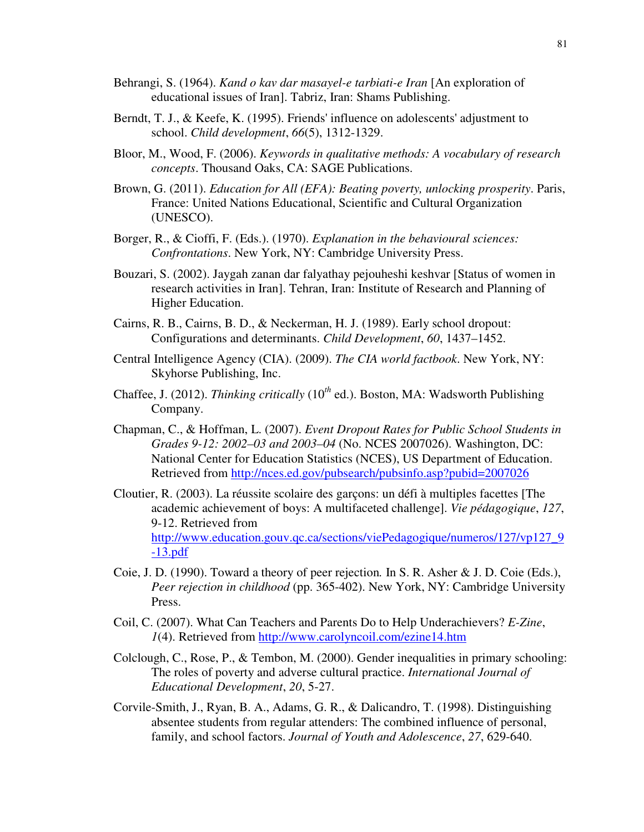- Behrangi, S. (1964). *Kand o kav dar masayel-e tarbiati-e Iran* [An exploration of educational issues of Iran]. Tabriz, Iran: Shams Publishing.
- Berndt, T. J., & Keefe, K. (1995). Friends' influence on adolescents' adjustment to school. *Child development*, *66*(5), 1312-1329.
- Bloor, M., Wood, F. (2006). *Keywords in qualitative methods: A vocabulary of research concepts*. Thousand Oaks, CA: SAGE Publications.
- Brown, G. (2011). *Education for All (EFA): Beating poverty, unlocking prosperity*. Paris, France: United Nations Educational, Scientific and Cultural Organization (UNESCO).
- Borger, R., & Cioffi, F. (Eds.). (1970). *Explanation in the behavioural sciences: Confrontations*. New York, NY: Cambridge University Press.
- Bouzari, S. (2002). Jaygah zanan dar falyathay pejouheshi keshvar [Status of women in research activities in Iran]. Tehran, Iran: Institute of Research and Planning of Higher Education.
- Cairns, R. B., Cairns, B. D., & Neckerman, H. J. (1989). Early school dropout: Configurations and determinants. *Child Development*, *60*, 1437–1452.
- Central Intelligence Agency (CIA). (2009). *The CIA world factbook*. New York, NY: Skyhorse Publishing, Inc.
- Chaffee, J. (2012). *Thinking critically* (10*th* ed.). Boston, MA: Wadsworth Publishing Company.
- Chapman, C., & Hoffman, L. (2007). *Event Dropout Rates for Public School Students in Grades 9-12: 2002–03 and 2003–04* (No. NCES 2007026). Washington, DC: National Center for Education Statistics (NCES), US Department of Education. Retrieved from http://nces.ed.gov/pubsearch/pubsinfo.asp?pubid=2007026
- Cloutier, R. (2003). La réussite scolaire des garçons: un défi à multiples facettes [The academic achievement of boys: A multifaceted challenge]. *Vie pédagogique*, *127*, 9-12. Retrieved from http://www.education.gouv.qc.ca/sections/viePedagogique/numeros/127/vp127\_9 -13.pdf
- Coie, J. D. (1990). Toward a theory of peer rejection*.* In S. R. Asher & J. D. Coie (Eds.), *Peer rejection in childhood* (pp. 365-402). New York, NY: Cambridge University Press.
- Coil, C. (2007). What Can Teachers and Parents Do to Help Underachievers? *E-Zine*, *1*(4). Retrieved from http://www.carolyncoil.com/ezine14.htm
- Colclough, C., Rose, P., & Tembon, M. (2000). Gender inequalities in primary schooling: The roles of poverty and adverse cultural practice. *International Journal of Educational Development*, *20*, 5-27.
- Corvile-Smith, J., Ryan, B. A., Adams, G. R., & Dalicandro, T. (1998). Distinguishing absentee students from regular attenders: The combined influence of personal, family, and school factors. *Journal of Youth and Adolescence*, *27*, 629-640.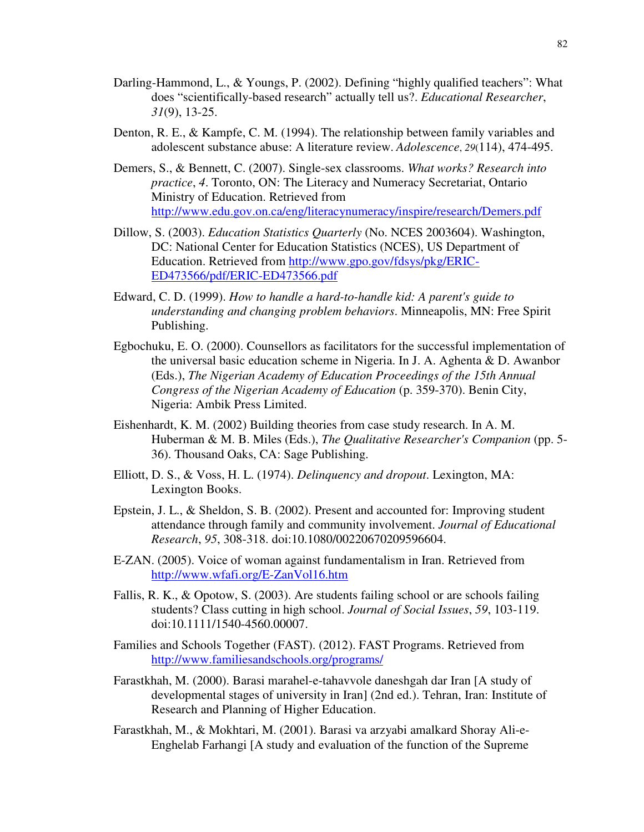- Darling-Hammond, L., & Youngs, P. (2002). Defining "highly qualified teachers": What does "scientifically-based research" actually tell us?. *Educational Researcher*, *31*(9), 13-25.
- Denton, R. E., & Kampfe, C. M. (1994). The relationship between family variables and adolescent substance abuse: A literature review. *Adolescence*, *29*(114), 474-495.
- Demers, S., & Bennett, C. (2007). Single-sex classrooms. *What works? Research into practice*, *4*. Toronto, ON: The Literacy and Numeracy Secretariat, Ontario Ministry of Education. Retrieved from http://www.edu.gov.on.ca/eng/literacynumeracy/inspire/research/Demers.pdf
- Dillow, S. (2003). *Education Statistics Quarterly* (No. NCES 2003604). Washington, DC: National Center for Education Statistics (NCES), US Department of Education. Retrieved from http://www.gpo.gov/fdsys/pkg/ERIC-ED473566/pdf/ERIC-ED473566.pdf
- Edward, C. D. (1999). *How to handle a hard-to-handle kid: A parent's guide to understanding and changing problem behaviors*. Minneapolis, MN: Free Spirit Publishing.
- Egbochuku, E. O. (2000). Counsellors as facilitators for the successful implementation of the universal basic education scheme in Nigeria. In J. A. Aghenta & D. Awanbor (Eds.), *The Nigerian Academy of Education Proceedings of the 15th Annual Congress of the Nigerian Academy of Education* (p. 359-370). Benin City, Nigeria: Ambik Press Limited.
- Eishenhardt, K. M. (2002) Building theories from case study research. In A. M. Huberman & M. B. Miles (Eds.), *The Qualitative Researcher's Companion* (pp. 5- 36). Thousand Oaks, CA: Sage Publishing.
- Elliott, D. S., & Voss, H. L. (1974). *Delinquency and dropout*. Lexington, MA: Lexington Books.
- Epstein, J. L., & Sheldon, S. B. (2002). Present and accounted for: Improving student attendance through family and community involvement. *Journal of Educational Research*, *95*, 308-318. doi:10.1080/00220670209596604.
- E-ZAN. (2005). Voice of woman against fundamentalism in Iran. Retrieved from http://www.wfafi.org/E-ZanVol16.htm
- Fallis, R. K., & Opotow, S. (2003). Are students failing school or are schools failing students? Class cutting in high school. *Journal of Social Issues*, *59*, 103-119. doi:10.1111/1540-4560.00007.
- Families and Schools Together (FAST). (2012). FAST Programs. Retrieved from http://www.familiesandschools.org/programs/
- Farastkhah, M. (2000). Barasi marahel-e-tahavvole daneshgah dar Iran [A study of developmental stages of university in Iran] (2nd ed.). Tehran, Iran: Institute of Research and Planning of Higher Education.
- Farastkhah, M., & Mokhtari, M. (2001). Barasi va arzyabi amalkard Shoray Ali-e-Enghelab Farhangi [A study and evaluation of the function of the Supreme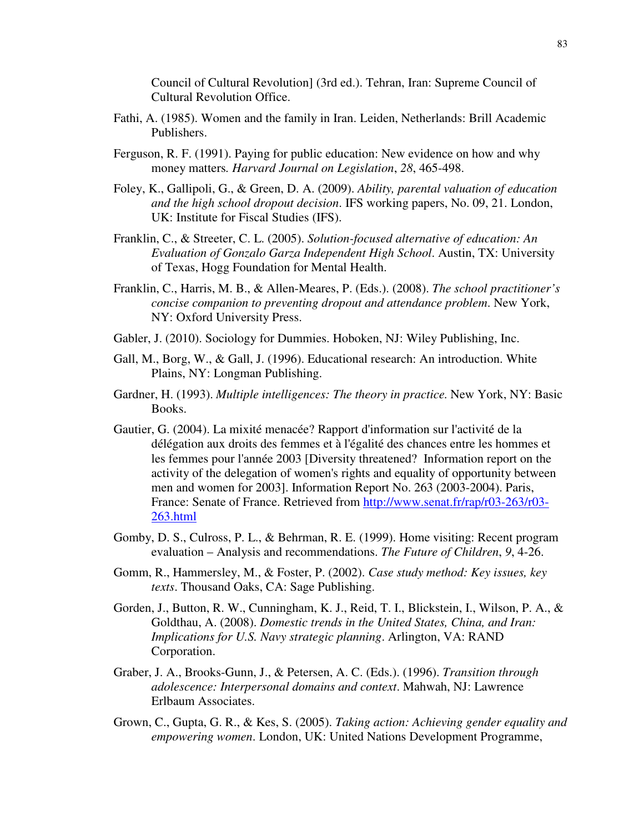Council of Cultural Revolution] (3rd ed.). Tehran, Iran: Supreme Council of Cultural Revolution Office.

- Fathi, A. (1985). Women and the family in Iran. Leiden, Netherlands: Brill Academic Publishers.
- Ferguson, R. F. (1991). Paying for public education: New evidence on how and why money matters*. Harvard Journal on Legislation*, *28*, 465-498.
- Foley, K., Gallipoli, G., & Green, D. A. (2009). *Ability, parental valuation of education and the high school dropout decision*. IFS working papers, No. 09, 21. London, UK: Institute for Fiscal Studies (IFS).
- Franklin, C., & Streeter, C. L. (2005). *Solution-focused alternative of education: An Evaluation of Gonzalo Garza Independent High School*. Austin, TX: University of Texas, Hogg Foundation for Mental Health.
- Franklin, C., Harris, M. B., & Allen-Meares, P. (Eds.). (2008). *The school practitioner's concise companion to preventing dropout and attendance problem*. New York, NY: Oxford University Press.
- Gabler, J. (2010). Sociology for Dummies. Hoboken, NJ: Wiley Publishing, Inc.
- Gall, M., Borg, W., & Gall, J. (1996). Educational research: An introduction. White Plains, NY: Longman Publishing.
- Gardner, H. (1993). *Multiple intelligences: The theory in practice.* New York, NY: Basic Books.
- Gautier, G. (2004). La mixité menacée? Rapport d'information sur l'activité de la délégation aux droits des femmes et à l'égalité des chances entre les hommes et les femmes pour l'année 2003 [Diversity threatened? Information report on the activity of the delegation of women's rights and equality of opportunity between men and women for 2003]. Information Report No. 263 (2003-2004). Paris, France: Senate of France. Retrieved from http://www.senat.fr/rap/r03-263/r03- 263.html
- Gomby, D. S., Culross, P. L., & Behrman, R. E. (1999). Home visiting: Recent program evaluation – Analysis and recommendations. *The Future of Children*, *9*, 4-26.
- Gomm, R., Hammersley, M., & Foster, P. (2002). *Case study method: Key issues, key texts*. Thousand Oaks, CA: Sage Publishing.
- Gorden, J., Button, R. W., Cunningham, K. J., Reid, T. I., Blickstein, I., Wilson, P. A., & Goldthau, A. (2008). *Domestic trends in the United States, China, and Iran: Implications for U.S. Navy strategic planning*. Arlington, VA: RAND Corporation.
- Graber, J. A., Brooks-Gunn, J., & Petersen, A. C. (Eds.). (1996). *Transition through adolescence: Interpersonal domains and context*. Mahwah, NJ: Lawrence Erlbaum Associates.
- Grown, C., Gupta, G. R., & Kes, S. (2005). *Taking action: Achieving gender equality and empowering women*. London, UK: United Nations Development Programme,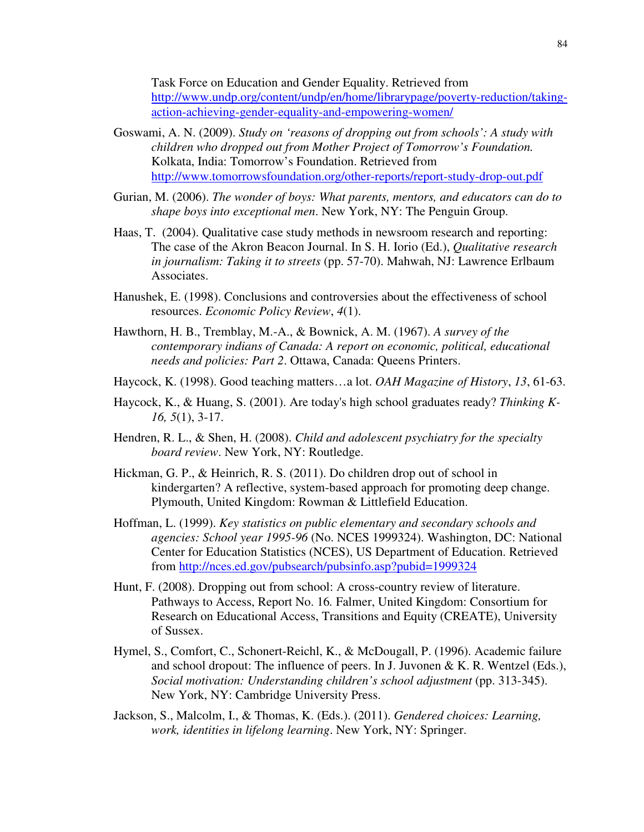Task Force on Education and Gender Equality. Retrieved from http://www.undp.org/content/undp/en/home/librarypage/poverty-reduction/takingaction-achieving-gender-equality-and-empowering-women/

- Goswami, A. N. (2009). *Study on 'reasons of dropping out from schools': A study with children who dropped out from Mother Project of Tomorrow's Foundation.*  Kolkata, India: Tomorrow's Foundation. Retrieved from http://www.tomorrowsfoundation.org/other-reports/report-study-drop-out.pdf
- Gurian, M. (2006). *The wonder of boys: What parents, mentors, and educators can do to shape boys into exceptional men*. New York, NY: The Penguin Group.
- Haas, T. (2004). Qualitative case study methods in newsroom research and reporting: The case of the Akron Beacon Journal. In S. H. Iorio (Ed.), *Qualitative research in journalism: Taking it to streets* (pp. 57-70). Mahwah, NJ: Lawrence Erlbaum Associates.
- Hanushek, E. (1998). Conclusions and controversies about the effectiveness of school resources. *Economic Policy Review*, *4*(1).
- Hawthorn, H. B., Tremblay, M.-A., & Bownick, A. M. (1967). *A survey of the contemporary indians of Canada: A report on economic, political, educational needs and policies: Part 2*. Ottawa, Canada: Queens Printers.
- Haycock, K. (1998). Good teaching matters…a lot. *OAH Magazine of History*, *13*, 61-63.
- Haycock, K., & Huang, S. (2001). Are today's high school graduates ready? *Thinking K-16, 5*(1), 3-17.
- Hendren, R. L., & Shen, H. (2008). *Child and adolescent psychiatry for the specialty board review*. New York, NY: Routledge.
- Hickman, G. P., & Heinrich, R. S. (2011). Do children drop out of school in kindergarten? A reflective, system-based approach for promoting deep change. Plymouth, United Kingdom: Rowman & Littlefield Education.
- Hoffman, L. (1999). *Key statistics on public elementary and secondary schools and agencies: School year 1995-96* (No. NCES 1999324). Washington, DC: National Center for Education Statistics (NCES), US Department of Education. Retrieved from http://nces.ed.gov/pubsearch/pubsinfo.asp?pubid=1999324
- Hunt, F. (2008). Dropping out from school: A cross-country review of literature. Pathways to Access, Report No. 16*.* Falmer, United Kingdom: Consortium for Research on Educational Access, Transitions and Equity (CREATE), University of Sussex.
- Hymel, S., Comfort, C., Schonert-Reichl, K., & McDougall, P. (1996). Academic failure and school dropout: The influence of peers. In J. Juvonen & K. R. Wentzel (Eds.), *Social motivation: Understanding children's school adjustment* (pp. 313-345). New York, NY: Cambridge University Press.
- Jackson, S., Malcolm, I., & Thomas, K. (Eds.). (2011). *Gendered choices: Learning, work, identities in lifelong learning*. New York, NY: Springer.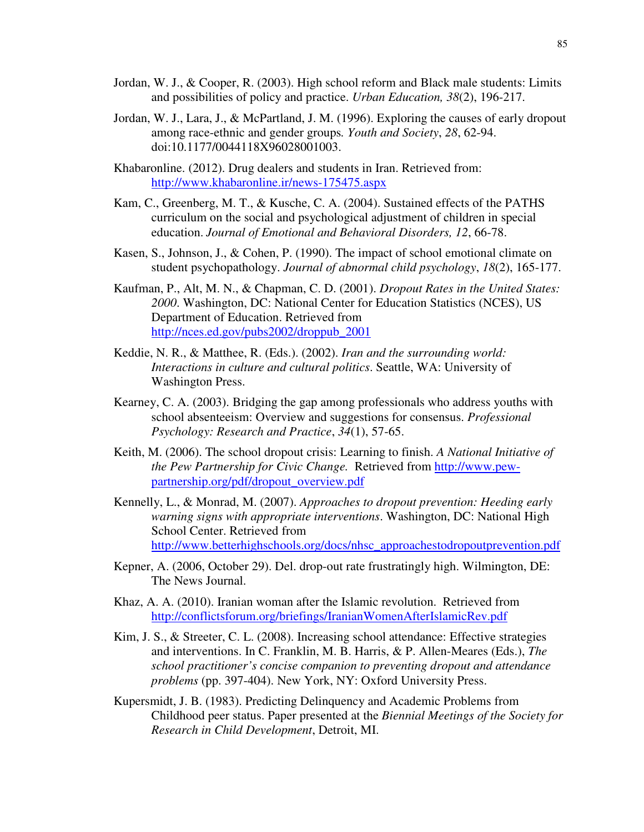- Jordan, W. J., & Cooper, R. (2003). High school reform and Black male students: Limits and possibilities of policy and practice. *Urban Education, 38*(2), 196-217.
- Jordan, W. J., Lara, J., & McPartland, J. M. (1996). Exploring the causes of early dropout among race-ethnic and gender groups*. Youth and Society*, *28*, 62-94. doi:10.1177/0044118X96028001003.
- Khabaronline. (2012). Drug dealers and students in Iran. Retrieved from: http://www.khabaronline.ir/news-175475.aspx
- Kam, C., Greenberg, M. T., & Kusche, C. A. (2004). Sustained effects of the PATHS curriculum on the social and psychological adjustment of children in special education. *Journal of Emotional and Behavioral Disorders, 12*, 66-78.
- Kasen, S., Johnson, J., & Cohen, P. (1990). The impact of school emotional climate on student psychopathology. *Journal of abnormal child psychology*, *18*(2), 165-177.
- Kaufman, P., Alt, M. N., & Chapman, C. D. (2001). *Dropout Rates in the United States: 2000*. Washington, DC: National Center for Education Statistics (NCES), US Department of Education. Retrieved from http://nces.ed.gov/pubs2002/droppub\_2001
- Keddie, N. R., & Matthee, R. (Eds.). (2002). *Iran and the surrounding world: Interactions in culture and cultural politics*. Seattle, WA: University of Washington Press.
- Kearney, C. A. (2003). Bridging the gap among professionals who address youths with school absenteeism: Overview and suggestions for consensus. *Professional Psychology: Research and Practice*, *34*(1), 57-65.
- Keith, M. (2006). The school dropout crisis: Learning to finish. *A National Initiative of the Pew Partnership for Civic Change.* Retrieved from http://www.pewpartnership.org/pdf/dropout\_overview.pdf
- Kennelly, L., & Monrad, M. (2007). *Approaches to dropout prevention: Heeding early warning signs with appropriate interventions*. Washington, DC: National High School Center. Retrieved from http://www.betterhighschools.org/docs/nhsc\_approachestodropoutprevention.pdf
- Kepner, A. (2006, October 29). Del. drop-out rate frustratingly high. Wilmington, DE: The News Journal.
- Khaz, A. A. (2010). Iranian woman after the Islamic revolution. Retrieved from http://conflictsforum.org/briefings/IranianWomenAfterIslamicRev.pdf
- Kim, J. S., & Streeter, C. L. (2008). Increasing school attendance: Effective strategies and interventions. In C. Franklin, M. B. Harris, & P. Allen-Meares (Eds.), *The school practitioner's concise companion to preventing dropout and attendance problems* (pp. 397-404). New York, NY: Oxford University Press.
- Kupersmidt, J. B. (1983). Predicting Delinquency and Academic Problems from Childhood peer status. Paper presented at the *Biennial Meetings of the Society for Research in Child Development*, Detroit, MI.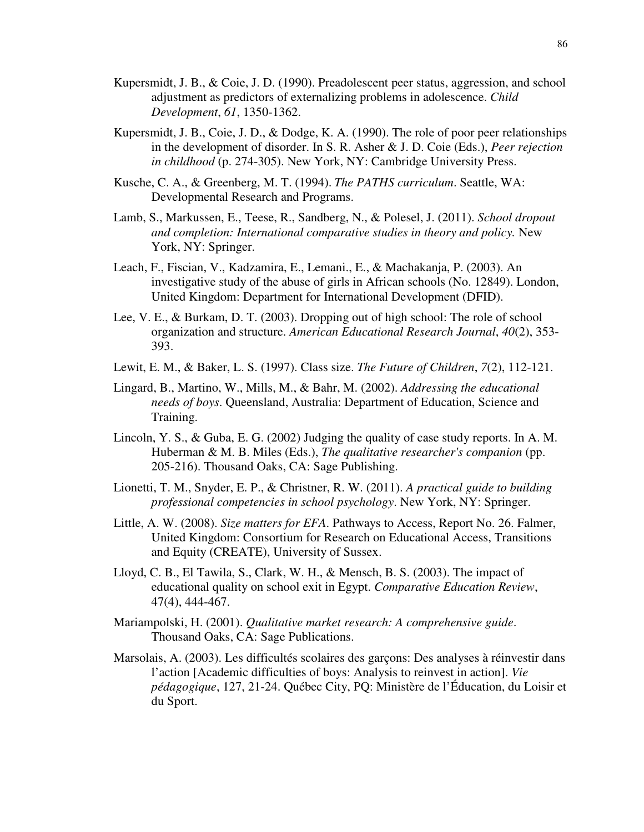- Kupersmidt, J. B., & Coie, J. D. (1990). Preadolescent peer status, aggression, and school adjustment as predictors of externalizing problems in adolescence. *Child Development*, *61*, 1350-1362.
- Kupersmidt, J. B., Coie, J. D., & Dodge, K. A. (1990). The role of poor peer relationships in the development of disorder. In S. R. Asher & J. D. Coie (Eds.), *Peer rejection in childhood* (p. 274-305). New York, NY: Cambridge University Press.
- Kusche, C. A., & Greenberg, M. T. (1994). *The PATHS curriculum*. Seattle, WA: Developmental Research and Programs.
- Lamb, S., Markussen, E., Teese, R., Sandberg, N., & Polesel, J. (2011). *School dropout and completion: International comparative studies in theory and policy.* New York, NY: Springer.
- Leach, F., Fiscian, V., Kadzamira, E., Lemani., E., & Machakanja, P. (2003). An investigative study of the abuse of girls in African schools (No. 12849). London, United Kingdom: Department for International Development (DFID).
- Lee, V. E., & Burkam, D. T. (2003). Dropping out of high school: The role of school organization and structure. *American Educational Research Journal*, *40*(2), 353- 393.
- Lewit, E. M., & Baker, L. S. (1997). Class size. *The Future of Children*, *7*(2), 112-121.
- Lingard, B., Martino, W., Mills, M., & Bahr, M. (2002). *Addressing the educational needs of boys*. Queensland, Australia: Department of Education, Science and Training.
- Lincoln, Y. S., & Guba, E. G. (2002) Judging the quality of case study reports. In A. M. Huberman & M. B. Miles (Eds.), *The qualitative researcher's companion* (pp. 205-216). Thousand Oaks, CA: Sage Publishing.
- Lionetti, T. M., Snyder, E. P., & Christner, R. W. (2011). *A practical guide to building professional competencies in school psychology*. New York, NY: Springer.
- Little, A. W. (2008). *Size matters for EFA*. Pathways to Access, Report No. 26. Falmer, United Kingdom: Consortium for Research on Educational Access, Transitions and Equity (CREATE), University of Sussex.
- Lloyd, C. B., El Tawila, S., Clark, W. H., & Mensch, B. S. (2003). The impact of educational quality on school exit in Egypt. *Comparative Education Review*, 47(4), 444-467.
- Mariampolski, H. (2001). *Qualitative market research: A comprehensive guide*. Thousand Oaks, CA: Sage Publications.
- Marsolais, A. (2003). Les difficultés scolaires des garçons: Des analyses à réinvestir dans l'action [Academic difficulties of boys: Analysis to reinvest in action]. *Vie pédagogique*, 127, 21-24. Québec City, PQ: Ministère de l'Éducation, du Loisir et du Sport.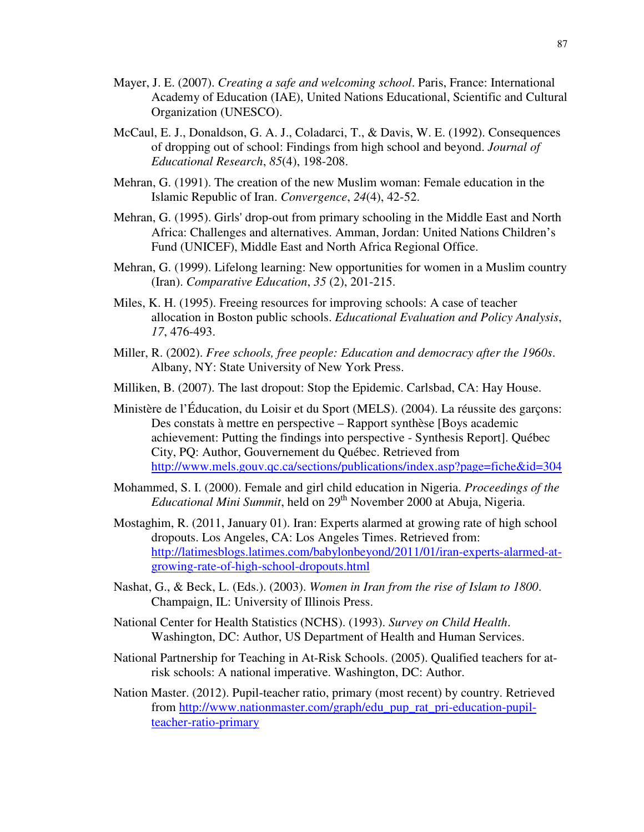- Mayer, J. E. (2007). *Creating a safe and welcoming school*. Paris, France: International Academy of Education (IAE), United Nations Educational, Scientific and Cultural Organization (UNESCO).
- McCaul, E. J., Donaldson, G. A. J., Coladarci, T., & Davis, W. E. (1992). Consequences of dropping out of school: Findings from high school and beyond. *Journal of Educational Research*, *85*(4), 198-208.
- Mehran, G. (1991). The creation of the new Muslim woman: Female education in the Islamic Republic of Iran. *Convergence*, *24*(4), 42-52.
- Mehran, G. (1995). Girls' drop-out from primary schooling in the Middle East and North Africa: Challenges and alternatives. Amman, Jordan: United Nations Children's Fund (UNICEF), Middle East and North Africa Regional Office.
- Mehran, G. (1999). Lifelong learning: New opportunities for women in a Muslim country (Iran). *Comparative Education*, *35* (2), 201-215.
- Miles, K. H. (1995). Freeing resources for improving schools: A case of teacher allocation in Boston public schools. *Educational Evaluation and Policy Analysis*, *17*, 476-493.
- Miller, R. (2002). *Free schools, free people: Education and democracy after the 1960s*. Albany, NY: State University of New York Press.
- Milliken, B. (2007). The last dropout: Stop the Epidemic. Carlsbad, CA: Hay House.
- Ministère de l'Éducation, du Loisir et du Sport (MELS). (2004). La réussite des garçons: Des constats à mettre en perspective – Rapport synthèse [Boys academic achievement: Putting the findings into perspective - Synthesis Report]. Québec City, PQ: Author, Gouvernement du Québec. Retrieved from http://www.mels.gouv.qc.ca/sections/publications/index.asp?page=fiche&id=304
- Mohammed, S. I. (2000). Female and girl child education in Nigeria. *Proceedings of the Educational Mini Summit*, held on 29<sup>th</sup> November 2000 at Abuja, Nigeria.
- Mostaghim, R. (2011, January 01). Iran: Experts alarmed at growing rate of high school dropouts. Los Angeles, CA: Los Angeles Times. Retrieved from: http://latimesblogs.latimes.com/babylonbeyond/2011/01/iran-experts-alarmed-atgrowing-rate-of-high-school-dropouts.html
- Nashat, G., & Beck, L. (Eds.). (2003). *Women in Iran from the rise of Islam to 1800*. Champaign, IL: University of Illinois Press.
- National Center for Health Statistics (NCHS). (1993). *Survey on Child Health*. Washington, DC: Author, US Department of Health and Human Services.
- National Partnership for Teaching in At-Risk Schools. (2005). Qualified teachers for atrisk schools: A national imperative. Washington, DC: Author.
- Nation Master. (2012). Pupil-teacher ratio, primary (most recent) by country. Retrieved from http://www.nationmaster.com/graph/edu\_pup\_rat\_pri-education-pupilteacher-ratio-primary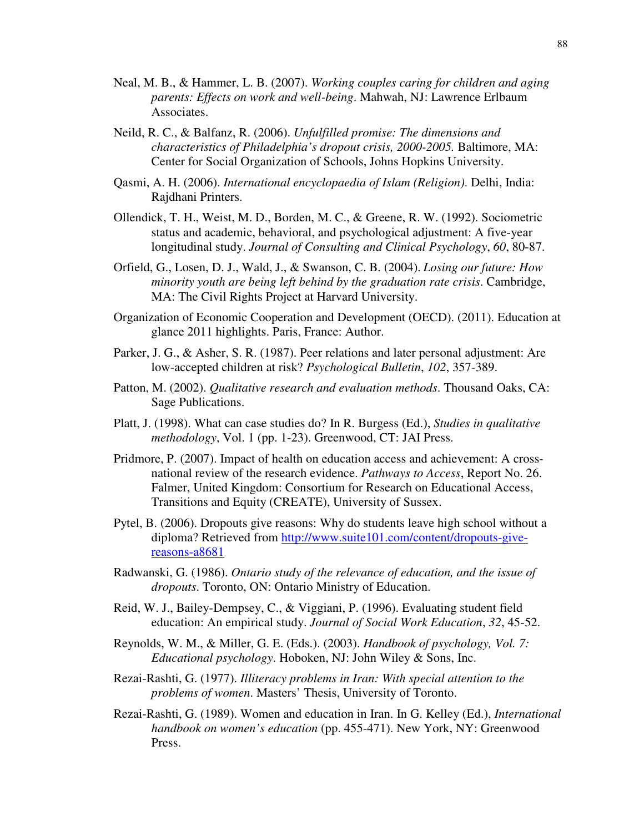- Neal, M. B., & Hammer, L. B. (2007). *Working couples caring for children and aging parents: Effects on work and well-being*. Mahwah, NJ: Lawrence Erlbaum Associates.
- Neild, R. C., & Balfanz, R. (2006). *Unfulfilled promise: The dimensions and characteristics of Philadelphia's dropout crisis, 2000-2005.* Baltimore, MA: Center for Social Organization of Schools, Johns Hopkins University.
- Qasmi, A. H. (2006). *International encyclopaedia of Islam (Religion)*. Delhi, India: Rajdhani Printers.
- Ollendick, T. H., Weist, M. D., Borden, M. C., & Greene, R. W. (1992). Sociometric status and academic, behavioral, and psychological adjustment: A five-year longitudinal study. *Journal of Consulting and Clinical Psychology*, *60*, 80-87.
- Orfield, G., Losen, D. J., Wald, J., & Swanson, C. B. (2004). *Losing our future: How minority youth are being left behind by the graduation rate crisis*. Cambridge, MA: The Civil Rights Project at Harvard University.
- Organization of Economic Cooperation and Development (OECD). (2011). Education at glance 2011 highlights. Paris, France: Author.
- Parker, J. G., & Asher, S. R. (1987). Peer relations and later personal adjustment: Are low-accepted children at risk? *Psychological Bulletin*, *102*, 357-389.
- Patton, M. (2002). *Qualitative research and evaluation methods*. Thousand Oaks, CA: Sage Publications.
- Platt, J. (1998). What can case studies do? In R. Burgess (Ed.), *Studies in qualitative methodology*, Vol. 1 (pp. 1-23). Greenwood, CT: JAI Press.
- Pridmore, P. (2007). Impact of health on education access and achievement: A crossnational review of the research evidence. *Pathways to Access*, Report No. 26. Falmer, United Kingdom: Consortium for Research on Educational Access, Transitions and Equity (CREATE), University of Sussex.
- Pytel, B. (2006). Dropouts give reasons: Why do students leave high school without a diploma? Retrieved from http://www.suite101.com/content/dropouts-givereasons-a8681
- Radwanski, G. (1986). *Ontario study of the relevance of education, and the issue of dropouts*. Toronto, ON: Ontario Ministry of Education.
- Reid, W. J., Bailey-Dempsey, C., & Viggiani, P. (1996). Evaluating student field education: An empirical study. *Journal of Social Work Education*, *32*, 45-52.
- Reynolds, W. M., & Miller, G. E. (Eds.). (2003). *Handbook of psychology, Vol. 7: Educational psychology*. Hoboken, NJ: John Wiley & Sons, Inc.
- Rezai-Rashti, G. (1977). *Illiteracy problems in Iran: With special attention to the problems of women*. Masters' Thesis, University of Toronto.
- Rezai-Rashti, G. (1989). Women and education in Iran. In G. Kelley (Ed.), *International handbook on women's education* (pp. 455-471). New York, NY: Greenwood Press.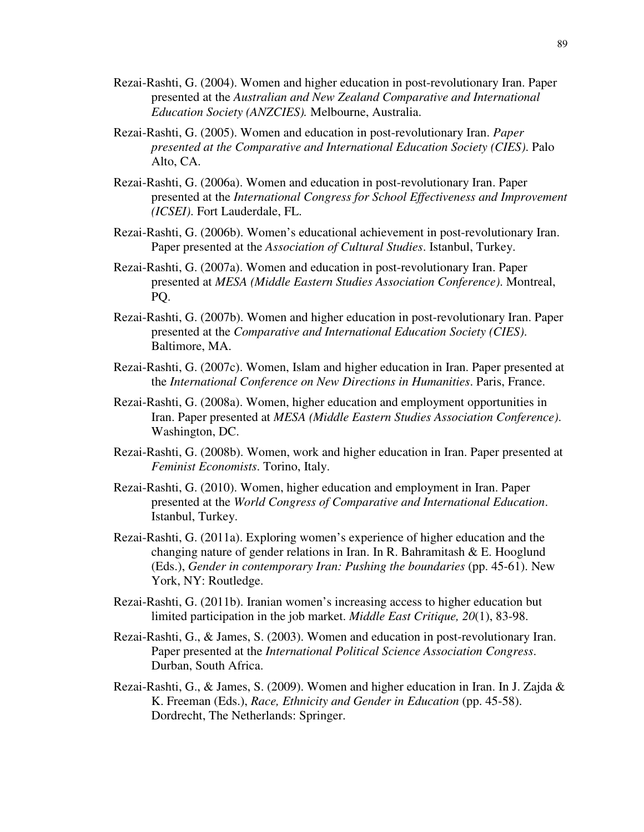- Rezai-Rashti, G. (2004). Women and higher education in post-revolutionary Iran. Paper presented at the *Australian and New Zealand Comparative and International Education Society (ANZCIES).* Melbourne, Australia.
- Rezai-Rashti, G. (2005). Women and education in post-revolutionary Iran. *Paper presented at the Comparative and International Education Society (CIES)*. Palo Alto, CA.
- Rezai-Rashti, G. (2006a). Women and education in post-revolutionary Iran. Paper presented at the *International Congress for School Effectiveness and Improvement (ICSEI)*. Fort Lauderdale, FL.
- Rezai-Rashti, G. (2006b). Women's educational achievement in post-revolutionary Iran. Paper presented at the *Association of Cultural Studies*. Istanbul, Turkey.
- Rezai-Rashti, G. (2007a). Women and education in post-revolutionary Iran. Paper presented at *MESA (Middle Eastern Studies Association Conference)*. Montreal, PQ.
- Rezai-Rashti, G. (2007b). Women and higher education in post-revolutionary Iran. Paper presented at the *Comparative and International Education Society (CIES)*. Baltimore, MA.
- Rezai-Rashti, G. (2007c). Women, Islam and higher education in Iran. Paper presented at the *International Conference on New Directions in Humanities*. Paris, France.
- Rezai-Rashti, G. (2008a). Women, higher education and employment opportunities in Iran. Paper presented at *MESA (Middle Eastern Studies Association Conference)*. Washington, DC.
- Rezai-Rashti, G. (2008b). Women, work and higher education in Iran. Paper presented at *Feminist Economists*. Torino, Italy.
- Rezai-Rashti, G. (2010). Women, higher education and employment in Iran. Paper presented at the *World Congress of Comparative and International Education*. Istanbul, Turkey.
- Rezai-Rashti, G. (2011a). Exploring women's experience of higher education and the changing nature of gender relations in Iran. In R. Bahramitash  $\&$  E. Hooglund (Eds.), *Gender in contemporary Iran: Pushing the boundaries* (pp. 45-61). New York, NY: Routledge.
- Rezai-Rashti, G. (2011b). Iranian women's increasing access to higher education but limited participation in the job market. *Middle East Critique, 20*(1), 83-98.
- Rezai-Rashti, G., & James, S. (2003). Women and education in post-revolutionary Iran. Paper presented at the *International Political Science Association Congress*. Durban, South Africa.
- Rezai-Rashti, G., & James, S. (2009). Women and higher education in Iran. In J. Zajda & K. Freeman (Eds.), *Race, Ethnicity and Gender in Education* (pp. 45-58). Dordrecht, The Netherlands: Springer.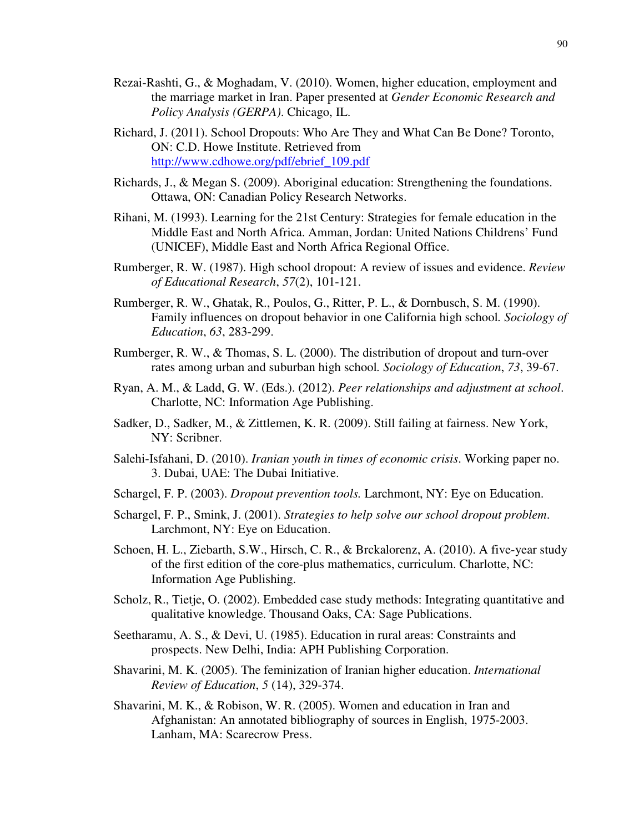- Rezai-Rashti, G., & Moghadam, V. (2010). Women, higher education, employment and the marriage market in Iran. Paper presented at *Gender Economic Research and Policy Analysis (GERPA)*. Chicago, IL.
- Richard, J. (2011). School Dropouts: Who Are They and What Can Be Done? Toronto, ON: C.D. Howe Institute. Retrieved from http://www.cdhowe.org/pdf/ebrief\_109.pdf
- Richards, J., & Megan S. (2009). Aboriginal education: Strengthening the foundations. Ottawa, ON: Canadian Policy Research Networks.
- Rihani, M. (1993). Learning for the 21st Century: Strategies for female education in the Middle East and North Africa. Amman, Jordan: United Nations Childrens' Fund (UNICEF), Middle East and North Africa Regional Office.
- Rumberger, R. W. (1987). High school dropout: A review of issues and evidence. *Review of Educational Research*, *57*(2), 101-121.
- Rumberger, R. W., Ghatak, R., Poulos, G., Ritter, P. L., & Dornbusch, S. M. (1990). Family influences on dropout behavior in one California high school*. Sociology of Education*, *63*, 283-299.
- Rumberger, R. W., & Thomas, S. L. (2000). The distribution of dropout and turn-over rates among urban and suburban high school*. Sociology of Education*, *73*, 39-67.
- Ryan, A. M., & Ladd, G. W. (Eds.). (2012). *Peer relationships and adjustment at school*. Charlotte, NC: Information Age Publishing.
- Sadker, D., Sadker, M., & Zittlemen, K. R. (2009). Still failing at fairness. New York, NY: Scribner.
- Salehi-Isfahani, D. (2010). *Iranian youth in times of economic crisis*. Working paper no. 3. Dubai, UAE: The Dubai Initiative.
- Schargel, F. P. (2003). *Dropout prevention tools.* Larchmont, NY: Eye on Education.
- Schargel, F. P., Smink, J. (2001). *Strategies to help solve our school dropout problem*. Larchmont, NY: Eye on Education.
- Schoen, H. L., Ziebarth, S.W., Hirsch, C. R., & Brckalorenz, A. (2010). A five-year study of the first edition of the core-plus mathematics, curriculum. Charlotte, NC: Information Age Publishing.
- Scholz, R., Tietje, O. (2002). Embedded case study methods: Integrating quantitative and qualitative knowledge. Thousand Oaks, CA: Sage Publications.
- Seetharamu, A. S., & Devi, U. (1985). Education in rural areas: Constraints and prospects. New Delhi, India: APH Publishing Corporation.
- Shavarini, M. K. (2005). The feminization of Iranian higher education. *International Review of Education*, *5* (14), 329-374.
- Shavarini, M. K., & Robison, W. R. (2005). Women and education in Iran and Afghanistan: An annotated bibliography of sources in English, 1975-2003. Lanham, MA: Scarecrow Press.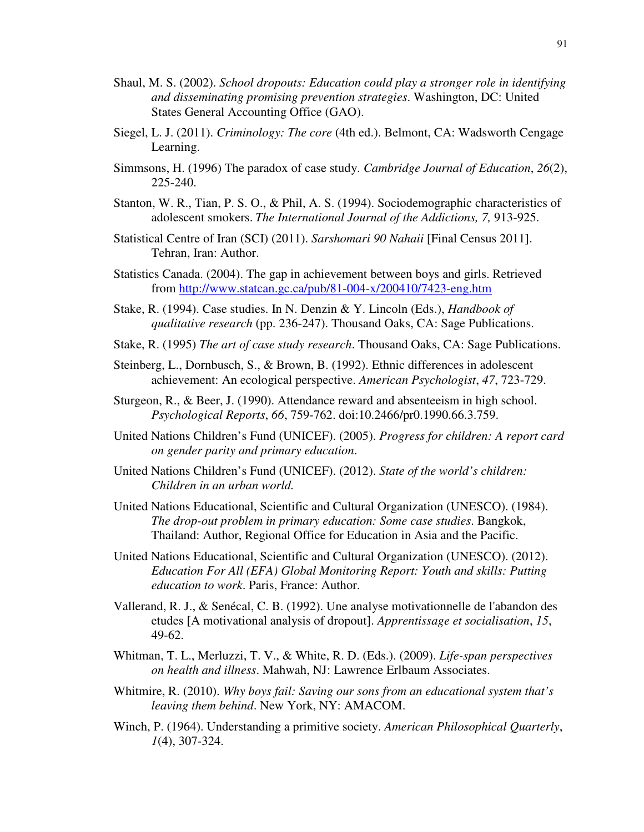- Shaul, M. S. (2002). *School dropouts: Education could play a stronger role in identifying and disseminating promising prevention strategies*. Washington, DC: United States General Accounting Office (GAO).
- Siegel, L. J. (2011). *Criminology: The core* (4th ed.). Belmont, CA: Wadsworth Cengage Learning.
- Simmsons, H. (1996) The paradox of case study. *Cambridge Journal of Education*, *26*(2), 225-240.
- Stanton, W. R., Tian, P. S. O., & Phil, A. S. (1994). Sociodemographic characteristics of adolescent smokers. *The International Journal of the Addictions, 7,* 913-925.
- Statistical Centre of Iran (SCI) (2011). *Sarshomari 90 Nahaii* [Final Census 2011]. Tehran, Iran: Author.
- Statistics Canada. (2004). The gap in achievement between boys and girls. Retrieved from http://www.statcan.gc.ca/pub/81-004-x/200410/7423-eng.htm
- Stake, R. (1994). Case studies. In N. Denzin & Y. Lincoln (Eds.), *Handbook of qualitative research* (pp. 236-247). Thousand Oaks, CA: Sage Publications.
- Stake, R. (1995) *The art of case study research*. Thousand Oaks, CA: Sage Publications.
- Steinberg, L., Dornbusch, S., & Brown, B. (1992). Ethnic differences in adolescent achievement: An ecological perspective. *American Psychologist*, *47*, 723-729.
- Sturgeon, R., & Beer, J. (1990). Attendance reward and absenteeism in high school. *Psychological Reports*, *66*, 759-762. doi:10.2466/pr0.1990.66.3.759.
- United Nations Children's Fund (UNICEF). (2005). *Progress for children: A report card on gender parity and primary education*.
- United Nations Children's Fund (UNICEF). (2012). *State of the world's children: Children in an urban world.*
- United Nations Educational, Scientific and Cultural Organization (UNESCO). (1984). *The drop-out problem in primary education: Some case studies*. Bangkok, Thailand: Author, Regional Office for Education in Asia and the Pacific.
- United Nations Educational, Scientific and Cultural Organization (UNESCO). (2012). *Education For All (EFA) Global Monitoring Report: Youth and skills: Putting education to work*. Paris, France: Author.
- Vallerand, R. J., & Senécal, C. B. (1992). Une analyse motivationnelle de l'abandon des etudes [A motivational analysis of dropout]. *Apprentissage et socialisation*, *15*, 49-62.
- Whitman, T. L., Merluzzi, T. V., & White, R. D. (Eds.). (2009). *Life-span perspectives on health and illness*. Mahwah, NJ: Lawrence Erlbaum Associates.
- Whitmire, R. (2010). *Why boys fail: Saving our sons from an educational system that's leaving them behind*. New York, NY: AMACOM.
- Winch, P. (1964). Understanding a primitive society. *American Philosophical Quarterly*, *1*(4), 307-324.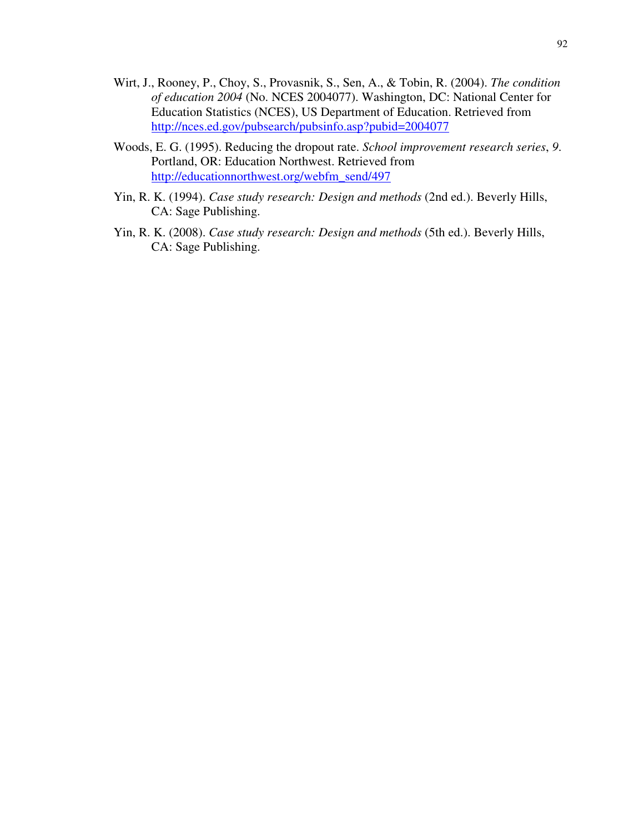- Wirt, J., Rooney, P., Choy, S., Provasnik, S., Sen, A., & Tobin, R. (2004). *The condition of education 2004* (No. NCES 2004077). Washington, DC: National Center for Education Statistics (NCES), US Department of Education. Retrieved from http://nces.ed.gov/pubsearch/pubsinfo.asp?pubid=2004077
- Woods, E. G. (1995). Reducing the dropout rate. *School improvement research series*, *9*. Portland, OR: Education Northwest. Retrieved from http://educationnorthwest.org/webfm\_send/497
- Yin, R. K. (1994). *Case study research: Design and methods* (2nd ed.). Beverly Hills, CA: Sage Publishing.
- Yin, R. K. (2008). *Case study research: Design and methods* (5th ed.). Beverly Hills, CA: Sage Publishing.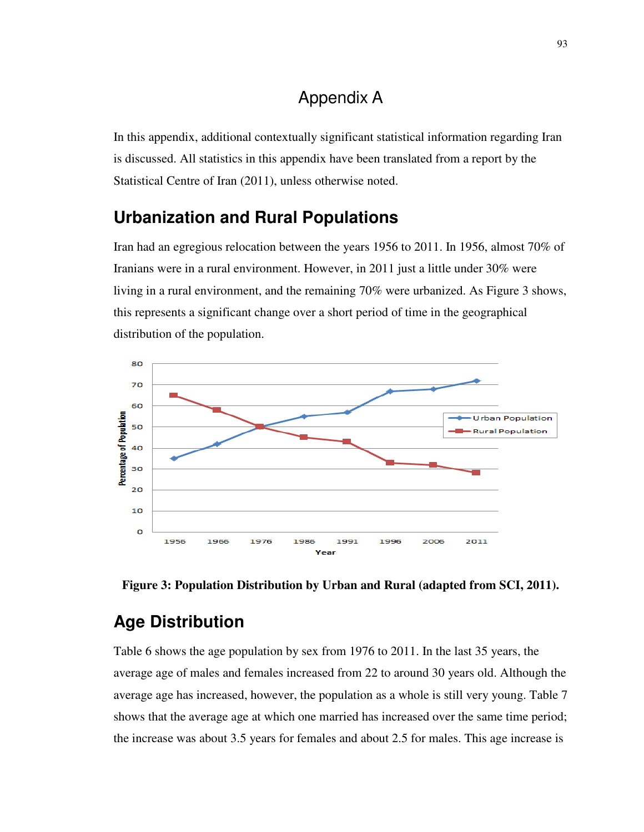## Appendix A

In this appendix, additional contextually significant statistical information regarding Iran is discussed. All statistics in this appendix have been translated from a report by the Statistical Centre of Iran (2011), unless otherwise noted.

# **Urbanization and Rural Populations**

Iran had an egregious relocation between the years 1956 to 2011. In 1956, almost 70% of Iranians were in a rural environment. However, in 2011 just a little under 30% were living in a rural environment, and the remaining 70% were urbanized. As Figure 3 shows, this represents a significant change over a short period of time in the geographical distribution of the population.





# **Age Distribution**

Table 6 shows the age population by sex from 1976 to 2011. In the last 35 years, the average age of males and females increased from 22 to around 30 years old. Although the average age has increased, however, the population as a whole is still very young. Table 7 shows that the average age at which one married has increased over the same time period; the increase was about 3.5 years for females and about 2.5 for males. This age increase is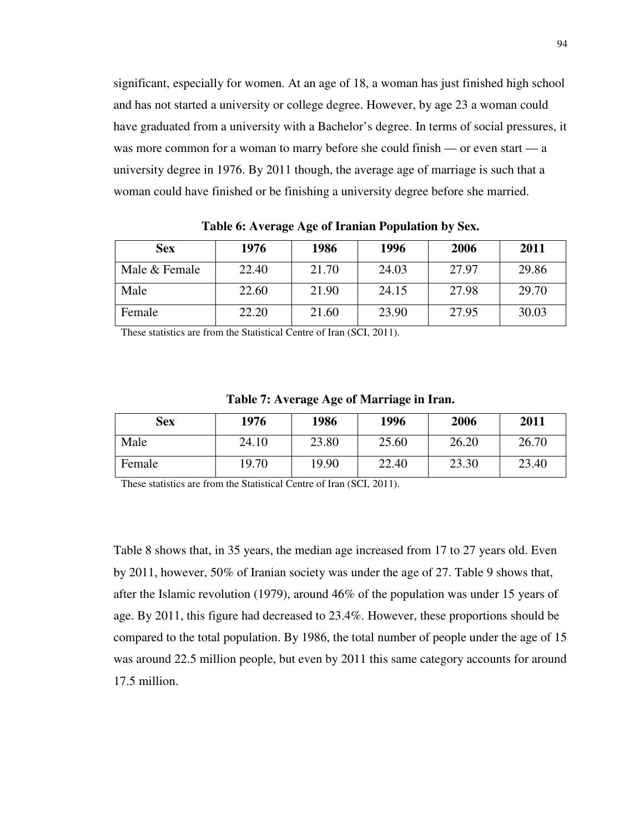significant, especially for women. At an age of 18, a woman has just finished high school and has not started a university or college degree. However, by age 23 a woman could have graduated from a university with a Bachelor's degree. In terms of social pressures, it was more common for a woman to marry before she could finish — or even start — a university degree in 1976. By 2011 though, the average age of marriage is such that a woman could have finished or be finishing a university degree before she married.

| <b>Sex</b>    | 1976  | 1986  | 1996  | 2006  | 2011  |
|---------------|-------|-------|-------|-------|-------|
| Male & Female | 22.40 | 21.70 | 24.03 | 27.97 | 29.86 |
| Male          | 22.60 | 21.90 | 24.15 | 27.98 | 29.70 |
| Female        | 22.20 | 21.60 | 23.90 | 27.95 | 30.03 |

**Table 6: Average Age of Iranian Population by Sex.** 

These statistics are from the Statistical Centre of Iran (SCI, 2011).

**Table 7: Average Age of Marriage in Iran.** 

| <b>Sex</b> | 1976  | 1986  | 1996  | 2006  | 2011  |
|------------|-------|-------|-------|-------|-------|
| Male       | 24.10 | 23.80 | 25.60 | 26.20 | 26.70 |
| Female     | 19.70 | 19.90 | 22.40 | 23.30 | 23.40 |

These statistics are from the Statistical Centre of Iran (SCI, 2011).

Table 8 shows that, in 35 years, the median age increased from 17 to 27 years old. Even by 2011, however, 50% of Iranian society was under the age of 27. Table 9 shows that, after the Islamic revolution (1979), around 46% of the population was under 15 years of age. By 2011, this figure had decreased to 23.4%. However, these proportions should be compared to the total population. By 1986, the total number of people under the age of 15 was around 22.5 million people, but even by 2011 this same category accounts for around 17.5 million.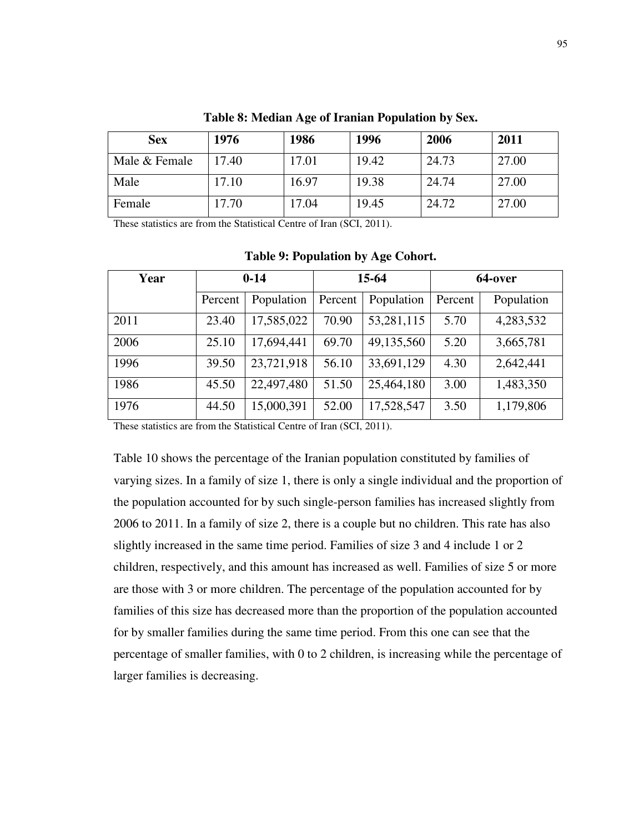| Sex           | 1976  | 1986   | 1996  | 2006  | 2011  |
|---------------|-------|--------|-------|-------|-------|
| Male & Female | 17.40 | 17.01  | 19.42 | 24.73 | 27.00 |
| Male          | 17.10 | 16.97  | 19.38 | 24.74 | 27.00 |
| Female        | 17.70 | l 7.04 | 19.45 | 24.72 | 27.00 |

**Table 8: Median Age of Iranian Population by Sex.** 

These statistics are from the Statistical Centre of Iran (SCI, 2011).

| Year | $0 - 14$ |            | $15-64$ |            | 64-over |            |
|------|----------|------------|---------|------------|---------|------------|
|      | Percent  | Population | Percent | Population | Percent | Population |
| 2011 | 23.40    | 17,585,022 | 70.90   | 53,281,115 | 5.70    | 4,283,532  |
| 2006 | 25.10    | 17,694,441 | 69.70   | 49,135,560 | 5.20    | 3,665,781  |
| 1996 | 39.50    | 23,721,918 | 56.10   | 33,691,129 | 4.30    | 2,642,441  |
| 1986 | 45.50    | 22,497,480 | 51.50   | 25,464,180 | 3.00    | 1,483,350  |
| 1976 | 44.50    | 15,000,391 | 52.00   | 17,528,547 | 3.50    | 1,179,806  |

#### **Table 9: Population by Age Cohort.**

These statistics are from the Statistical Centre of Iran (SCI, 2011).

Table 10 shows the percentage of the Iranian population constituted by families of varying sizes. In a family of size 1, there is only a single individual and the proportion of the population accounted for by such single-person families has increased slightly from 2006 to 2011. In a family of size 2, there is a couple but no children. This rate has also slightly increased in the same time period. Families of size 3 and 4 include 1 or 2 children, respectively, and this amount has increased as well. Families of size 5 or more are those with 3 or more children. The percentage of the population accounted for by families of this size has decreased more than the proportion of the population accounted for by smaller families during the same time period. From this one can see that the percentage of smaller families, with 0 to 2 children, is increasing while the percentage of larger families is decreasing.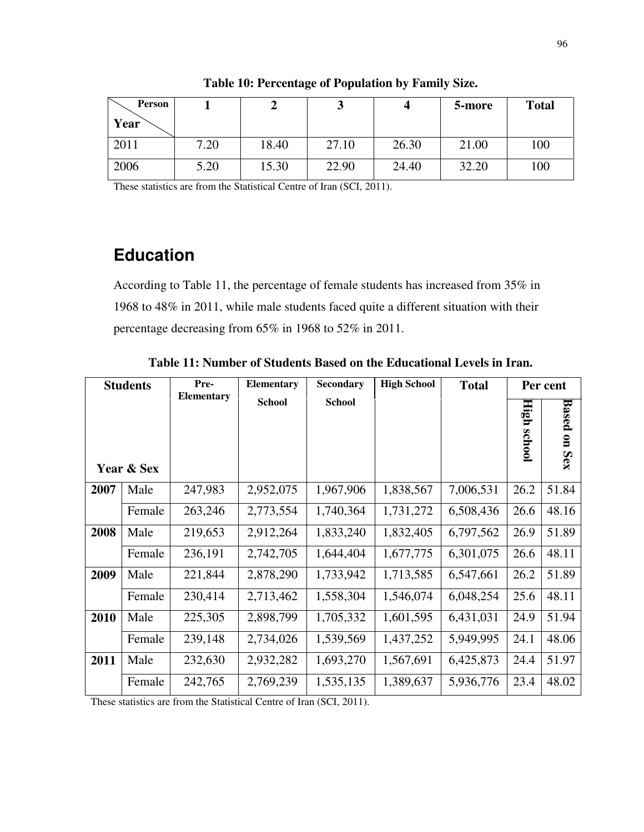| Person<br>Year |      |       |       |       | 5-more | <b>Total</b> |
|----------------|------|-------|-------|-------|--------|--------------|
| 2011           | 7.20 | 18.40 | 27.10 | 26.30 | 21.00  | 100          |
| 2006           | 5.20 | 15.30 | 22.90 | 24.40 | 32.20  | 100          |

**Table 10: Percentage of Population by Family Size.** 

These statistics are from the Statistical Centre of Iran (SCI, 2011).

# **Education**

According to Table 11, the percentage of female students has increased from 35% in 1968 to 48% in 2011, while male students faced quite a different situation with their percentage decreasing from 65% in 1968 to 52% in 2011.

| <b>Students</b> |            | Pre-<br><b>Elementary</b> | Elementary    | <b>Secondary</b> | <b>High School</b> | <b>Total</b> |                                               | Per cent                                       |
|-----------------|------------|---------------------------|---------------|------------------|--------------------|--------------|-----------------------------------------------|------------------------------------------------|
|                 | Year & Sex |                           | <b>School</b> | <b>School</b>    |                    |              | E<br>$\overline{\mathbf{g}}$<br><b>school</b> | <b>Based</b><br>$\overline{\mathbf{u}}$<br>Sex |
| 2007            | Male       | 247,983                   | 2,952,075     | 1,967,906        | 1,838,567          | 7,006,531    | 26.2                                          | 51.84                                          |
|                 | Female     | 263,246                   | 2,773,554     | 1,740,364        | 1,731,272          | 6,508,436    | 26.6                                          | 48.16                                          |
| 2008            | Male       | 219,653                   | 2,912,264     | 1,833,240        | 1,832,405          | 6,797,562    | 26.9                                          | 51.89                                          |
|                 | Female     | 236,191                   | 2,742,705     | 1,644,404        | 1,677,775          | 6,301,075    | 26.6                                          | 48.11                                          |
| 2009            | Male       | 221,844                   | 2,878,290     | 1,733,942        | 1,713,585          | 6,547,661    | 26.2                                          | 51.89                                          |
|                 | Female     | 230,414                   | 2,713,462     | 1,558,304        | 1,546,074          | 6,048,254    | 25.6                                          | 48.11                                          |
| 2010            | Male       | 225,305                   | 2,898,799     | 1,705,332        | 1,601,595          | 6,431,031    | 24.9                                          | 51.94                                          |
|                 | Female     | 239,148                   | 2,734,026     | 1,539,569        | 1,437,252          | 5,949,995    | 24.1                                          | 48.06                                          |
| 2011            | Male       | 232,630                   | 2,932,282     | 1,693,270        | 1,567,691          | 6,425,873    | 24.4                                          | 51.97                                          |
|                 | Female     | 242,765                   | 2,769,239     | 1,535,135        | 1,389,637          | 5,936,776    | 23.4                                          | 48.02                                          |

**Table 11: Number of Students Based on the Educational Levels in Iran.** 

These statistics are from the Statistical Centre of Iran (SCI, 2011).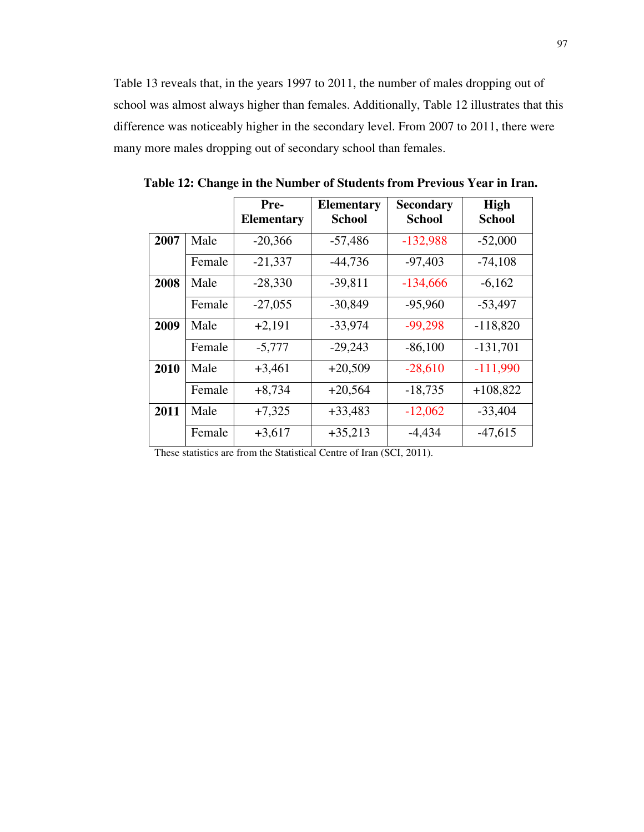Table 13 reveals that, in the years 1997 to 2011, the number of males dropping out of school was almost always higher than females. Additionally, Table 12 illustrates that this difference was noticeably higher in the secondary level. From 2007 to 2011, there were many more males dropping out of secondary school than females.

|      |        | Pre-<br><b>Elementary</b> | <b>Elementary</b><br><b>School</b> | <b>Secondary</b><br><b>School</b> | <b>High</b><br><b>School</b> |
|------|--------|---------------------------|------------------------------------|-----------------------------------|------------------------------|
| 2007 | Male   | $-20,366$                 | $-57,486$                          | $-132,988$                        | $-52,000$                    |
|      | Female | $-21,337$                 | $-44,736$                          | $-97,403$                         | $-74,108$                    |
| 2008 | Male   | $-28,330$                 | $-39,811$                          | $-134,666$                        | $-6,162$                     |
|      | Female | $-27,055$                 | $-30,849$                          | $-95,960$                         | $-53,497$                    |
| 2009 | Male   | $+2,191$                  | $-33,974$                          | $-99,298$                         | $-118,820$                   |
|      | Female | $-5,777$                  | $-29,243$                          | $-86,100$                         | $-131,701$                   |
| 2010 | Male   | $+3,461$                  | $+20,509$                          | $-28,610$                         | $-111,990$                   |
|      | Female | $+8,734$                  | $+20,564$                          | $-18,735$                         | $+108,822$                   |
| 2011 | Male   | $+7,325$                  | $+33,483$                          | $-12,062$                         | $-33,404$                    |
|      | Female | $+3,617$                  | $+35,213$                          | $-4,434$                          | $-47,615$                    |

**Table 12: Change in the Number of Students from Previous Year in Iran.** 

These statistics are from the Statistical Centre of Iran (SCI, 2011).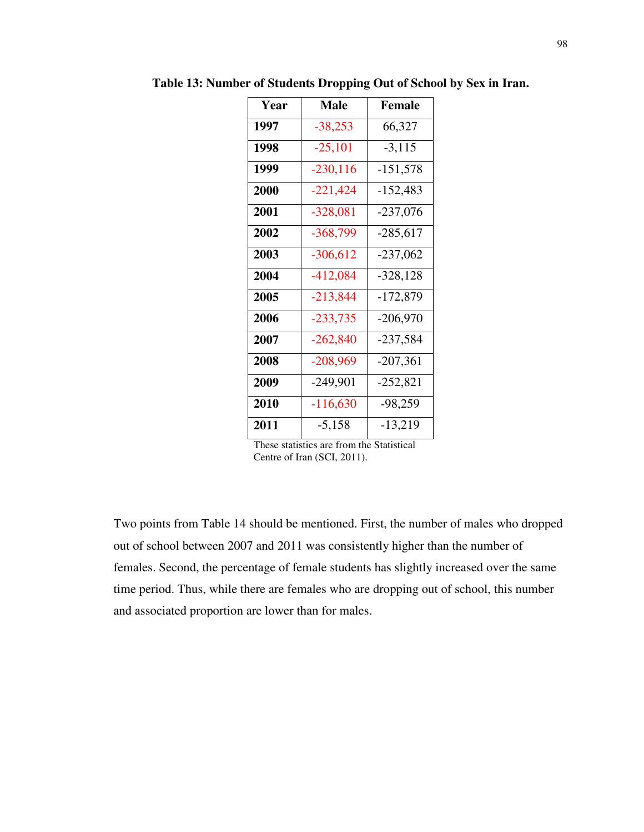| <b>Year</b> | Male        | <b>Female</b> |
|-------------|-------------|---------------|
| 1997        | $-38,253$   | 66,327        |
| 1998        | $-25,101$   | $-3,115$      |
| 1999        | $-230, 116$ | $-151,578$    |
| 2000        | $-221,424$  | $-152,483$    |
| 2001        | $-328,081$  | $-237,076$    |
| 2002        | $-368,799$  | $-285,617$    |
| 2003        | $-306,612$  | $-237,062$    |
| 2004        | $-412,084$  | $-328,128$    |
| 2005        | $-213,844$  | $-172,879$    |
| 2006        | $-233,735$  | $-206,970$    |
| 2007        | $-262,840$  | $-237,584$    |
| 2008        | $-208,969$  | $-207,361$    |
| 2009        | $-249,901$  | $-252,821$    |
| 2010        | $-116,630$  | $-98,259$     |
| 2011        | $-5,158$    | $-13,219$     |

**Table 13: Number of Students Dropping Out of School by Sex in Iran.** 

These statistics are from the Statistical Centre of Iran (SCI, 2011).

Two points from Table 14 should be mentioned. First, the number of males who dropped out of school between 2007 and 2011 was consistently higher than the number of females. Second, the percentage of female students has slightly increased over the same time period. Thus, while there are females who are dropping out of school, this number and associated proportion are lower than for males.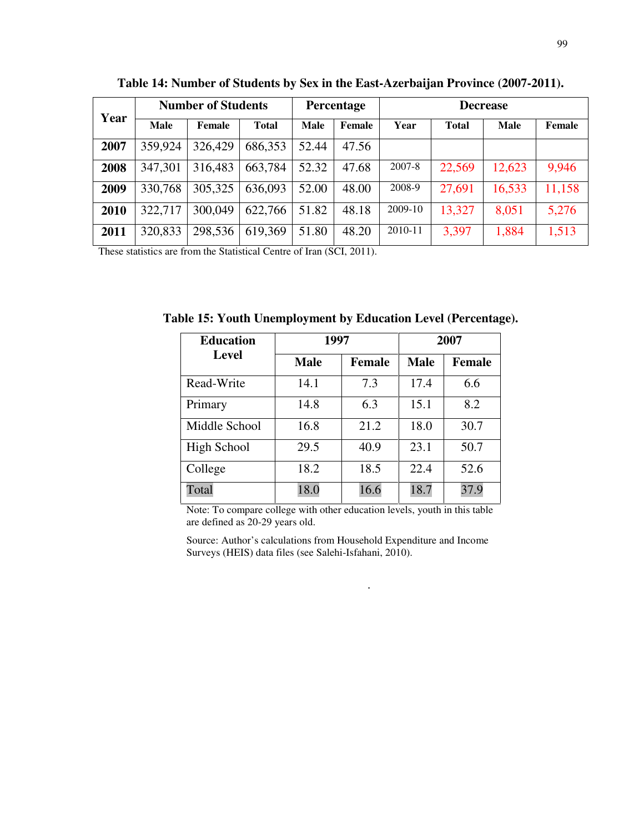| Year | <b>Number of Students</b> |         |              | <b>Percentage</b> |        | <b>Decrease</b> |              |             |        |
|------|---------------------------|---------|--------------|-------------------|--------|-----------------|--------------|-------------|--------|
|      | Male                      | Female  | <b>Total</b> | <b>Male</b>       | Female | Year            | <b>Total</b> | <b>Male</b> | Female |
| 2007 | 359,924                   | 326,429 | 686,353      | 52.44             | 47.56  |                 |              |             |        |
| 2008 | 347,301                   | 316,483 | 663,784      | 52.32             | 47.68  | 2007-8          | 22,569       | 12,623      | 9,946  |
| 2009 | 330,768                   | 305,325 | 636,093      | 52.00             | 48.00  | 2008-9          | 27,691       | 16,533      | 11,158 |
| 2010 | 322,717                   | 300,049 | 622,766      | 51.82             | 48.18  | 2009-10         | 13,327       | 8,051       | 5,276  |
| 2011 | 320,833                   | 298,536 | 619,369      | 51.80             | 48.20  | 2010-11         | 3,397        | 1,884       | 1,513  |

**Table 14: Number of Students by Sex in the East-Azerbaijan Province (2007-2011).** 

These statistics are from the Statistical Centre of Iran (SCI, 2011).

**Table 15: Youth Unemployment by Education Level (Percentage).** 

| <b>Education</b> | 1997        |               | 2007        |               |  |
|------------------|-------------|---------------|-------------|---------------|--|
| <b>Level</b>     | <b>Male</b> | <b>Female</b> | <b>Male</b> | <b>Female</b> |  |
| Read-Write       | 14.1        | 7.3           | 17.4        | 6.6           |  |
| Primary          | 14.8        | 6.3           | 15.1        | 8.2           |  |
| Middle School    | 16.8        | 21.2          | 18.0        | 30.7          |  |
| High School      | 29.5        | 40.9          | 23.1        | 50.7          |  |
| College          | 18.2        | 18.5          | 22.4        | 52.6          |  |
| Total            | 18.0        | 16.6          | 18.7        | 37.9          |  |

Note: To compare college with other education levels, youth in this table are defined as 20-29 years old.

Source: Author's calculations from Household Expenditure and Income Surveys (HEIS) data files (see Salehi-Isfahani, 2010).

.